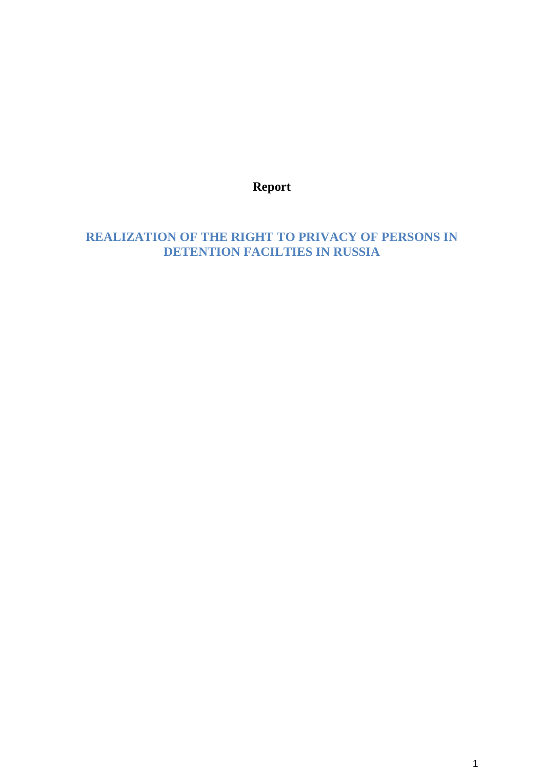**Report**

**REALIZATION OF THE RIGHT TO PRIVACY OF PERSONS IN DETENTION FACILTIES IN RUSSIA**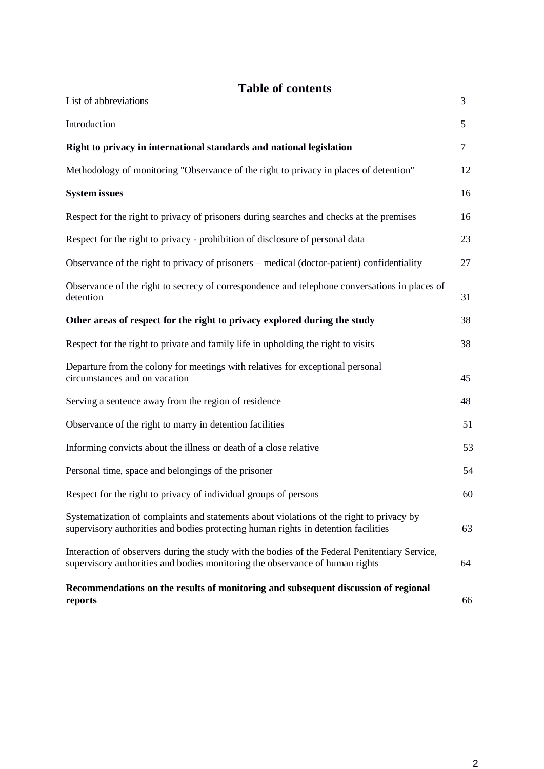# **Table of contents**

| List of abbreviations                                                                                                                                                          | 3      |
|--------------------------------------------------------------------------------------------------------------------------------------------------------------------------------|--------|
| Introduction                                                                                                                                                                   | 5      |
| Right to privacy in international standards and national legislation                                                                                                           | $\tau$ |
| Methodology of monitoring "Observance of the right to privacy in places of detention"                                                                                          | 12     |
| <b>System issues</b>                                                                                                                                                           | 16     |
| Respect for the right to privacy of prisoners during searches and checks at the premises                                                                                       | 16     |
| Respect for the right to privacy - prohibition of disclosure of personal data                                                                                                  | 23     |
| Observance of the right to privacy of prisoners - medical (doctor-patient) confidentiality                                                                                     | 27     |
| Observance of the right to secrecy of correspondence and telephone conversations in places of<br>detention                                                                     | 31     |
| Other areas of respect for the right to privacy explored during the study                                                                                                      | 38     |
| Respect for the right to private and family life in upholding the right to visits                                                                                              | 38     |
| Departure from the colony for meetings with relatives for exceptional personal<br>circumstances and on vacation                                                                | 45     |
| Serving a sentence away from the region of residence                                                                                                                           | 48     |
| Observance of the right to marry in detention facilities                                                                                                                       | 51     |
| Informing convicts about the illness or death of a close relative                                                                                                              | 53     |
| Personal time, space and belongings of the prisoner                                                                                                                            | 54     |
| Respect for the right to privacy of individual groups of persons                                                                                                               | 60     |
| Systematization of complaints and statements about violations of the right to privacy by<br>supervisory authorities and bodies protecting human rights in detention facilities | 63     |
| Interaction of observers during the study with the bodies of the Federal Penitentiary Service,<br>supervisory authorities and bodies monitoring the observance of human rights | 64     |
| Recommendations on the results of monitoring and subsequent discussion of regional<br>reports                                                                                  | 66     |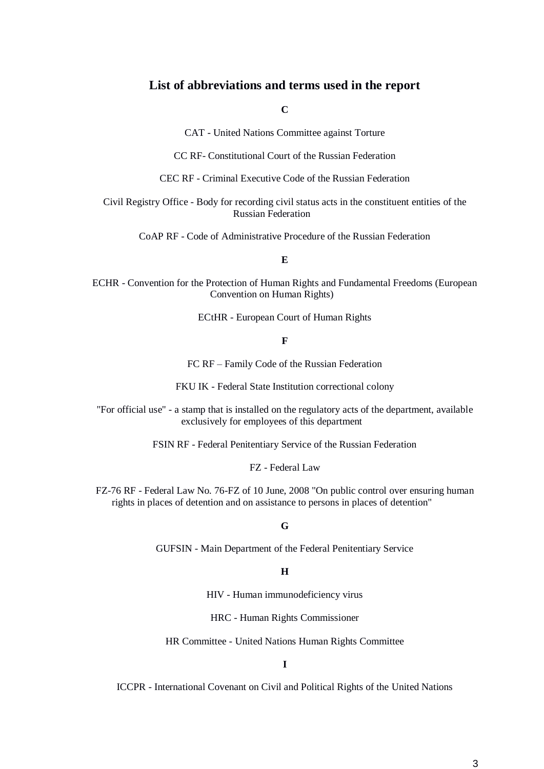#### **List of abbreviations and terms used in the report**

**C**

CAT - United Nations Committee against Torture

CC RF- Constitutional Court of the Russian Federation

CEC RF - Criminal Executive Code of the Russian Federation

Civil Registry Office - Body for recording civil status acts in the constituent entities of the Russian Federation

CoAP RF - Code of Administrative Procedure of the Russian Federation

**E**

ECHR - Convention for the Protection of Human Rights and Fundamental Freedoms (European Convention on Human Rights)

ECtHR - European Court of Human Rights

#### **F**

FC RF – Family Code of the Russian Federation

FKU IK - Federal State Institution correctional colony

"For official use" - a stamp that is installed on the regulatory acts of the department, available exclusively for employees of this department

FSIN RF - Federal Penitentiary Service of the Russian Federation

FZ - Federal Law

FZ-76 RF - Federal Law No. 76-FZ of 10 June, 2008 "On public control over ensuring human rights in places of detention and on assistance to persons in places of detention"

#### **G**

GUFSIN - Main Department of the Federal Penitentiary Service

#### **H**

HIV - Human immunodeficiency virus

HRC - Human Rights Commissioner

HR Committee - United Nations Human Rights Committee

#### **I**

ICCPR - International Covenant on Civil and Political Rights of the United Nations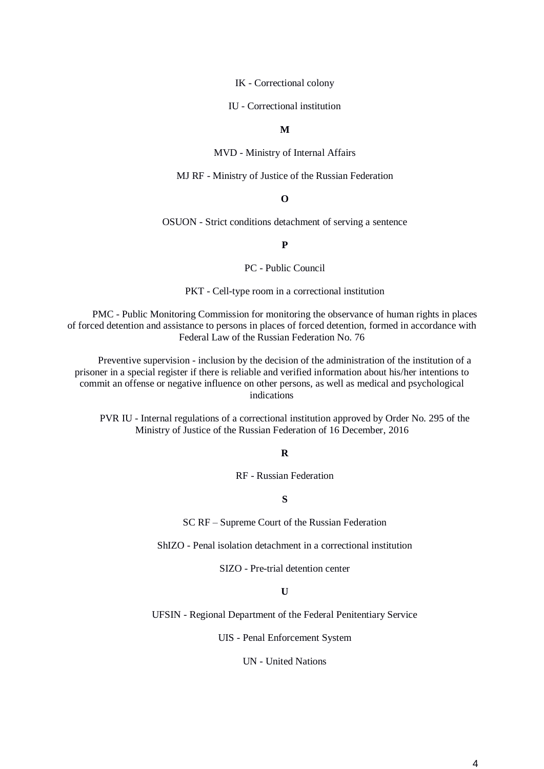IK - Correctional colony

IU - Correctional institution

**M**

MVD - Ministry of Internal Affairs

MJ RF - Ministry of Justice of the Russian Federation

#### **O**

OSUON - Strict conditions detachment of serving a sentence

#### **P**

PC - Public Council

PKT - Cell-type room in a correctional institution

PMC - Public Monitoring Commission for monitoring the observance of human rights in places of forced detention and assistance to persons in places of forced detention, formed in accordance with Federal Law of the Russian Federation No. 76

Preventive supervision - inclusion by the decision of the administration of the institution of a prisoner in a special register if there is reliable and verified information about his/her intentions to commit an offense or negative influence on other persons, as well as medical and psychological indications

PVR IU - Internal regulations of a correctional institution approved by Order No. 295 of the Ministry of Justice of the Russian Federation of 16 December, 2016

#### **R**

RF - Russian Federation

#### **S**

SC RF – Supreme Court of the Russian Federation

ShIZO - Penal isolation detachment in a correctional institution

SIZO - Pre-trial detention center

**U**

UFSIN - Regional Department of the Federal Penitentiary Service

UIS - Penal Enforcement System

UN - United Nations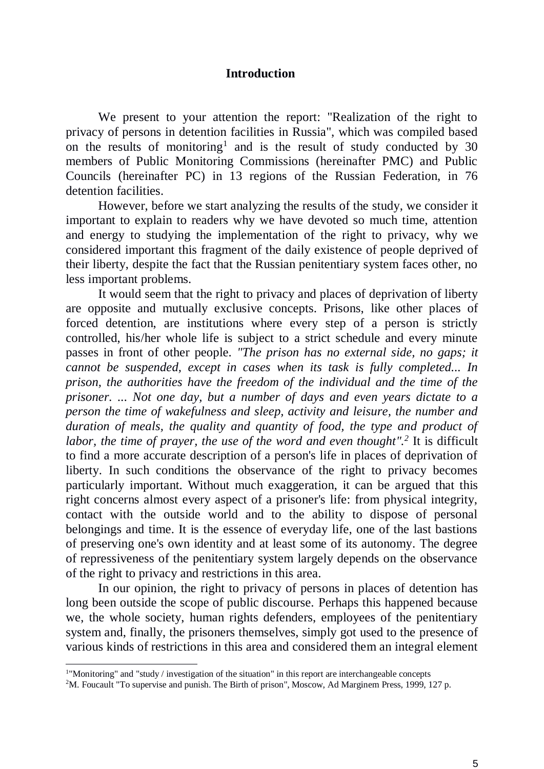### **Introduction**

We present to your attention the report: "Realization of the right to privacy of persons in detention facilities in Russia", which was compiled based on the results of monitoring<sup>1</sup> and is the result of study conducted by 30 members of Public Monitoring Commissions (hereinafter PMC) and Public Councils (hereinafter PC) in 13 regions of the Russian Federation, in 76 detention facilities.

However, before we start analyzing the results of the study, we consider it important to explain to readers why we have devoted so much time, attention and energy to studying the implementation of the right to privacy, why we considered important this fragment of the daily existence of people deprived of their liberty, despite the fact that the Russian penitentiary system faces other, no less important problems.

It would seem that the right to privacy and places of deprivation of liberty are opposite and mutually exclusive concepts. Prisons, like other places of forced detention, are institutions where every step of a person is strictly controlled, his/her whole life is subject to a strict schedule and every minute passes in front of other people. *"The prison has no external side, no gaps; it cannot be suspended, except in cases when its task is fully completed... In prison, the authorities have the freedom of the individual and the time of the prisoner. ... Not one day, but a number of days and even years dictate to a person the time of wakefulness and sleep, activity and leisure, the number and duration of meals, the quality and quantity of food, the type and product of*  labor, the time of prayer, the use of the word and even thought".<sup>2</sup> It is difficult to find a more accurate description of a person's life in places of deprivation of liberty. In such conditions the observance of the right to privacy becomes particularly important. Without much exaggeration, it can be argued that this right concerns almost every aspect of a prisoner's life: from physical integrity, contact with the outside world and to the ability to dispose of personal belongings and time. It is the essence of everyday life, one of the last bastions of preserving one's own identity and at least some of its autonomy. The degree of repressiveness of the penitentiary system largely depends on the observance of the right to privacy and restrictions in this area.

In our opinion, the right to privacy of persons in places of detention has long been outside the scope of public discourse. Perhaps this happened because we, the whole society, human rights defenders, employees of the penitentiary system and, finally, the prisoners themselves, simply got used to the presence of various kinds of restrictions in this area and considered them an integral element

<sup>1</sup> "Monitoring" and "study / investigation of the situation" in this report are interchangeable concepts

<sup>&</sup>lt;sup>2</sup>M. Foucault "To supervise and punish. The Birth of prison", Moscow, Ad Marginem Press, 1999, 127 p.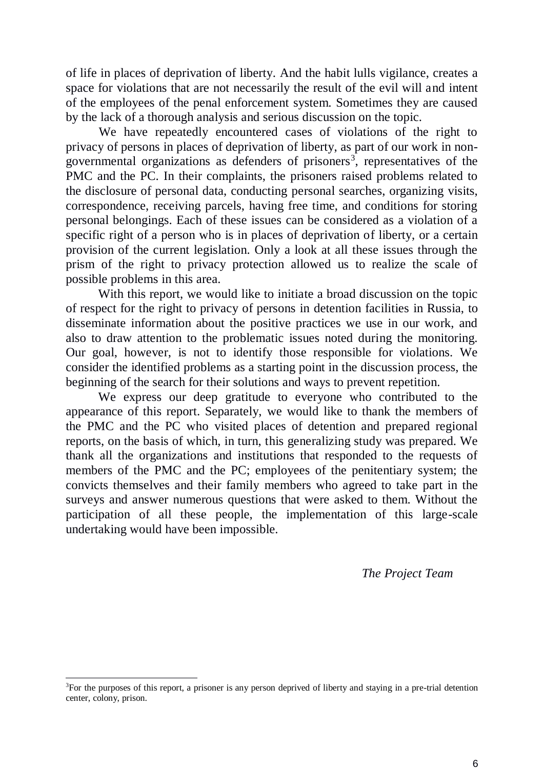of life in places of deprivation of liberty. And the habit lulls vigilance, creates a space for violations that are not necessarily the result of the evil will and intent of the employees of the penal enforcement system. Sometimes they are caused by the lack of a thorough analysis and serious discussion on the topic.

We have repeatedly encountered cases of violations of the right to privacy of persons in places of deprivation of liberty, as part of our work in nongovernmental organizations as defenders of prisoners<sup>3</sup>, representatives of the PMC and the PC. In their complaints, the prisoners raised problems related to the disclosure of personal data, conducting personal searches, organizing visits, correspondence, receiving parcels, having free time, and conditions for storing personal belongings. Each of these issues can be considered as a violation of a specific right of a person who is in places of deprivation of liberty, or a certain provision of the current legislation. Only a look at all these issues through the prism of the right to privacy protection allowed us to realize the scale of possible problems in this area.

With this report, we would like to initiate a broad discussion on the topic of respect for the right to privacy of persons in detention facilities in Russia, to disseminate information about the positive practices we use in our work, and also to draw attention to the problematic issues noted during the monitoring. Our goal, however, is not to identify those responsible for violations. We consider the identified problems as a starting point in the discussion process, the beginning of the search for their solutions and ways to prevent repetition.

We express our deep gratitude to everyone who contributed to the appearance of this report. Separately, we would like to thank the members of the PMC and the PC who visited places of detention and prepared regional reports, on the basis of which, in turn, this generalizing study was prepared. We thank all the organizations and institutions that responded to the requests of members of the PMC and the PC; employees of the penitentiary system; the convicts themselves and their family members who agreed to take part in the surveys and answer numerous questions that were asked to them. Without the participation of all these people, the implementation of this large-scale undertaking would have been impossible.

*The Project Team*

<sup>&</sup>lt;sup>3</sup>For the purposes of this report, a prisoner is any person deprived of liberty and staying in a pre-trial detention center, colony, prison.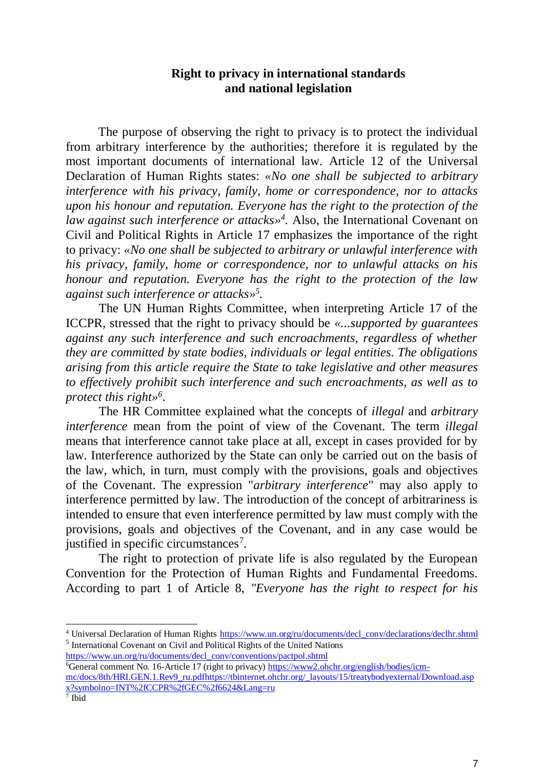### **Right to privacy in international standards and national legislation**

The purpose of observing the right to privacy is to protect the individual from arbitrary interference by the authorities; therefore it is regulated by the most important documents of international law. Article 12 of the Universal Declaration of Human Rights states: *«No one shall be subjected to arbitrary interference with his privacy, family, home or correspondence, nor to attacks upon his honour and reputation. Everyone has the right to the protection of the*  law against such interference or attacks»<sup>4</sup>. Also, the International Covenant on Civil and Political Rights in Article 17 emphasizes the importance of the right to privacy: *«No one shall be subjected to arbitrary or unlawful interference with his privacy, family, home or correspondence, nor to unlawful attacks on his honour and reputation. Everyone has the right to the protection of the law against such interference or attacks» 5 .*

The UN Human Rights Committee, when interpreting Article 17 of the ICCPR, stressed that the right to privacy should be *«...supported by guarantees against any such interference and such encroachments, regardless of whether they are committed by state bodies, individuals or legal entities. The obligations arising from this article require the State to take legislative and other measures to effectively prohibit such interference and such encroachments, as well as to protect this right» 6* .

The HR Committee explained what the concepts of *illegal* and *arbitrary interference* mean from the point of view of the Covenant. The term *illegal* means that interference cannot take place at all, except in cases provided for by law. Interference authorized by the State can only be carried out on the basis of the law, which, in turn, must comply with the provisions, goals and objectives of the Covenant. The expression "*arbitrary interference*" may also apply to interference permitted by law. The introduction of the concept of arbitrariness is intended to ensure that even interference permitted by law must comply with the provisions, goals and objectives of the Covenant, and in any case would be justified in specific circumstances<sup>7</sup>.

The right to protection of private life is also regulated by the European Convention for the Protection of Human Rights and Fundamental Freedoms. According to part 1 of Article 8, *"Everyone has the right to respect for his* 

[https://www.un.org/ru/documents/decl\\_conv/conventions/pactpol.shtml](https://www.un.org/ru/documents/decl_conv/conventions/pactpol.shtml)

<sup>&</sup>lt;sup>4</sup> Universal Declaration of Human Rights [https://www.un.org/ru/documents/decl\\_conv/declarations/declhr.shtml](https://www.un.org/ru/documents/decl_conv/declarations/declhr.shtml) 5 International Covenant on Civil and Political Rights of the United Nations

<sup>&</sup>lt;sup>6</sup>General comment No. 16-Article 17 (right to privacy) [https://www2.ohchr.org/english/bodies/icm](https://www2.ohchr.org/english/bodies/icm-mc/docs/8th/HRI.GEN.1.Rev9_ru.pdf)[mc/docs/8th/HRI.GEN.1.Rev9\\_ru.pdf](https://www2.ohchr.org/english/bodies/icm-mc/docs/8th/HRI.GEN.1.Rev9_ru.pdf)[https://tbinternet.ohchr.org/\\_layouts/15/treatybodyexternal/Download.asp](https://tbinternet.ohchr.org/_layouts/15/treatybodyexternal/Download.aspx?symbolno=INT%2fCCPR%2fGEC%2f6624&Lang=ru) [x?symbolno=INT%2fCCPR%2fGEC%2f6624&Lang=ru](https://tbinternet.ohchr.org/_layouts/15/treatybodyexternal/Download.aspx?symbolno=INT%2fCCPR%2fGEC%2f6624&Lang=ru)<br><sup>7</sup> Ibid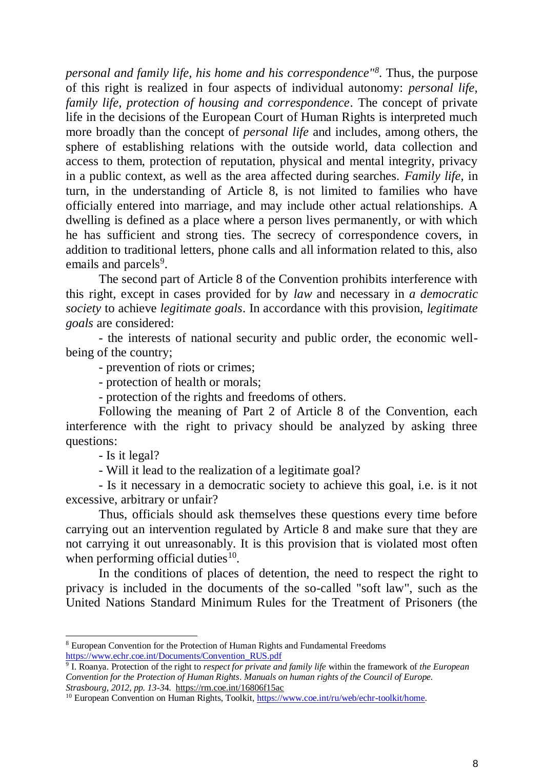*personal and family life, his home and his correspondence"<sup>8</sup>* . Thus, the purpose of this right is realized in four aspects of individual autonomy: *personal life, family life, protection of housing and correspondence*. The concept of private life in the decisions of the European Court of Human Rights is interpreted much more broadly than the concept of *personal life* and includes, among others, the sphere of establishing relations with the outside world, data collection and access to them, protection of reputation, physical and mental integrity, privacy in a public context, as well as the area affected during searches. *Family life*, in turn, in the understanding of Article 8, is not limited to families who have officially entered into marriage, and may include other actual relationships. A dwelling is defined as a place where a person lives permanently, or with which he has sufficient and strong ties. The secrecy of correspondence covers, in addition to traditional letters, phone calls and all information related to this, also emails and parcels<sup>9</sup>.

The second part of Article 8 of the Convention prohibits interference with this right, except in cases provided for by *law* and necessary in *a democratic society* to achieve *legitimate goals*. In accordance with this provision, *legitimate goals* are considered:

- the interests of national security and public order, the economic wellbeing of the country;

- prevention of riots or crimes;

- protection of health or morals;

- protection of the rights and freedoms of others.

Following the meaning of Part 2 of Article 8 of the Convention, each interference with the right to privacy should be analyzed by asking three questions:

- Is it legal?

-

- Will it lead to the realization of a legitimate goal?

- Is it necessary in a democratic society to achieve this goal, i.e. is it not excessive, arbitrary or unfair?

Thus, officials should ask themselves these questions every time before carrying out an intervention regulated by Article 8 and make sure that they are not carrying it out unreasonably. It is this provision that is violated most often when performing official duties $10$ .

In the conditions of places of detention, the need to respect the right to privacy is included in the documents of the so-called "soft law", such as the United Nations Standard Minimum Rules for the Treatment of Prisoners (the

<sup>8</sup> European Convention for the Protection of Human Rights and Fundamental Freedoms [https://www.echr.coe.int/Documents/Convention\\_RUS.pdf](https://www.echr.coe.int/Documents/Convention_RUS.pdf)

<sup>9</sup> I. Roanya. Protection of the right to *respect for private and family life* within the framework of *the European Convention for the Protection of Human Rights*. *Manuals on human rights of the Council of Europe. Strasbourg, 2012, pp. 13-3*4.<https://rm.coe.int/16806f15ac>

<sup>&</sup>lt;sup>10</sup> European Convention on Human Rights, Toolkit, [https://www.coe.int/ru/web/echr-toolkit/home.](https://www.coe.int/ru/web/echr-toolkit/home)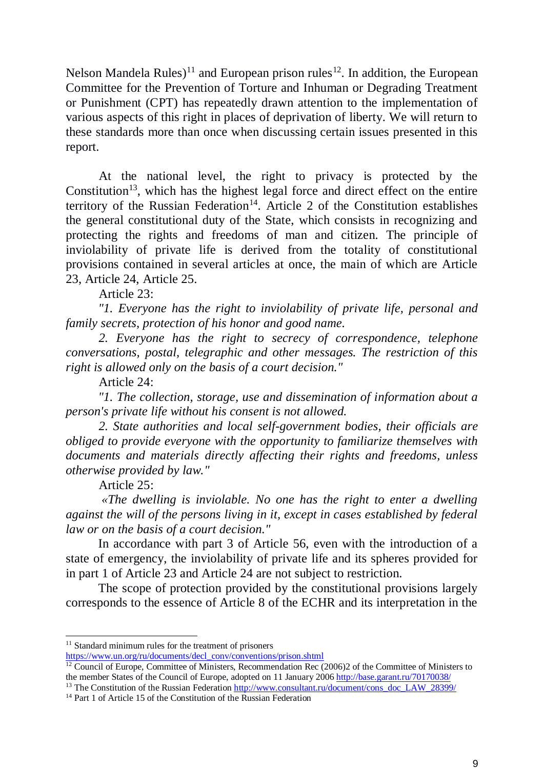Nelson Mandela Rules)<sup>11</sup> and European prison rules<sup>12</sup>. In addition, the European Committee for the Prevention of Torture and Inhuman or Degrading Treatment or Punishment (CPT) has repeatedly drawn attention to the implementation of various aspects of this right in places of deprivation of liberty. We will return to these standards more than once when discussing certain issues presented in this report.

At the national level, the right to privacy is protected by the Constitution<sup>13</sup>, which has the highest legal force and direct effect on the entire territory of the Russian Federation<sup>14</sup>. Article 2 of the Constitution establishes the general constitutional duty of the State, which consists in recognizing and protecting the rights and freedoms of man and citizen. The principle of inviolability of private life is derived from the totality of constitutional provisions contained in several articles at once, the main of which are Article 23, Article 24, Article 25.

Article 23:

*"1. Everyone has the right to inviolability of private life, personal and family secrets, protection of his honor and good name.* 

*2. Everyone has the right to secrecy of correspondence, telephone conversations, postal, telegraphic and other messages. The restriction of this right is allowed only on the basis of a court decision."* 

Article 24:

*"1. The collection, storage, use and dissemination of information about a person's private life without his consent is not allowed.*

*2. State authorities and local self-government bodies, their officials are obliged to provide everyone with the opportunity to familiarize themselves with documents and materials directly affecting their rights and freedoms, unless otherwise provided by law."* 

Article 25:

-

*«The dwelling is inviolable. No one has the right to enter a dwelling against the will of the persons living in it, except in cases established by federal law or on the basis of a court decision."*

In accordance with part 3 of Article 56, even with the introduction of a state of emergency, the inviolability of private life and its spheres provided for in part 1 of Article 23 and Article 24 are not subject to restriction.

The scope of protection provided by the constitutional provisions largely corresponds to the essence of Article 8 of the ECHR and its interpretation in the

<sup>&</sup>lt;sup>11</sup> Standard minimum rules for the treatment of prisoners

[https://www.un.org/ru/documents/decl\\_conv/conventions/prison.shtml](https://www.un.org/ru/documents/decl_conv/conventions/prison.shtml)

<sup>&</sup>lt;sup>12</sup> Council of Europe, Committee of Ministers, Recommendation Rec (2006)2 of the Committee of Ministers to the member States of the Council of Europe, adopted on 11 January 2006 <http://base.garant.ru/70170038/>

<sup>&</sup>lt;sup>13</sup> The Constitution of the Russian Federation [http://www.consultant.ru/document/cons\\_doc\\_LAW\\_28399/](http://www.consultant.ru/document/cons_doc_LAW_28399/)

<sup>&</sup>lt;sup>14</sup> Part 1 of Article 15 of the Constitution of the Russian Federation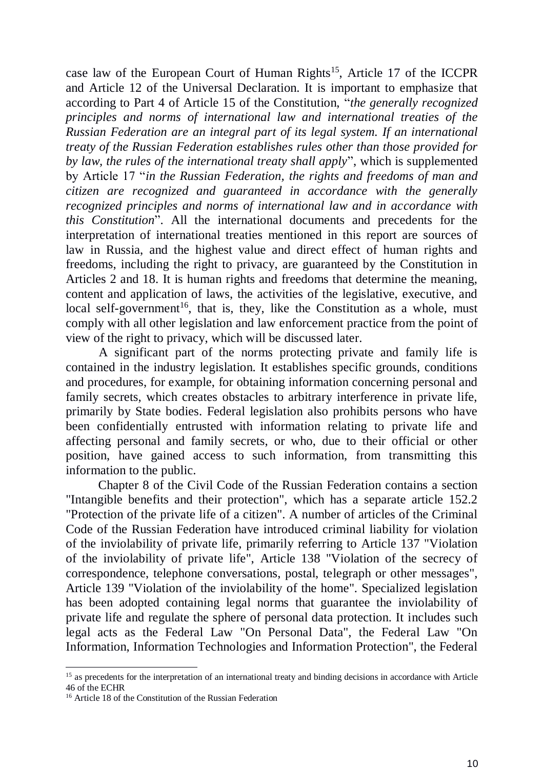case law of the European Court of Human Rights<sup>15</sup>, Article 17 of the ICCPR and Article 12 of the Universal Declaration. It is important to emphasize that according to Part 4 of Article 15 of the Constitution, "*the generally recognized principles and norms of international law and international treaties of the Russian Federation are an integral part of its legal system. If an international treaty of the Russian Federation establishes rules other than those provided for by law, the rules of the international treaty shall apply*", which is supplemented by Article 17 "*in the Russian Federation, the rights and freedoms of man and citizen are recognized and guaranteed in accordance with the generally recognized principles and norms of international law and in accordance with this Constitution*". All the international documents and precedents for the interpretation of international treaties mentioned in this report are sources of law in Russia, and the highest value and direct effect of human rights and freedoms, including the right to privacy, are guaranteed by the Constitution in Articles 2 and 18. It is human rights and freedoms that determine the meaning, content and application of laws, the activities of the legislative, executive, and local self-government<sup>16</sup>, that is, they, like the Constitution as a whole, must comply with all other legislation and law enforcement practice from the point of view of the right to privacy, which will be discussed later.

A significant part of the norms protecting private and family life is contained in the industry legislation. It establishes specific grounds, conditions and procedures, for example, for obtaining information concerning personal and family secrets, which creates obstacles to arbitrary interference in private life, primarily by State bodies. Federal legislation also prohibits persons who have been confidentially entrusted with information relating to private life and affecting personal and family secrets, or who, due to their official or other position, have gained access to such information, from transmitting this information to the public.

Chapter 8 of the Civil Code of the Russian Federation contains a section "Intangible benefits and their protection", which has a separate article 152.2 "Protection of the private life of a citizen". A number of articles of the Criminal Code of the Russian Federation have introduced criminal liability for violation of the inviolability of private life, primarily referring to Article 137 "Violation of the inviolability of private life", Article 138 "Violation of the secrecy of correspondence, telephone conversations, postal, telegraph or other messages", Article 139 "Violation of the inviolability of the home". Specialized legislation has been adopted containing legal norms that guarantee the inviolability of private life and regulate the sphere of personal data protection. It includes such legal acts as the Federal Law "On Personal Data", the Federal Law "On Information, Information Technologies and Information Protection", the Federal

<sup>&</sup>lt;sup>15</sup> as precedents for the interpretation of an international treaty and binding decisions in accordance with Article 46 of the ECHR

<sup>&</sup>lt;sup>16</sup> Article 18 of the Constitution of the Russian Federation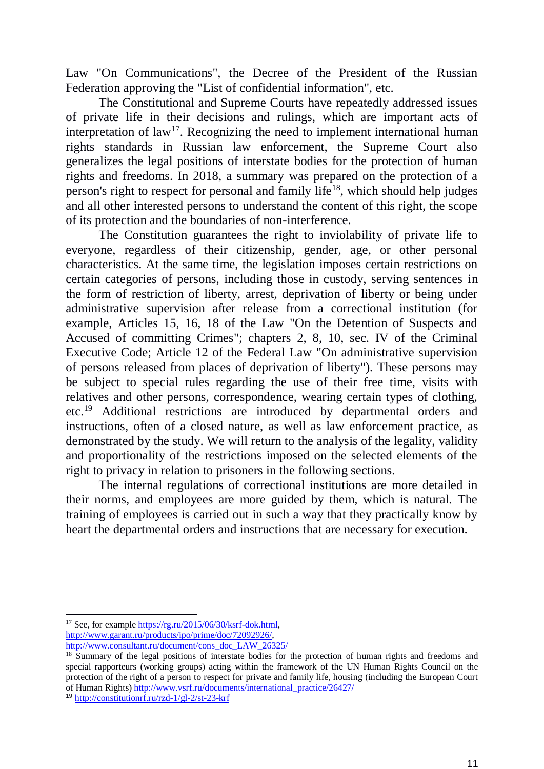Law "On Communications", the Decree of the President of the Russian Federation approving the "List of confidential information", etc.

The Constitutional and Supreme Courts have repeatedly addressed issues of private life in their decisions and rulings, which are important acts of interpretation of law<sup>17</sup>. Recognizing the need to implement international human rights standards in Russian law enforcement, the Supreme Court also generalizes the legal positions of interstate bodies for the protection of human rights and freedoms. In 2018, a summary was prepared on the protection of a person's right to respect for personal and family life<sup>18</sup>, which should help judges and all other interested persons to understand the content of this right, the scope of its protection and the boundaries of non-interference.

The Constitution guarantees the right to inviolability of private life to everyone, regardless of their citizenship, gender, age, or other personal characteristics. At the same time, the legislation imposes certain restrictions on certain categories of persons, including those in custody, serving sentences in the form of restriction of liberty, arrest, deprivation of liberty or being under administrative supervision after release from a correctional institution (for example, Articles 15, 16, 18 of the Law "On the Detention of Suspects and Accused of committing Crimes"; chapters 2, 8, 10, sec. IV of the Criminal Executive Code; Article 12 of the Federal Law "On administrative supervision of persons released from places of deprivation of liberty"). These persons may be subject to special rules regarding the use of their free time, visits with relatives and other persons, correspondence, wearing certain types of clothing, etc.<sup>19</sup> Additional restrictions are introduced by departmental orders and instructions, often of a closed nature, as well as law enforcement practice, as demonstrated by the study. We will return to the analysis of the legality, validity and proportionality of the restrictions imposed on the selected elements of the right to privacy in relation to prisoners in the following sections.

The internal regulations of correctional institutions are more detailed in their norms, and employees are more guided by them, which is natural. The training of employees is carried out in such a way that they practically know by heart the departmental orders and instructions that are necessary for execution.

<sup>-</sup><sup>17</sup> See, for example [https://rg.ru/2015/06/30/ksrf-dok.html,](https://rg.ru/2015/06/30/ksrf-dok.html) [http://www.garant.ru/products/ipo/prime/doc/72092926/,](http://www.garant.ru/products/ipo/prime/doc/72092926/)

[http://www.consultant.ru/document/cons\\_doc\\_LAW\\_26325/](http://www.consultant.ru/document/cons_doc_LAW_26325/)

<sup>&</sup>lt;sup>18</sup> Summary of the legal positions of interstate bodies for the protection of human rights and freedoms and special rapporteurs (working groups) acting within the framework of the UN Human Rights Council on the protection of the right of a person to respect for private and family life, housing (including the European Court of Human Rights) [http://www.vsrf.ru/documents/international\\_practice/26427/](http://www.vsrf.ru/documents/international_practice/26427/)

<sup>19</sup> <http://constitutionrf.ru/rzd-1/gl-2/st-23-krf>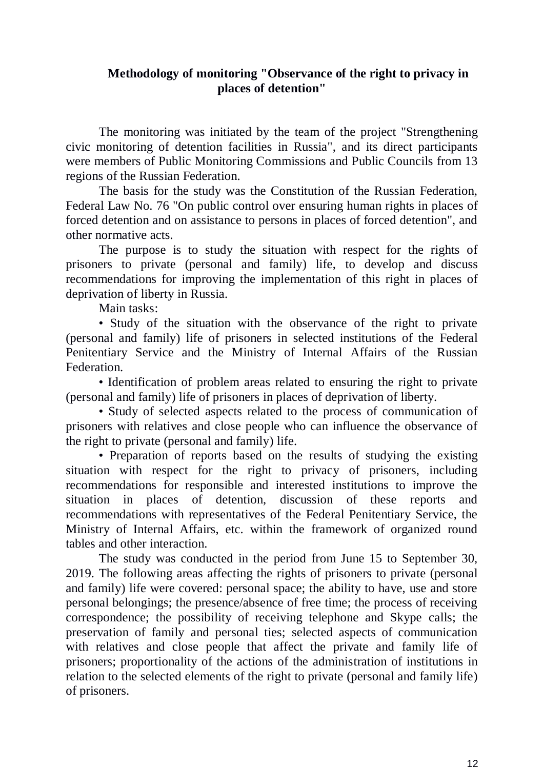## **Methodology of monitoring "Observance of the right to privacy in places of detention"**

The monitoring was initiated by the team of the project "Strengthening civic monitoring of detention facilities in Russia", and its direct participants were members of Public Monitoring Commissions and Public Councils from 13 regions of the Russian Federation.

The basis for the study was the Constitution of the Russian Federation, Federal Law No. 76 "On public control over ensuring human rights in places of forced detention and on assistance to persons in places of forced detention", and other normative acts.

The purpose is to study the situation with respect for the rights of prisoners to private (personal and family) life, to develop and discuss recommendations for improving the implementation of this right in places of deprivation of liberty in Russia.

Main tasks:

• Study of the situation with the observance of the right to private (personal and family) life of prisoners in selected institutions of the Federal Penitentiary Service and the Ministry of Internal Affairs of the Russian Federation.

• Identification of problem areas related to ensuring the right to private (personal and family) life of prisoners in places of deprivation of liberty.

• Study of selected aspects related to the process of communication of prisoners with relatives and close people who can influence the observance of the right to private (personal and family) life.

• Preparation of reports based on the results of studying the existing situation with respect for the right to privacy of prisoners, including recommendations for responsible and interested institutions to improve the situation in places of detention, discussion of these reports and recommendations with representatives of the Federal Penitentiary Service, the Ministry of Internal Affairs, etc. within the framework of organized round tables and other interaction.

The study was conducted in the period from June 15 to September 30, 2019. The following areas affecting the rights of prisoners to private (personal and family) life were covered: personal space; the ability to have, use and store personal belongings; the presence/absence of free time; the process of receiving correspondence; the possibility of receiving telephone and Skype calls; the preservation of family and personal ties; selected aspects of communication with relatives and close people that affect the private and family life of prisoners; proportionality of the actions of the administration of institutions in relation to the selected elements of the right to private (personal and family life) of prisoners.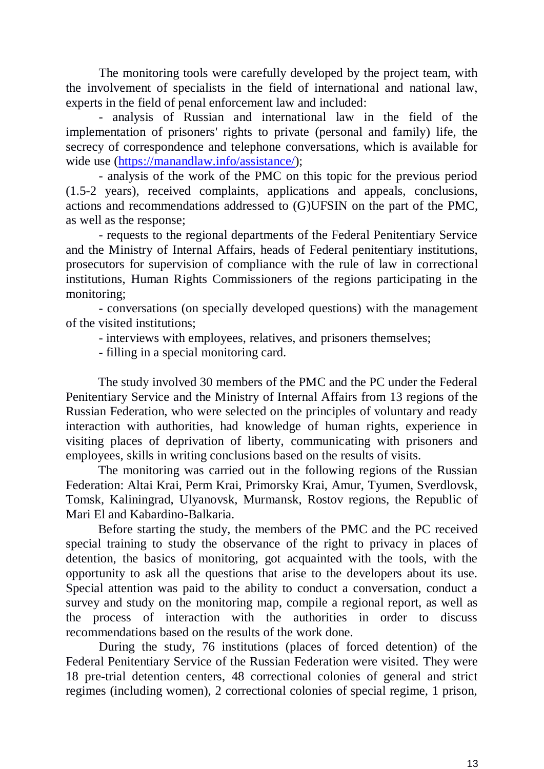The monitoring tools were carefully developed by the project team, with the involvement of specialists in the field of international and national law, experts in the field of penal enforcement law and included:

- analysis of Russian and international law in the field of the implementation of prisoners' rights to private (personal and family) life, the secrecy of correspondence and telephone conversations, which is available for wide use [\(https://manandlaw.info/assistance/\)](https://manandlaw.info/assistance/);

- analysis of the work of the PMC on this topic for the previous period (1.5-2 years), received complaints, applications and appeals, conclusions, actions and recommendations addressed to (G)UFSIN on the part of the PMC, as well as the response;

- requests to the regional departments of the Federal Penitentiary Service and the Ministry of Internal Affairs, heads of Federal penitentiary institutions, prosecutors for supervision of compliance with the rule of law in correctional institutions, Human Rights Commissioners of the regions participating in the monitoring;

- conversations (on specially developed questions) with the management of the visited institutions;

- interviews with employees, relatives, and prisoners themselves;

- filling in a special monitoring card.

The study involved 30 members of the PMC and the PC under the Federal Penitentiary Service and the Ministry of Internal Affairs from 13 regions of the Russian Federation, who were selected on the principles of voluntary and ready interaction with authorities, had knowledge of human rights, experience in visiting places of deprivation of liberty, communicating with prisoners and employees, skills in writing conclusions based on the results of visits.

The monitoring was carried out in the following regions of the Russian Federation: Altai Krai, Perm Krai, Primorsky Krai, Amur, Tyumen, Sverdlovsk, Tomsk, Kaliningrad, Ulyanovsk, Murmansk, Rostov regions, the Republic of Mari El and Kabardino-Balkaria.

Before starting the study, the members of the PMC and the PC received special training to study the observance of the right to privacy in places of detention, the basics of monitoring, got acquainted with the tools, with the opportunity to ask all the questions that arise to the developers about its use. Special attention was paid to the ability to conduct a conversation, conduct a survey and study on the monitoring map, compile a regional report, as well as the process of interaction with the authorities in order to discuss recommendations based on the results of the work done.

During the study, 76 institutions (places of forced detention) of the Federal Penitentiary Service of the Russian Federation were visited. They were 18 pre-trial detention centers, 48 correctional colonies of general and strict regimes (including women), 2 correctional colonies of special regime, 1 prison,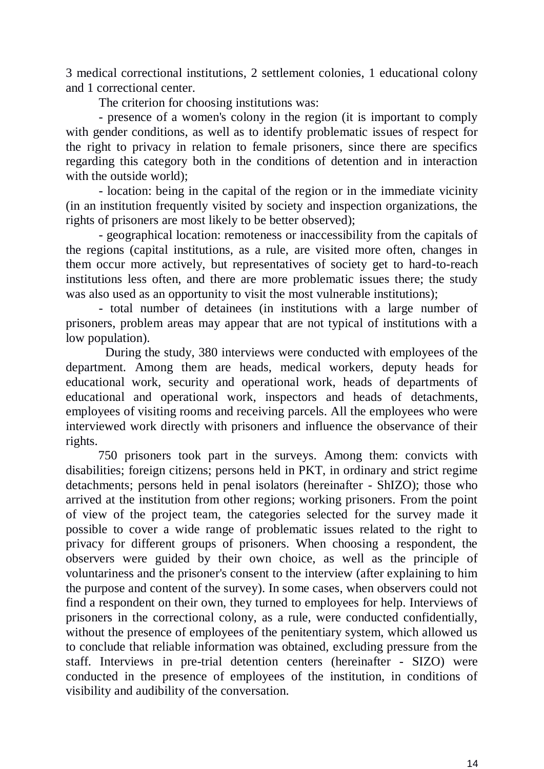3 medical correctional institutions, 2 settlement colonies, 1 educational colony and 1 correctional center.

The criterion for choosing institutions was:

- presence of a women's colony in the region (it is important to comply with gender conditions, as well as to identify problematic issues of respect for the right to privacy in relation to female prisoners, since there are specifics regarding this category both in the conditions of detention and in interaction with the outside world);

- location: being in the capital of the region or in the immediate vicinity (in an institution frequently visited by society and inspection organizations, the rights of prisoners are most likely to be better observed);

- geographical location: remoteness or inaccessibility from the capitals of the regions (capital institutions, as a rule, are visited more often, changes in them occur more actively, but representatives of society get to hard-to-reach institutions less often, and there are more problematic issues there; the study was also used as an opportunity to visit the most vulnerable institutions);

- total number of detainees (in institutions with a large number of prisoners, problem areas may appear that are not typical of institutions with a low population).

During the study, 380 interviews were conducted with employees of the department. Among them are heads, medical workers, deputy heads for educational work, security and operational work, heads of departments of educational and operational work, inspectors and heads of detachments, employees of visiting rooms and receiving parcels. All the employees who were interviewed work directly with prisoners and influence the observance of their rights.

750 prisoners took part in the surveys. Among them: convicts with disabilities; foreign citizens; persons held in PKT, in ordinary and strict regime detachments; persons held in penal isolators (hereinafter - ShIZO); those who arrived at the institution from other regions; working prisoners. From the point of view of the project team, the categories selected for the survey made it possible to cover a wide range of problematic issues related to the right to privacy for different groups of prisoners. When choosing a respondent, the observers were guided by their own choice, as well as the principle of voluntariness and the prisoner's consent to the interview (after explaining to him the purpose and content of the survey). In some cases, when observers could not find a respondent on their own, they turned to employees for help. Interviews of prisoners in the correctional colony, as a rule, were conducted confidentially, without the presence of employees of the penitentiary system, which allowed us to conclude that reliable information was obtained, excluding pressure from the staff. Interviews in pre-trial detention centers (hereinafter - SIZO) were conducted in the presence of employees of the institution, in conditions of visibility and audibility of the conversation.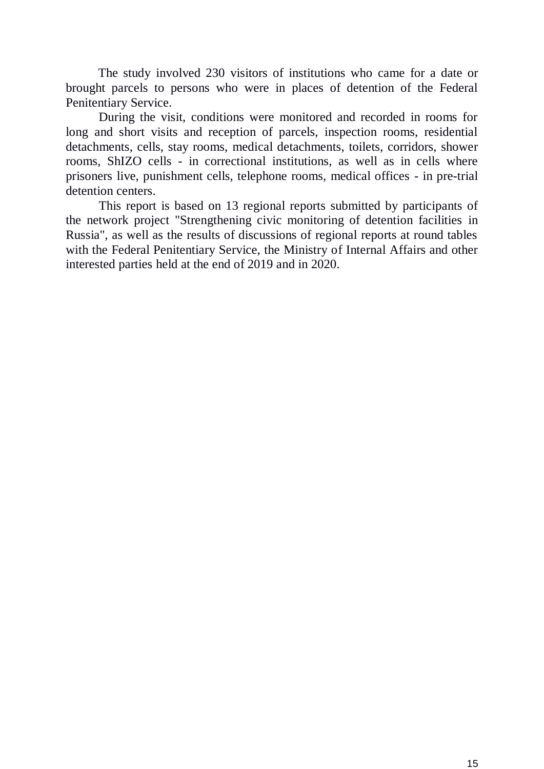The study involved 230 visitors of institutions who came for a date or brought parcels to persons who were in places of detention of the Federal Penitentiary Service.

During the visit, conditions were monitored and recorded in rooms for long and short visits and reception of parcels, inspection rooms, residential detachments, cells, stay rooms, medical detachments, toilets, corridors, shower rooms, ShIZO cells - in correctional institutions, as well as in cells where prisoners live, punishment cells, telephone rooms, medical offices - in pre-trial detention centers.

This report is based on 13 regional reports submitted by participants of the network project "Strengthening civic monitoring of detention facilities in Russia", as well as the results of discussions of regional reports at round tables with the Federal Penitentiary Service, the Ministry of Internal Affairs and other interested parties held at the end of 2019 and in 2020.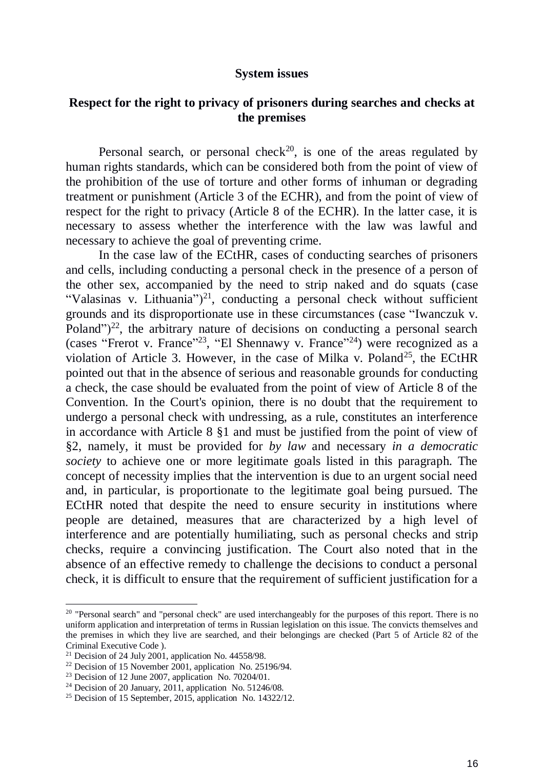#### **System issues**

### **Respect for the right to privacy of prisoners during searches and checks at the premises**

Personal search, or personal check<sup>20</sup>, is one of the areas regulated by human rights standards, which can be considered both from the point of view of the prohibition of the use of torture and other forms of inhuman or degrading treatment or punishment (Article 3 of the ECHR), and from the point of view of respect for the right to privacy (Article 8 of the ECHR). In the latter case, it is necessary to assess whether the interference with the law was lawful and necessary to achieve the goal of preventing crime.

In the case law of the ECtHR, cases of conducting searches of prisoners and cells, including conducting a personal check in the presence of a person of the other sex, accompanied by the need to strip naked and do squats (case "Valasinas v. Lithuania")<sup>21</sup>, conducting a personal check without sufficient grounds and its disproportionate use in these circumstances (case "Iwanczuk v. Poland" $)^{22}$ , the arbitrary nature of decisions on conducting a personal search (cases "Frerot v. France"<sup>23</sup>, "El Shennawy v. France"<sup>24</sup>) were recognized as a violation of Article 3. However, in the case of Milka v. Poland<sup>25</sup>, the ECtHR pointed out that in the absence of serious and reasonable grounds for conducting a check, the case should be evaluated from the point of view of Article 8 of the Convention. In the Court's opinion, there is no doubt that the requirement to undergo a personal check with undressing, as a rule, constitutes an interference in accordance with Article 8 §1 and must be justified from the point of view of §2, namely, it must be provided for *by law* and necessary *in a democratic society* to achieve one or more legitimate goals listed in this paragraph. The concept of necessity implies that the intervention is due to an urgent social need and, in particular, is proportionate to the legitimate goal being pursued. The ECtHR noted that despite the need to ensure security in institutions where people are detained, measures that are characterized by a high level of interference and are potentially humiliating, such as personal checks and strip checks, require a convincing justification. The Court also noted that in the absence of an effective remedy to challenge the decisions to conduct a personal check, it is difficult to ensure that the requirement of sufficient justification for a

<sup>&</sup>lt;sup>20</sup> "Personal search" and "personal check" are used interchangeably for the purposes of this report. There is no uniform application and interpretation of terms in Russian legislation on this issue. The convicts themselves and the premises in which they live are searched, and their belongings are checked (Part 5 of Article 82 of the Criminal Executive Code ).

<sup>&</sup>lt;sup>21</sup> Decision of 24 July 2001, application No.  $44558/98$ .

<sup>&</sup>lt;sup>22</sup> Decision of 15 November 2001, application No. 25196/94.

<sup>&</sup>lt;sup>23</sup> Decision of 12 June 2007, application No. 70204/01.

 $24$  Decision of 20 January, 2011, application No. 51246/08.

<sup>&</sup>lt;sup>25</sup> Decision of 15 September, 2015, application No. 14322/12.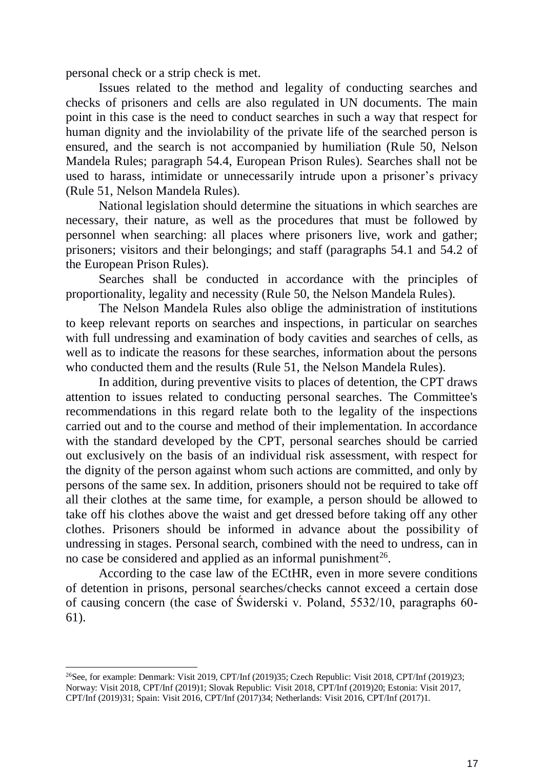personal check or a strip check is met.

Issues related to the method and legality of conducting searches and checks of prisoners and cells are also regulated in UN documents. The main point in this case is the need to conduct searches in such a way that respect for human dignity and the inviolability of the private life of the searched person is ensured, and the search is not accompanied by humiliation (Rule 50, Nelson Mandela Rules; paragraph 54.4, European Prison Rules). Searches shall not be used to harass, intimidate or unnecessarily intrude upon a prisoner's privacy (Rule 51, Nelson Mandela Rules).

National legislation should determine the situations in which searches are necessary, their nature, as well as the procedures that must be followed by personnel when searching: all places where prisoners live, work and gather; prisoners; visitors and their belongings; and staff (paragraphs 54.1 and 54.2 of the European Prison Rules).

Searches shall be conducted in accordance with the principles of proportionality, legality and necessity (Rule 50, the Nelson Mandela Rules).

The Nelson Mandela Rules also oblige the administration of institutions to keep relevant reports on searches and inspections, in particular on searches with full undressing and examination of body cavities and searches of cells, as well as to indicate the reasons for these searches, information about the persons who conducted them and the results (Rule 51, the Nelson Mandela Rules).

In addition, during preventive visits to places of detention, the CPT draws attention to issues related to conducting personal searches. The Committee's recommendations in this regard relate both to the legality of the inspections carried out and to the course and method of their implementation. In accordance with the standard developed by the CPT, personal searches should be carried out exclusively on the basis of an individual risk assessment, with respect for the dignity of the person against whom such actions are committed, and only by persons of the same sex. In addition, prisoners should not be required to take off all their clothes at the same time, for example, a person should be allowed to take off his clothes above the waist and get dressed before taking off any other clothes. Prisoners should be informed in advance about the possibility of undressing in stages. Personal search, combined with the need to undress, can in no case be considered and applied as an informal punishment<sup>26</sup>.

According to the case law of the ECtHR, even in more severe conditions of detention in prisons, personal searches/checks cannot exceed a certain dose of causing concern (the case of Świderski v. Poland, 5532/10, paragraphs 60- 61).

<sup>&</sup>lt;sup>26</sup>See, for example: Denmark: Visit 2019, CPT/Inf (2019)35; Czech Republic: Visit 2018, CPT/Inf (2019)23; Norway: Visit 2018, CPT/Inf (2019)1; Slovak Republic: Visit 2018, CPT/Inf (2019)20; Estonia: Visit 2017, CPT/Inf (2019)31; Spain: Visit 2016, CPT/Inf (2017)34; Netherlands: Visit 2016, CPT/Inf (2017)1.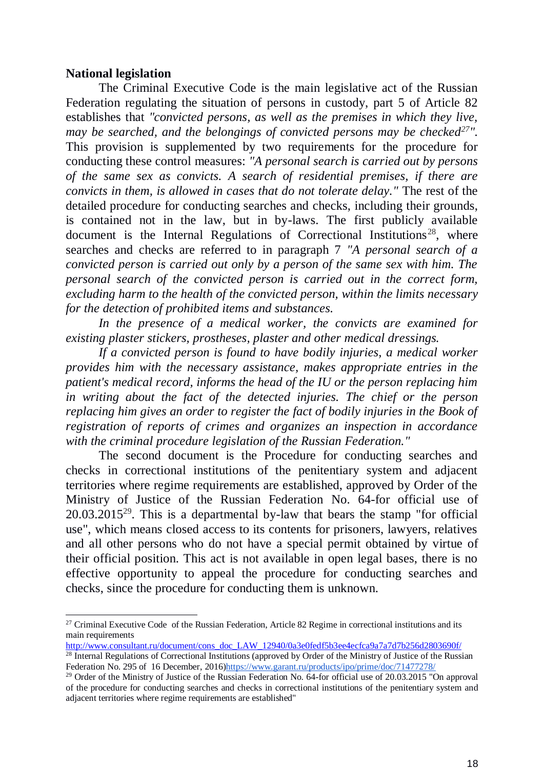### **National legislation**

-

The Criminal Executive Code is the main legislative act of the Russian Federation regulating the situation of persons in custody, part 5 of Article 82 establishes that *"convicted persons, as well as the premises in which they live, may be searched, and the belongings of convicted persons may be checked<sup>27</sup>".* This provision is supplemented by two requirements for the procedure for conducting these control measures: *"A personal search is carried out by persons of the same sex as convicts. A search of residential premises, if there are convicts in them, is allowed in cases that do not tolerate delay."* The rest of the detailed procedure for conducting searches and checks, including their grounds, is contained not in the law, but in by-laws. The first publicly available document is the Internal Regulations of Correctional Institutions<sup>28</sup>, where searches and checks are referred to in paragraph 7 *"A personal search of a convicted person is carried out only by a person of the same sex with him. The personal search of the convicted person is carried out in the correct form, excluding harm to the health of the convicted person, within the limits necessary for the detection of prohibited items and substances.* 

*In the presence of a medical worker, the convicts are examined for existing plaster stickers, prostheses, plaster and other medical dressings.*

*If a convicted person is found to have bodily injuries, a medical worker provides him with the necessary assistance, makes appropriate entries in the patient's medical record, informs the head of the IU or the person replacing him in writing about the fact of the detected injuries. The chief or the person replacing him gives an order to register the fact of bodily injuries in the Book of registration of reports of crimes and organizes an inspection in accordance with the criminal procedure legislation of the Russian Federation."*

The second document is the Procedure for conducting searches and checks in correctional institutions of the penitentiary system and adjacent territories where regime requirements are established, approved by Order of the Ministry of Justice of the Russian Federation No. 64-for official use of  $20.03.2015^{29}$ . This is a departmental by-law that bears the stamp "for official use", which means closed access to its contents for prisoners, lawyers, relatives and all other persons who do not have a special permit obtained by virtue of their official position. This act is not available in open legal bases, there is no effective opportunity to appeal the procedure for conducting searches and checks, since the procedure for conducting them is unknown.

[http://www.consultant.ru/document/cons\\_doc\\_LAW\\_12940/0a3e0fedf5b3ee4ecfca9a7a7d7b256d2803690f/](http://www.consultant.ru/document/cons_doc_LAW_12940/0a3e0fedf5b3ee4ecfca9a7a7d7b256d2803690f/)

<sup>&</sup>lt;sup>27</sup> Criminal Executive Code of the Russian Federation, Article 82 Regime in correctional institutions and its main requirements

<sup>&</sup>lt;sup>28</sup> Internal Regulations of Correctional Institutions (approved by Order of the Ministry of Justice of the Russian Federation No. 295 of 16 December, 2016[\)https://www.garant.ru/products/ipo/prime/doc/71477278/](https://www.garant.ru/products/ipo/prime/doc/71477278/)

<sup>&</sup>lt;sup>29</sup> Order of the Ministry of Justice of the Russian Federation No. 64-for official use of 20.03.2015 "On approval of the procedure for conducting searches and checks in correctional institutions of the penitentiary system and adjacent territories where regime requirements are established"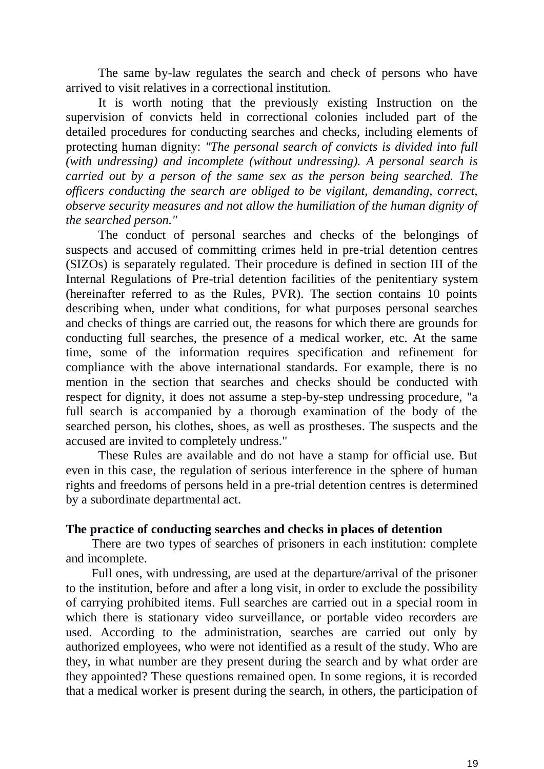The same by-law regulates the search and check of persons who have arrived to visit relatives in a correctional institution.

It is worth noting that the previously existing Instruction on the supervision of convicts held in correctional colonies included part of the detailed procedures for conducting searches and checks, including elements of protecting human dignity: *"The personal search of convicts is divided into full (with undressing) and incomplete (without undressing). A personal search is carried out by a person of the same sex as the person being searched. The officers conducting the search are obliged to be vigilant, demanding, correct, observe security measures and not allow the humiliation of the human dignity of the searched person."*

The conduct of personal searches and checks of the belongings of suspects and accused of committing crimes held in pre-trial detention centres (SIZOs) is separately regulated. Their procedure is defined in section III of the Internal Regulations of Pre-trial detention facilities of the penitentiary system (hereinafter referred to as the Rules, PVR). The section contains 10 points describing when, under what conditions, for what purposes personal searches and checks of things are carried out, the reasons for which there are grounds for conducting full searches, the presence of a medical worker, etc. At the same time, some of the information requires specification and refinement for compliance with the above international standards. For example, there is no mention in the section that searches and checks should be conducted with respect for dignity, it does not assume a step-by-step undressing procedure, "a full search is accompanied by a thorough examination of the body of the searched person, his clothes, shoes, as well as prostheses. The suspects and the accused are invited to completely undress."

These Rules are available and do not have a stamp for official use. But even in this case, the regulation of serious interference in the sphere of human rights and freedoms of persons held in a pre-trial detention centres is determined by a subordinate departmental act.

#### **The practice of conducting searches and checks in places of detention**

There are two types of searches of prisoners in each institution: complete and incomplete.

Full ones, with undressing, are used at the departure/arrival of the prisoner to the institution, before and after a long visit, in order to exclude the possibility of carrying prohibited items. Full searches are carried out in a special room in which there is stationary video surveillance, or portable video recorders are used. According to the administration, searches are carried out only by authorized employees, who were not identified as a result of the study. Who are they, in what number are they present during the search and by what order are they appointed? These questions remained open. In some regions, it is recorded that a medical worker is present during the search, in others, the participation of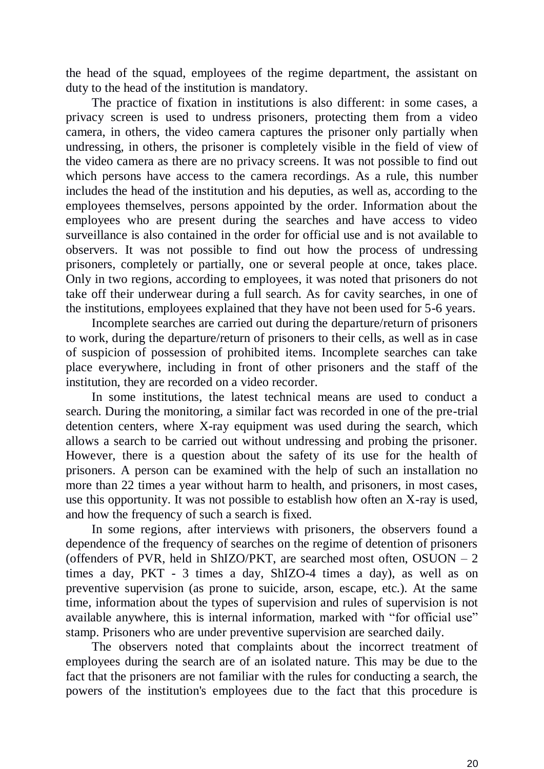the head of the squad, employees of the regime department, the assistant on duty to the head of the institution is mandatory.

The practice of fixation in institutions is also different: in some cases, a privacy screen is used to undress prisoners, protecting them from a video camera, in others, the video camera captures the prisoner only partially when undressing, in others, the prisoner is completely visible in the field of view of the video camera as there are no privacy screens. It was not possible to find out which persons have access to the camera recordings. As a rule, this number includes the head of the institution and his deputies, as well as, according to the employees themselves, persons appointed by the order. Information about the employees who are present during the searches and have access to video surveillance is also contained in the order for official use and is not available to observers. It was not possible to find out how the process of undressing prisoners, completely or partially, one or several people at once, takes place. Only in two regions, according to employees, it was noted that prisoners do not take off their underwear during a full search. As for cavity searches, in one of the institutions, employees explained that they have not been used for 5-6 years.

Incomplete searches are carried out during the departure/return of prisoners to work, during the departure/return of prisoners to their cells, as well as in case of suspicion of possession of prohibited items. Incomplete searches can take place everywhere, including in front of other prisoners and the staff of the institution, they are recorded on a video recorder.

In some institutions, the latest technical means are used to conduct a search. During the monitoring, a similar fact was recorded in one of the pre-trial detention centers, where X-ray equipment was used during the search, which allows a search to be carried out without undressing and probing the prisoner. However, there is a question about the safety of its use for the health of prisoners. A person can be examined with the help of such an installation no more than 22 times a year without harm to health, and prisoners, in most cases, use this opportunity. It was not possible to establish how often an X-ray is used, and how the frequency of such a search is fixed.

In some regions, after interviews with prisoners, the observers found a dependence of the frequency of searches on the regime of detention of prisoners (offenders of PVR, held in ShIZO/PKT, are searched most often, OSUON – 2 times a day, PKT - 3 times a day, ShIZO-4 times a day), as well as on preventive supervision (as prone to suicide, arson, escape, etc.). At the same time, information about the types of supervision and rules of supervision is not available anywhere, this is internal information, marked with "for official use" stamp. Prisoners who are under preventive supervision are searched daily.

The observers noted that complaints about the incorrect treatment of employees during the search are of an isolated nature. This may be due to the fact that the prisoners are not familiar with the rules for conducting a search, the powers of the institution's employees due to the fact that this procedure is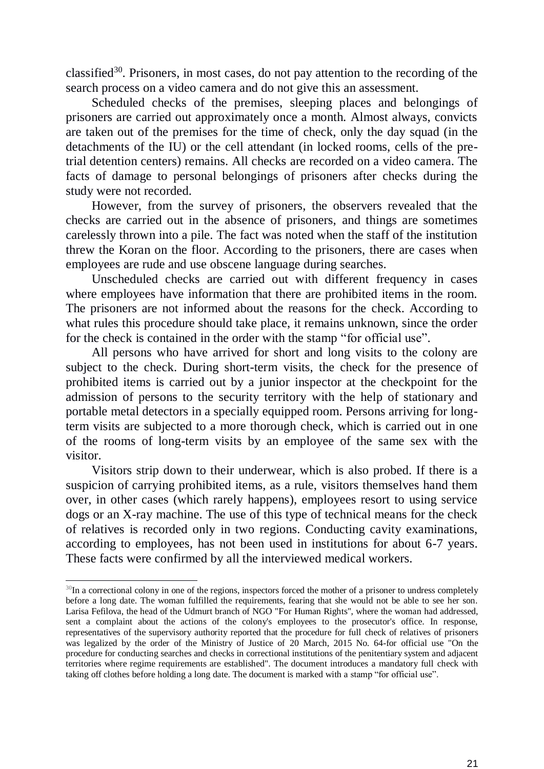classified<sup>30</sup>. Prisoners, in most cases, do not pay attention to the recording of the search process on a video camera and do not give this an assessment.

Scheduled checks of the premises, sleeping places and belongings of prisoners are carried out approximately once a month. Almost always, convicts are taken out of the premises for the time of check, only the day squad (in the detachments of the IU) or the cell attendant (in locked rooms, cells of the pretrial detention centers) remains. All checks are recorded on a video camera. The facts of damage to personal belongings of prisoners after checks during the study were not recorded.

However, from the survey of prisoners, the observers revealed that the checks are carried out in the absence of prisoners, and things are sometimes carelessly thrown into a pile. The fact was noted when the staff of the institution threw the Koran on the floor. According to the prisoners, there are cases when employees are rude and use obscene language during searches.

Unscheduled checks are carried out with different frequency in cases where employees have information that there are prohibited items in the room. The prisoners are not informed about the reasons for the check. According to what rules this procedure should take place, it remains unknown, since the order for the check is contained in the order with the stamp "for official use".

All persons who have arrived for short and long visits to the colony are subject to the check. During short-term visits, the check for the presence of prohibited items is carried out by a junior inspector at the checkpoint for the admission of persons to the security territory with the help of stationary and portable metal detectors in a specially equipped room. Persons arriving for longterm visits are subjected to a more thorough check, which is carried out in one of the rooms of long-term visits by an employee of the same sex with the visitor.

Visitors strip down to their underwear, which is also probed. If there is a suspicion of carrying prohibited items, as a rule, visitors themselves hand them over, in other cases (which rarely happens), employees resort to using service dogs or an X-ray machine. The use of this type of technical means for the check of relatives is recorded only in two regions. Conducting cavity examinations, according to employees, has not been used in institutions for about 6-7 years. These facts were confirmed by all the interviewed medical workers.

 $30$ In a correctional colony in one of the regions, inspectors forced the mother of a prisoner to undress completely before a long date. The woman fulfilled the requirements, fearing that she would not be able to see her son. Larisa Fefilova, the head of the Udmurt branch of NGO "For Human Rights", where the woman had addressed, sent a complaint about the actions of the colony's employees to the prosecutor's office. In response, representatives of the supervisory authority reported that the procedure for full check of relatives of prisoners was legalized by the order of the Ministry of Justice of 20 March, 2015 No. 64-for official use "On the procedure for conducting searches and checks in correctional institutions of the penitentiary system and adjacent territories where regime requirements are established". The document introduces a mandatory full check with taking off clothes before holding a long date. The document is marked with a stamp "for official use".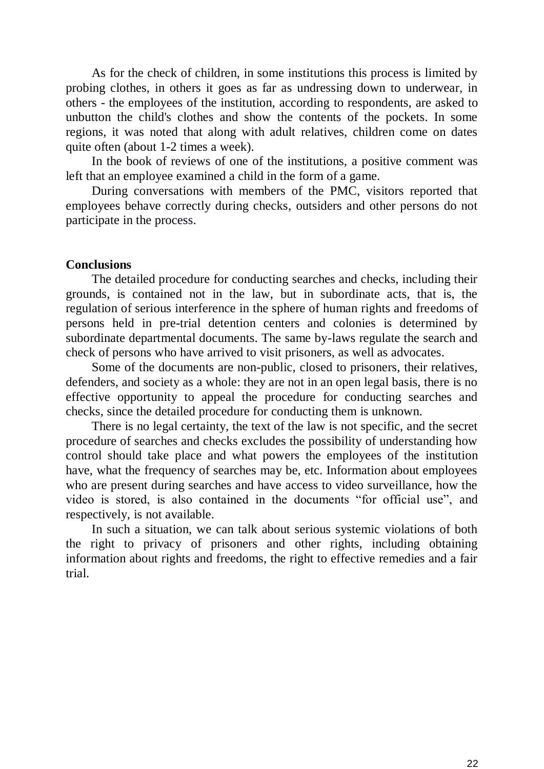As for the check of children, in some institutions this process is limited by probing clothes, in others it goes as far as undressing down to underwear, in others - the employees of the institution, according to respondents, are asked to unbutton the child's clothes and show the contents of the pockets. In some regions, it was noted that along with adult relatives, children come on dates quite often (about 1-2 times a week).

In the book of reviews of one of the institutions, a positive comment was left that an employee examined a child in the form of a game.

During conversations with members of the PMC, visitors reported that employees behave correctly during checks, outsiders and other persons do not participate in the process.

#### **Conclusions**

The detailed procedure for conducting searches and checks, including their grounds, is contained not in the law, but in subordinate acts, that is, the regulation of serious interference in the sphere of human rights and freedoms of persons held in pre-trial detention centers and colonies is determined by subordinate departmental documents. The same by-laws regulate the search and check of persons who have arrived to visit prisoners, as well as advocates.

Some of the documents are non-public, closed to prisoners, their relatives, defenders, and society as a whole: they are not in an open legal basis, there is no effective opportunity to appeal the procedure for conducting searches and checks, since the detailed procedure for conducting them is unknown.

There is no legal certainty, the text of the law is not specific, and the secret procedure of searches and checks excludes the possibility of understanding how control should take place and what powers the employees of the institution have, what the frequency of searches may be, etc. Information about employees who are present during searches and have access to video surveillance, how the video is stored, is also contained in the documents "for official use", and respectively, is not available.

In such a situation, we can talk about serious systemic violations of both the right to privacy of prisoners and other rights, including obtaining information about rights and freedoms, the right to effective remedies and a fair trial.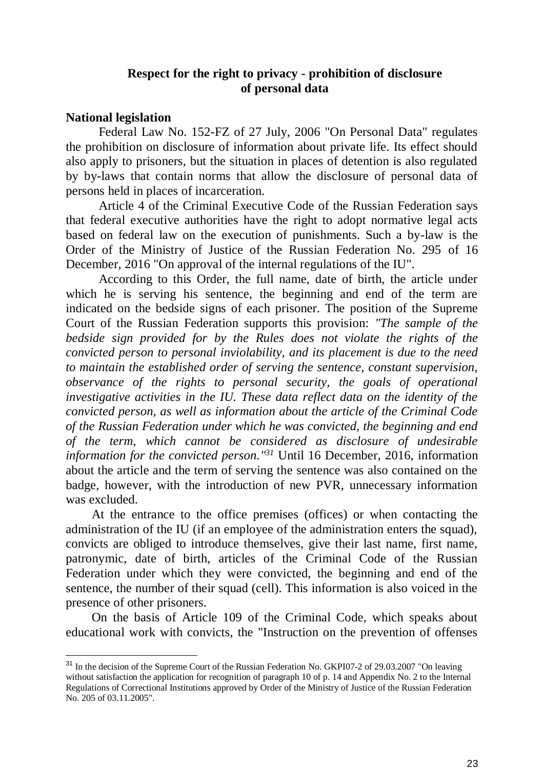### **Respect for the right to privacy - prohibition of disclosure of personal data**

### **National legislation**

-

Federal Law No. 152-FZ of 27 July, 2006 "On Personal Data" regulates the prohibition on disclosure of information about private life. Its effect should also apply to prisoners, but the situation in places of detention is also regulated by by-laws that contain norms that allow the disclosure of personal data of persons held in places of incarceration.

Article 4 of the Criminal Executive Code of the Russian Federation says that federal executive authorities have the right to adopt normative legal acts based on federal law on the execution of punishments. Such a by-law is the Order of the Ministry of Justice of the Russian Federation No. 295 of 16 December, 2016 "On approval of the internal regulations of the IU".

According to this Order, the full name, date of birth, the article under which he is serving his sentence, the beginning and end of the term are indicated on the bedside signs of each prisoner. The position of the Supreme Court of the Russian Federation supports this provision: *"The sample of the bedside sign provided for by the Rules does not violate the rights of the convicted person to personal inviolability, and its placement is due to the need to maintain the established order of serving the sentence, constant supervision, observance of the rights to personal security, the goals of operational investigative activities in the IU. These data reflect data on the identity of the convicted person, as well as information about the article of the Criminal Code of the Russian Federation under which he was convicted, the beginning and end of the term, which cannot be considered as disclosure of undesirable information for the convicted person.*<sup>"31</sup> Until 16 December, 2016, information about the article and the term of serving the sentence was also contained on the badge, however, with the introduction of new PVR, unnecessary information was excluded.

At the entrance to the office premises (offices) or when contacting the administration of the IU (if an employee of the administration enters the squad), convicts are obliged to introduce themselves, give their last name, first name, patronymic, date of birth, articles of the Criminal Code of the Russian Federation under which they were convicted, the beginning and end of the sentence, the number of their squad (cell). This information is also voiced in the presence of other prisoners.

On the basis of Article 109 of the Criminal Code, which speaks about educational work with convicts, the "Instruction on the prevention of offenses

<sup>&</sup>lt;sup>31</sup> In the decision of the Supreme Court of the Russian Federation No. GKPI07-2 of 29.03.2007 "On leaving without satisfaction the application for recognition of paragraph 10 of p. 14 and Appendix No. 2 to the Internal Regulations of Correctional Institutions approved by Order of the Ministry of Justice of the Russian Federation No. 205 of 03.11.2005".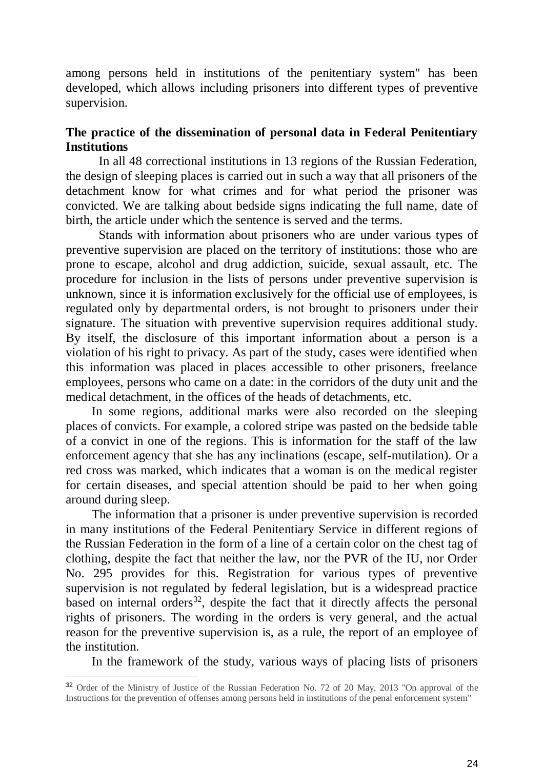among persons held in institutions of the penitentiary system" has been developed, which allows including prisoners into different types of preventive supervision.

## **The practice of the dissemination of personal data in Federal Penitentiary Institutions**

In all 48 correctional institutions in 13 regions of the Russian Federation, the design of sleeping places is carried out in such a way that all prisoners of the detachment know for what crimes and for what period the prisoner was convicted. We are talking about bedside signs indicating the full name, date of birth, the article under which the sentence is served and the terms.

Stands with information about prisoners who are under various types of preventive supervision are placed on the territory of institutions: those who are prone to escape, alcohol and drug addiction, suicide, sexual assault, etc. The procedure for inclusion in the lists of persons under preventive supervision is unknown, since it is information exclusively for the official use of employees, is regulated only by departmental orders, is not brought to prisoners under their signature. The situation with preventive supervision requires additional study. By itself, the disclosure of this important information about a person is a violation of his right to privacy. As part of the study, cases were identified when this information was placed in places accessible to other prisoners, freelance employees, persons who came on a date: in the corridors of the duty unit and the medical detachment, in the offices of the heads of detachments, etc.

In some regions, additional marks were also recorded on the sleeping places of convicts. For example, a colored stripe was pasted on the bedside table of a convict in one of the regions. This is information for the staff of the law enforcement agency that she has any inclinations (escape, self-mutilation). Or a red cross was marked, which indicates that a woman is on the medical register for certain diseases, and special attention should be paid to her when going around during sleep.

The information that a prisoner is under preventive supervision is recorded in many institutions of the Federal Penitentiary Service in different regions of the Russian Federation in the form of a line of a certain color on the chest tag of clothing, despite the fact that neither the law, nor the PVR of the IU, nor Order No. 295 provides for this. Registration for various types of preventive supervision is not regulated by federal legislation, but is a widespread practice based on internal orders $^{32}$ , despite the fact that it directly affects the personal rights of prisoners. The wording in the orders is very general, and the actual reason for the preventive supervision is, as a rule, the report of an employee of the institution.

In the framework of the study, various ways of placing lists of prisoners

<sup>32</sup> Order of the Ministry of Justice of the Russian Federation No. 72 of 20 May, 2013 "On approval of the Instructions for the prevention of offenses among persons held in institutions of the penal enforcement system"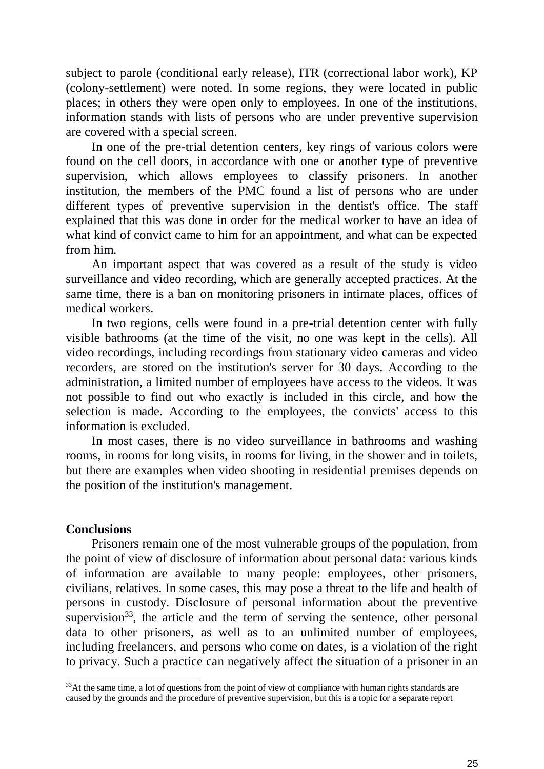subject to parole (conditional early release), ITR (correctional labor work), KP (colony-settlement) were noted. In some regions, they were located in public places; in others they were open only to employees. In one of the institutions, information stands with lists of persons who are under preventive supervision are covered with a special screen.

In one of the pre-trial detention centers, key rings of various colors were found on the cell doors, in accordance with one or another type of preventive supervision, which allows employees to classify prisoners. In another institution, the members of the PMC found a list of persons who are under different types of preventive supervision in the dentist's office. The staff explained that this was done in order for the medical worker to have an idea of what kind of convict came to him for an appointment, and what can be expected from him.

An important aspect that was covered as a result of the study is video surveillance and video recording, which are generally accepted practices. At the same time, there is a ban on monitoring prisoners in intimate places, offices of medical workers.

In two regions, cells were found in a pre-trial detention center with fully visible bathrooms (at the time of the visit, no one was kept in the cells). All video recordings, including recordings from stationary video cameras and video recorders, are stored on the institution's server for 30 days. According to the administration, a limited number of employees have access to the videos. It was not possible to find out who exactly is included in this circle, and how the selection is made. According to the employees, the convicts' access to this information is excluded.

In most cases, there is no video surveillance in bathrooms and washing rooms, in rooms for long visits, in rooms for living, in the shower and in toilets, but there are examples when video shooting in residential premises depends on the position of the institution's management.

#### **Conclusions**

-

Prisoners remain one of the most vulnerable groups of the population, from the point of view of disclosure of information about personal data: various kinds of information are available to many people: employees, other prisoners, civilians, relatives. In some cases, this may pose a threat to the life and health of persons in custody. Disclosure of personal information about the preventive supervision<sup>33</sup>, the article and the term of serving the sentence, other personal data to other prisoners, as well as to an unlimited number of employees, including freelancers, and persons who come on dates, is a violation of the right to privacy. Such a practice can negatively affect the situation of a prisoner in an

<sup>&</sup>lt;sup>33</sup>At the same time, a lot of questions from the point of view of compliance with human rights standards are caused by the grounds and the procedure of preventive supervision, but this is a topic for a separate report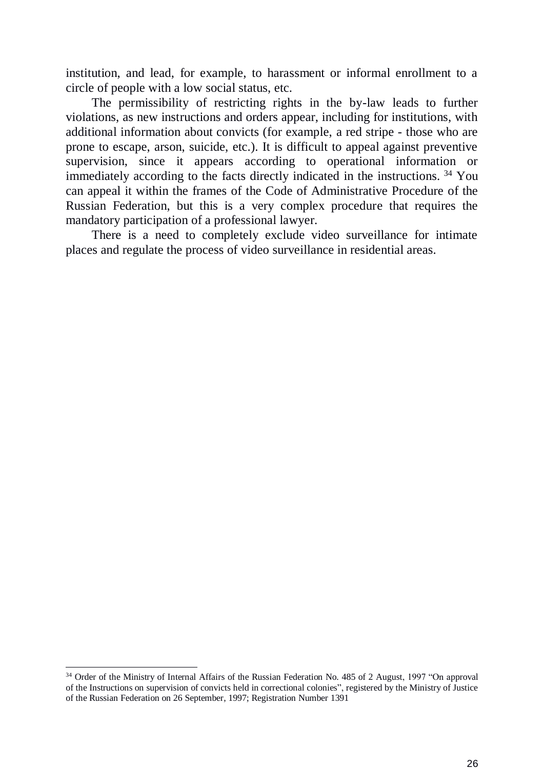institution, and lead, for example, to harassment or informal enrollment to a circle of people with a low social status, etc.

The permissibility of restricting rights in the by-law leads to further violations, as new instructions and orders appear, including for institutions, with additional information about convicts (for example, a red stripe - those who are prone to escape, arson, suicide, etc.). It is difficult to appeal against preventive supervision, since it appears according to operational information or immediately according to the facts directly indicated in the instructions. <sup>34</sup> You can appeal it within the frames of the Code of Administrative Procedure of the Russian Federation, but this is a very complex procedure that requires the mandatory participation of a professional lawyer.

There is a need to completely exclude video surveillance for intimate places and regulate the process of video surveillance in residential areas.

<sup>&</sup>lt;sup>34</sup> Order of the Ministry of Internal Affairs of the Russian Federation No. 485 of 2 August, 1997 "On approval" of the Instructions on supervision of convicts held in correctional colonies", registered by the Ministry of Justice of the Russian Federation on 26 September, 1997; Registration Number 1391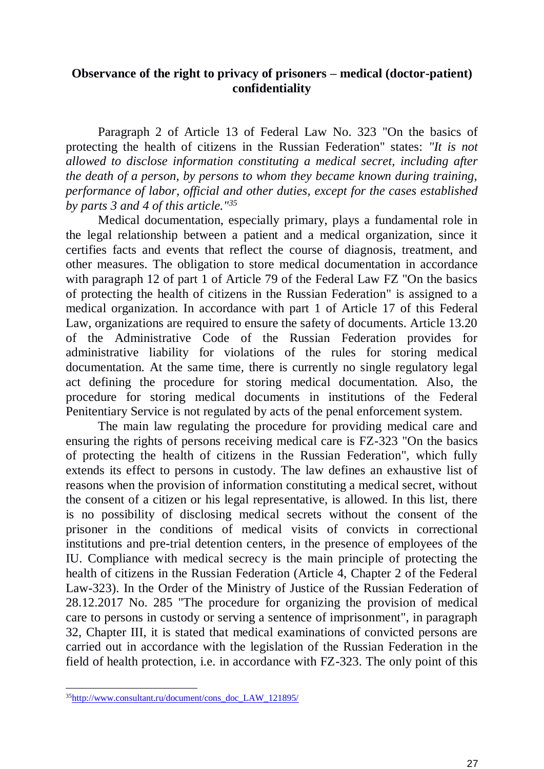## **Observance of the right to privacy of prisoners – medical (doctor-patient) confidentiality**

Paragraph 2 of Article 13 of Federal Law No. 323 "On the basics of protecting the health of citizens in the Russian Federation" states: *"It is not allowed to disclose information constituting a medical secret, including after the death of a person, by persons to whom they became known during training, performance of labor, official and other duties, except for the cases established by parts 3 and 4 of this article."<sup>35</sup>*

Medical documentation, especially primary, plays a fundamental role in the legal relationship between a patient and a medical organization, since it certifies facts and events that reflect the course of diagnosis, treatment, and other measures. The obligation to store medical documentation in accordance with paragraph 12 of part 1 of Article 79 of the Federal Law FZ "On the basics of protecting the health of citizens in the Russian Federation" is assigned to a medical organization. In accordance with part 1 of Article 17 of this Federal Law, organizations are required to ensure the safety of documents. Article 13.20 of the Administrative Code of the Russian Federation provides for administrative liability for violations of the rules for storing medical documentation. At the same time, there is currently no single regulatory legal act defining the procedure for storing medical documentation. Also, the procedure for storing medical documents in institutions of the Federal Penitentiary Service is not regulated by acts of the penal enforcement system.

The main law regulating the procedure for providing medical care and ensuring the rights of persons receiving medical care is FZ-323 "On the basics of protecting the health of citizens in the Russian Federation", which fully extends its effect to persons in custody. The law defines an exhaustive list of reasons when the provision of information constituting a medical secret, without the consent of a citizen or his legal representative, is allowed. In this list, there is no possibility of disclosing medical secrets without the consent of the prisoner in the conditions of medical visits of convicts in correctional institutions and pre-trial detention centers, in the presence of employees of the IU. Compliance with medical secrecy is the main principle of protecting the health of citizens in the Russian Federation (Article 4, Chapter 2 of the Federal Law-323). In the Order of the Ministry of Justice of the Russian Federation of 28.12.2017 No. 285 "The procedure for organizing the provision of medical care to persons in custody or serving a sentence of imprisonment", in paragraph 32, Chapter III, it is stated that medical examinations of convicted persons are carried out in accordance with the legislation of the Russian Federation in the field of health protection, i.e. in accordance with FZ-323. The only point of this

<sup>&</sup>lt;sup>35</sup>[http://www.consultant.ru/document/cons\\_doc\\_LAW\\_121895/](http://www.consultant.ru/document/cons_doc_LAW_121895/)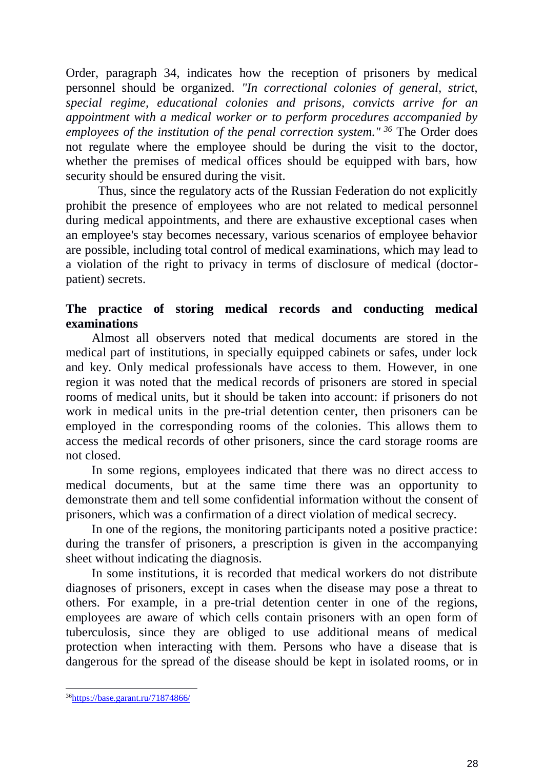Order, paragraph 34, indicates how the reception of prisoners by medical personnel should be organized. *"In correctional colonies of general, strict, special regime, educational colonies and prisons, convicts arrive for an appointment with a medical worker or to perform procedures accompanied by employees of the institution of the penal correction system." <sup>36</sup>* The Order does not regulate where the employee should be during the visit to the doctor, whether the premises of medical offices should be equipped with bars, how security should be ensured during the visit.

Thus, since the regulatory acts of the Russian Federation do not explicitly prohibit the presence of employees who are not related to medical personnel during medical appointments, and there are exhaustive exceptional cases when an employee's stay becomes necessary, various scenarios of employee behavior are possible, including total control of medical examinations, which may lead to a violation of the right to privacy in terms of disclosure of medical (doctorpatient) secrets.

## **The practice of storing medical records and conducting medical examinations**

Almost all observers noted that medical documents are stored in the medical part of institutions, in specially equipped cabinets or safes, under lock and key. Only medical professionals have access to them. However, in one region it was noted that the medical records of prisoners are stored in special rooms of medical units, but it should be taken into account: if prisoners do not work in medical units in the pre-trial detention center, then prisoners can be employed in the corresponding rooms of the colonies. This allows them to access the medical records of other prisoners, since the card storage rooms are not closed.

In some regions, employees indicated that there was no direct access to medical documents, but at the same time there was an opportunity to demonstrate them and tell some confidential information without the consent of prisoners, which was a confirmation of a direct violation of medical secrecy.

In one of the regions, the monitoring participants noted a positive practice: during the transfer of prisoners, a prescription is given in the accompanying sheet without indicating the diagnosis.

In some institutions, it is recorded that medical workers do not distribute diagnoses of prisoners, except in cases when the disease may pose a threat to others. For example, in a pre-trial detention center in one of the regions, employees are aware of which cells contain prisoners with an open form of tuberculosis, since they are obliged to use additional means of medical protection when interacting with them. Persons who have a disease that is dangerous for the spread of the disease should be kept in isolated rooms, or in

<sup>&</sup>lt;sup>36</sup><https://base.garant.ru/71874866/>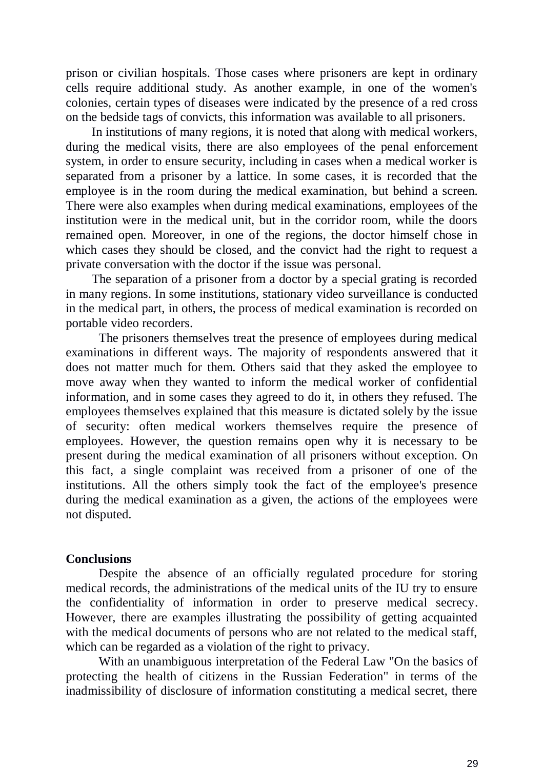prison or civilian hospitals. Those cases where prisoners are kept in ordinary cells require additional study. As another example, in one of the women's colonies, certain types of diseases were indicated by the presence of a red cross on the bedside tags of convicts, this information was available to all prisoners.

In institutions of many regions, it is noted that along with medical workers, during the medical visits, there are also employees of the penal enforcement system, in order to ensure security, including in cases when a medical worker is separated from a prisoner by a lattice. In some cases, it is recorded that the employee is in the room during the medical examination, but behind a screen. There were also examples when during medical examinations, employees of the institution were in the medical unit, but in the corridor room, while the doors remained open. Moreover, in one of the regions, the doctor himself chose in which cases they should be closed, and the convict had the right to request a private conversation with the doctor if the issue was personal.

The separation of a prisoner from a doctor by a special grating is recorded in many regions. In some institutions, stationary video surveillance is conducted in the medical part, in others, the process of medical examination is recorded on portable video recorders.

The prisoners themselves treat the presence of employees during medical examinations in different ways. The majority of respondents answered that it does not matter much for them. Others said that they asked the employee to move away when they wanted to inform the medical worker of confidential information, and in some cases they agreed to do it, in others they refused. The employees themselves explained that this measure is dictated solely by the issue of security: often medical workers themselves require the presence of employees. However, the question remains open why it is necessary to be present during the medical examination of all prisoners without exception. On this fact, a single complaint was received from a prisoner of one of the institutions. All the others simply took the fact of the employee's presence during the medical examination as a given, the actions of the employees were not disputed.

#### **Conclusions**

Despite the absence of an officially regulated procedure for storing medical records, the administrations of the medical units of the IU try to ensure the confidentiality of information in order to preserve medical secrecy. However, there are examples illustrating the possibility of getting acquainted with the medical documents of persons who are not related to the medical staff, which can be regarded as a violation of the right to privacy.

With an unambiguous interpretation of the Federal Law "On the basics of protecting the health of citizens in the Russian Federation" in terms of the inadmissibility of disclosure of information constituting a medical secret, there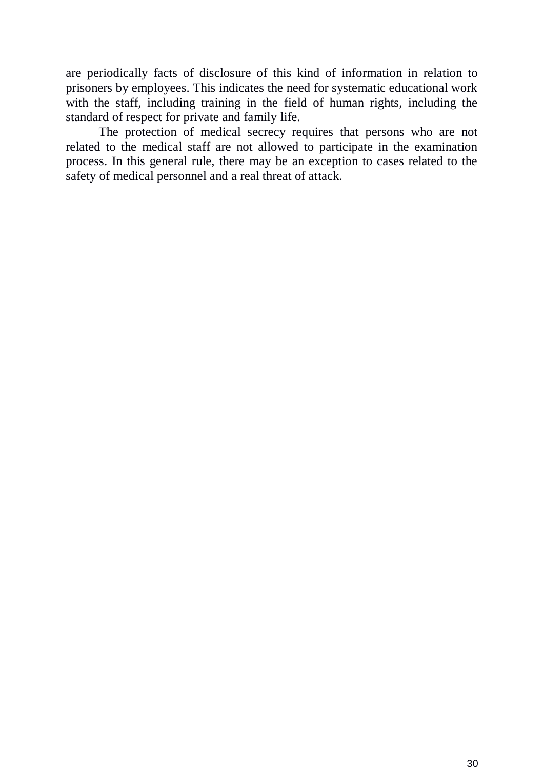are periodically facts of disclosure of this kind of information in relation to prisoners by employees. This indicates the need for systematic educational work with the staff, including training in the field of human rights, including the standard of respect for private and family life.

The protection of medical secrecy requires that persons who are not related to the medical staff are not allowed to participate in the examination process. In this general rule, there may be an exception to cases related to the safety of medical personnel and a real threat of attack.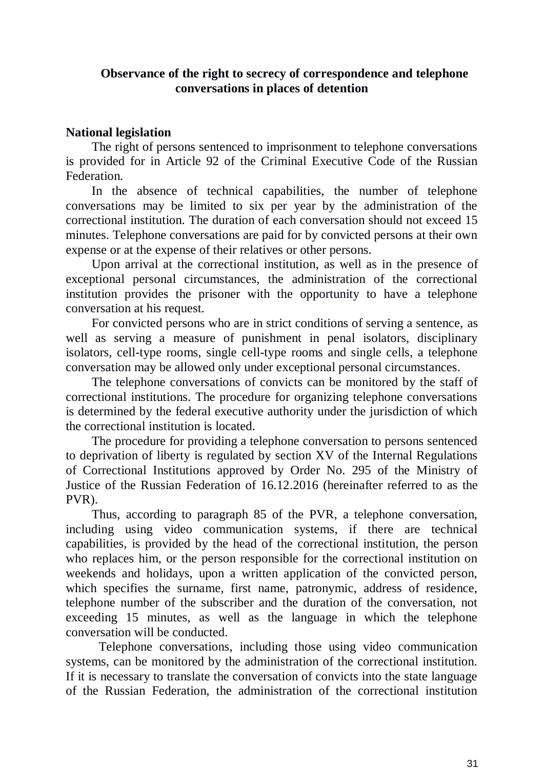## **Observance of the right to secrecy of correspondence and telephone conversations in places of detention**

## **National legislation**

The right of persons sentenced to imprisonment to telephone conversations is provided for in Article 92 of the Criminal Executive Code of the Russian Federation.

In the absence of technical capabilities, the number of telephone conversations may be limited to six per year by the administration of the correctional institution. The duration of each conversation should not exceed 15 minutes. Telephone conversations are paid for by convicted persons at their own expense or at the expense of their relatives or other persons.

Upon arrival at the correctional institution, as well as in the presence of exceptional personal circumstances, the administration of the correctional institution provides the prisoner with the opportunity to have a telephone conversation at his request.

For convicted persons who are in strict conditions of serving a sentence, as well as serving a measure of punishment in penal isolators, disciplinary isolators, cell-type rooms, single cell-type rooms and single cells, a telephone conversation may be allowed only under exceptional personal circumstances.

The telephone conversations of convicts can be monitored by the staff of correctional institutions. The procedure for organizing telephone conversations is determined by the federal executive authority under the jurisdiction of which the correctional institution is located.

The procedure for providing a telephone conversation to persons sentenced to deprivation of liberty is regulated by section XV of the Internal Regulations of Correctional Institutions approved by Order No. 295 of the Ministry of Justice of the Russian Federation of 16.12.2016 (hereinafter referred to as the PVR).

Thus, according to paragraph 85 of the PVR, a telephone conversation, including using video communication systems, if there are technical capabilities, is provided by the head of the correctional institution, the person who replaces him, or the person responsible for the correctional institution on weekends and holidays, upon a written application of the convicted person, which specifies the surname, first name, patronymic, address of residence, telephone number of the subscriber and the duration of the conversation, not exceeding 15 minutes, as well as the language in which the telephone conversation will be conducted.

Telephone conversations, including those using video communication systems, can be monitored by the administration of the correctional institution. If it is necessary to translate the conversation of convicts into the state language of the Russian Federation, the administration of the correctional institution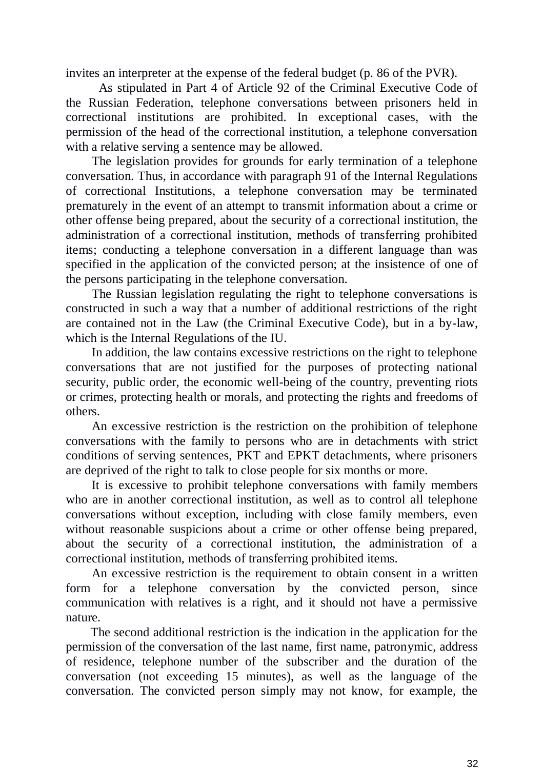invites an interpreter at the expense of the federal budget (p. 86 of the PVR).

As stipulated in Part 4 of Article 92 of the Criminal Executive Code of the Russian Federation, telephone conversations between prisoners held in correctional institutions are prohibited. In exceptional cases, with the permission of the head of the correctional institution, a telephone conversation with a relative serving a sentence may be allowed.

The legislation provides for grounds for early termination of a telephone conversation. Thus, in accordance with paragraph 91 of the Internal Regulations of correctional Institutions, a telephone conversation may be terminated prematurely in the event of an attempt to transmit information about a crime or other offense being prepared, about the security of a correctional institution, the administration of a correctional institution, methods of transferring prohibited items; conducting a telephone conversation in a different language than was specified in the application of the convicted person; at the insistence of one of the persons participating in the telephone conversation.

The Russian legislation regulating the right to telephone conversations is constructed in such a way that a number of additional restrictions of the right are contained not in the Law (the Criminal Executive Code), but in a by-law, which is the Internal Regulations of the IU.

In addition, the law contains excessive restrictions on the right to telephone conversations that are not justified for the purposes of protecting national security, public order, the economic well-being of the country, preventing riots or crimes, protecting health or morals, and protecting the rights and freedoms of others.

An excessive restriction is the restriction on the prohibition of telephone conversations with the family to persons who are in detachments with strict conditions of serving sentences, PKT and EPKT detachments, where prisoners are deprived of the right to talk to close people for six months or more.

It is excessive to prohibit telephone conversations with family members who are in another correctional institution, as well as to control all telephone conversations without exception, including with close family members, even without reasonable suspicions about a crime or other offense being prepared, about the security of a correctional institution, the administration of a correctional institution, methods of transferring prohibited items.

An excessive restriction is the requirement to obtain consent in a written form for a telephone conversation by the convicted person, since communication with relatives is a right, and it should not have a permissive nature.

The second additional restriction is the indication in the application for the permission of the conversation of the last name, first name, patronymic, address of residence, telephone number of the subscriber and the duration of the conversation (not exceeding 15 minutes), as well as the language of the conversation. The convicted person simply may not know, for example, the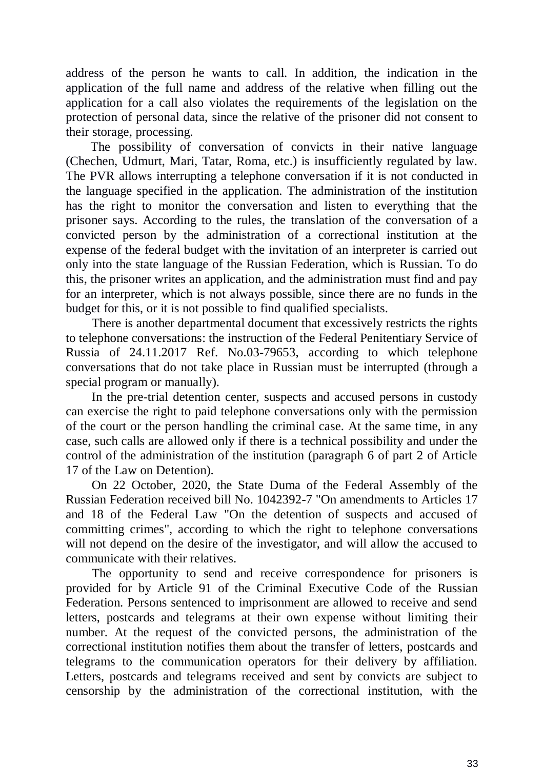address of the person he wants to call. In addition, the indication in the application of the full name and address of the relative when filling out the application for a call also violates the requirements of the legislation on the protection of personal data, since the relative of the prisoner did not consent to their storage, processing.

The possibility of conversation of convicts in their native language (Chechen, Udmurt, Mari, Tatar, Roma, etc.) is insufficiently regulated by law. The PVR allows interrupting a telephone conversation if it is not conducted in the language specified in the application. The administration of the institution has the right to monitor the conversation and listen to everything that the prisoner says. According to the rules, the translation of the conversation of a convicted person by the administration of a correctional institution at the expense of the federal budget with the invitation of an interpreter is carried out only into the state language of the Russian Federation, which is Russian. To do this, the prisoner writes an application, and the administration must find and pay for an interpreter, which is not always possible, since there are no funds in the budget for this, or it is not possible to find qualified specialists.

There is another departmental document that excessively restricts the rights to telephone conversations: the instruction of the Federal Penitentiary Service of Russia of 24.11.2017 Ref. No.03-79653, according to which telephone conversations that do not take place in Russian must be interrupted (through a special program or manually).

In the pre-trial detention center, suspects and accused persons in custody can exercise the right to paid telephone conversations only with the permission of the court or the person handling the criminal case. At the same time, in any case, such calls are allowed only if there is a technical possibility and under the control of the administration of the institution (paragraph 6 of part 2 of Article 17 of the Law on Detention).

On 22 October, 2020, the State Duma of the Federal Assembly of the Russian Federation received bill No. 1042392-7 "On amendments to Articles 17 and 18 of the Federal Law "On the detention of suspects and accused of committing crimes", according to which the right to telephone conversations will not depend on the desire of the investigator, and will allow the accused to communicate with their relatives.

The opportunity to send and receive correspondence for prisoners is provided for by Article 91 of the Criminal Executive Code of the Russian Federation. Persons sentenced to imprisonment are allowed to receive and send letters, postcards and telegrams at their own expense without limiting their number. At the request of the convicted persons, the administration of the correctional institution notifies them about the transfer of letters, postcards and telegrams to the communication operators for their delivery by affiliation. Letters, postcards and telegrams received and sent by convicts are subject to censorship by the administration of the correctional institution, with the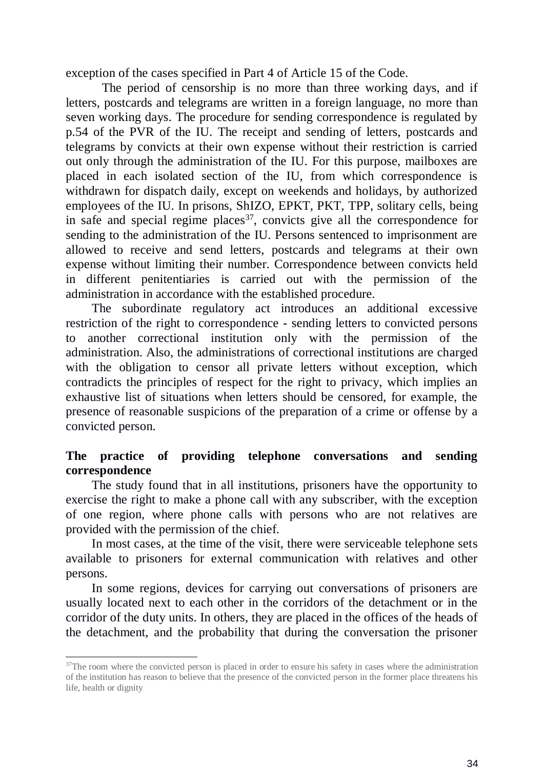exception of the cases specified in Part 4 of Article 15 of the Code.

The period of censorship is no more than three working days, and if letters, postcards and telegrams are written in a foreign language, no more than seven working days. The procedure for sending correspondence is regulated by p.54 of the PVR of the IU. The receipt and sending of letters, postcards and telegrams by convicts at their own expense without their restriction is carried out only through the administration of the IU. For this purpose, mailboxes are placed in each isolated section of the IU, from which correspondence is withdrawn for dispatch daily, except on weekends and holidays, by authorized employees of the IU. In prisons, ShIZO, EPKT, PKT, TPP, solitary cells, being in safe and special regime places<sup>37</sup>, convicts give all the correspondence for sending to the administration of the IU. Persons sentenced to imprisonment are allowed to receive and send letters, postcards and telegrams at their own expense without limiting their number. Correspondence between convicts held in different penitentiaries is carried out with the permission of the administration in accordance with the established procedure.

The subordinate regulatory act introduces an additional excessive restriction of the right to correspondence - sending letters to convicted persons to another correctional institution only with the permission of the administration. Also, the administrations of correctional institutions are charged with the obligation to censor all private letters without exception, which contradicts the principles of respect for the right to privacy, which implies an exhaustive list of situations when letters should be censored, for example, the presence of reasonable suspicions of the preparation of a crime or offense by a convicted person.

## **The practice of providing telephone conversations and sending correspondence**

The study found that in all institutions, prisoners have the opportunity to exercise the right to make a phone call with any subscriber, with the exception of one region, where phone calls with persons who are not relatives are provided with the permission of the chief.

In most cases, at the time of the visit, there were serviceable telephone sets available to prisoners for external communication with relatives and other persons.

In some regions, devices for carrying out conversations of prisoners are usually located next to each other in the corridors of the detachment or in the corridor of the duty units. In others, they are placed in the offices of the heads of the detachment, and the probability that during the conversation the prisoner

<sup>&</sup>lt;sup>37</sup>The room where the convicted person is placed in order to ensure his safety in cases where the administration of the institution has reason to believe that the presence of the convicted person in the former place threatens his life, health or dignity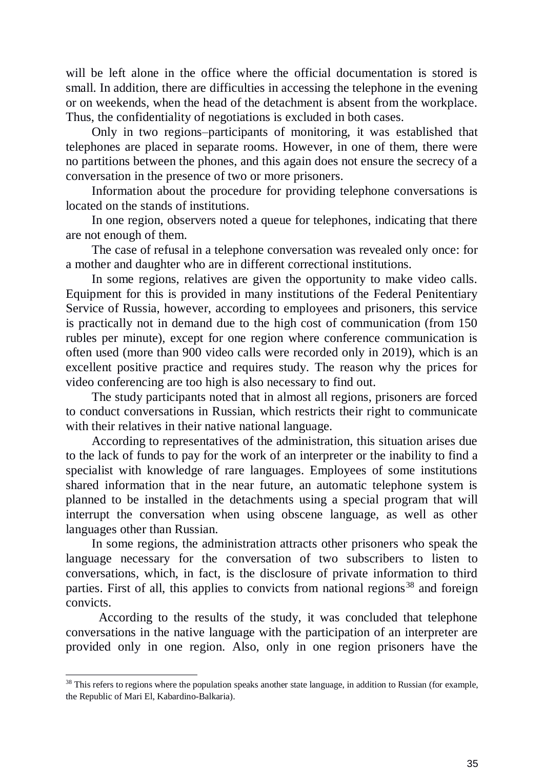will be left alone in the office where the official documentation is stored is small. In addition, there are difficulties in accessing the telephone in the evening or on weekends, when the head of the detachment is absent from the workplace. Thus, the confidentiality of negotiations is excluded in both cases.

Only in two regions–participants of monitoring, it was established that telephones are placed in separate rooms. However, in one of them, there were no partitions between the phones, and this again does not ensure the secrecy of a conversation in the presence of two or more prisoners.

Information about the procedure for providing telephone conversations is located on the stands of institutions.

In one region, observers noted a queue for telephones, indicating that there are not enough of them.

The case of refusal in a telephone conversation was revealed only once: for a mother and daughter who are in different correctional institutions.

In some regions, relatives are given the opportunity to make video calls. Equipment for this is provided in many institutions of the Federal Penitentiary Service of Russia, however, according to employees and prisoners, this service is practically not in demand due to the high cost of communication (from 150 rubles per minute), except for one region where conference communication is often used (more than 900 video calls were recorded only in 2019), which is an excellent positive practice and requires study. The reason why the prices for video conferencing are too high is also necessary to find out.

The study participants noted that in almost all regions, prisoners are forced to conduct conversations in Russian, which restricts their right to communicate with their relatives in their native national language.

According to representatives of the administration, this situation arises due to the lack of funds to pay for the work of an interpreter or the inability to find a specialist with knowledge of rare languages. Employees of some institutions shared information that in the near future, an automatic telephone system is planned to be installed in the detachments using a special program that will interrupt the conversation when using obscene language, as well as other languages other than Russian.

In some regions, the administration attracts other prisoners who speak the language necessary for the conversation of two subscribers to listen to conversations, which, in fact, is the disclosure of private information to third parties. First of all, this applies to convicts from national regions<sup>38</sup> and foreign convicts.

According to the results of the study, it was concluded that telephone conversations in the native language with the participation of an interpreter are provided only in one region. Also, only in one region prisoners have the

<sup>&</sup>lt;sup>38</sup> This refers to regions where the population speaks another state language, in addition to Russian (for example, the Republic of Mari El, Kabardino-Balkaria).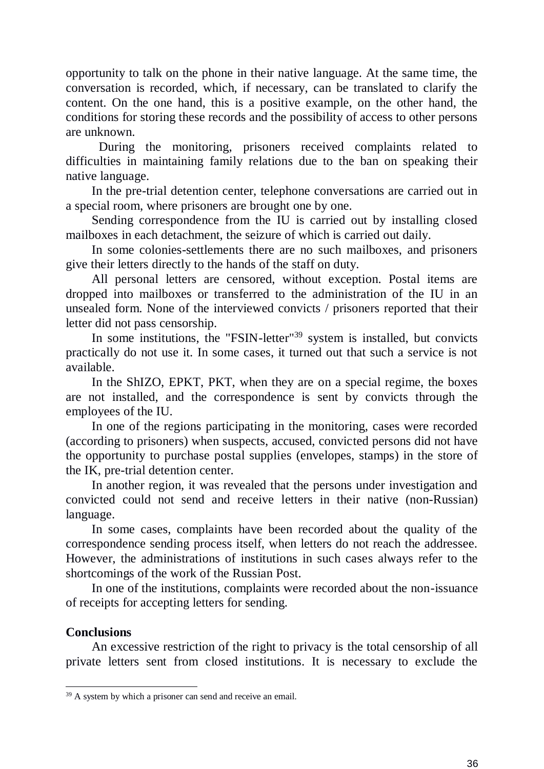opportunity to talk on the phone in their native language. At the same time, the conversation is recorded, which, if necessary, can be translated to clarify the content. On the one hand, this is a positive example, on the other hand, the conditions for storing these records and the possibility of access to other persons are unknown.

During the monitoring, prisoners received complaints related to difficulties in maintaining family relations due to the ban on speaking their native language.

In the pre-trial detention center, telephone conversations are carried out in a special room, where prisoners are brought one by one.

Sending correspondence from the IU is carried out by installing closed mailboxes in each detachment, the seizure of which is carried out daily.

In some colonies-settlements there are no such mailboxes, and prisoners give their letters directly to the hands of the staff on duty.

All personal letters are censored, without exception. Postal items are dropped into mailboxes or transferred to the administration of the IU in an unsealed form. None of the interviewed convicts / prisoners reported that their letter did not pass censorship.

In some institutions, the "FSIN-letter"<sup>39</sup> system is installed, but convicts practically do not use it. In some cases, it turned out that such a service is not available.

In the ShIZO, EPKT, PKT, when they are on a special regime, the boxes are not installed, and the correspondence is sent by convicts through the employees of the IU.

In one of the regions participating in the monitoring, cases were recorded (according to prisoners) when suspects, accused, convicted persons did not have the opportunity to purchase postal supplies (envelopes, stamps) in the store of the IK, pre-trial detention center.

In another region, it was revealed that the persons under investigation and convicted could not send and receive letters in their native (non-Russian) language.

In some cases, complaints have been recorded about the quality of the correspondence sending process itself, when letters do not reach the addressee. However, the administrations of institutions in such cases always refer to the shortcomings of the work of the Russian Post.

In one of the institutions, complaints were recorded about the non-issuance of receipts for accepting letters for sending.

## **Conclusions**

-

An excessive restriction of the right to privacy is the total censorship of all private letters sent from closed institutions. It is necessary to exclude the

<sup>&</sup>lt;sup>39</sup> A system by which a prisoner can send and receive an email.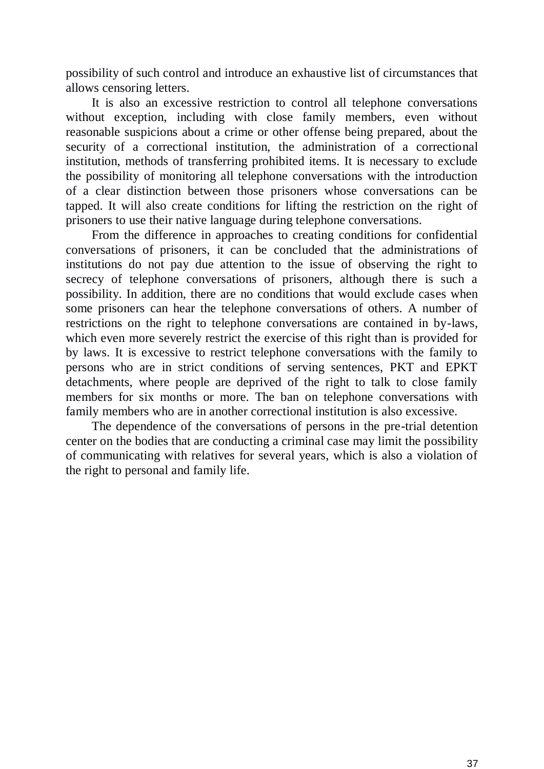possibility of such control and introduce an exhaustive list of circumstances that allows censoring letters.

It is also an excessive restriction to control all telephone conversations without exception, including with close family members, even without reasonable suspicions about a crime or other offense being prepared, about the security of a correctional institution, the administration of a correctional institution, methods of transferring prohibited items. It is necessary to exclude the possibility of monitoring all telephone conversations with the introduction of a clear distinction between those prisoners whose conversations can be tapped. It will also create conditions for lifting the restriction on the right of prisoners to use their native language during telephone conversations.

From the difference in approaches to creating conditions for confidential conversations of prisoners, it can be concluded that the administrations of institutions do not pay due attention to the issue of observing the right to secrecy of telephone conversations of prisoners, although there is such a possibility. In addition, there are no conditions that would exclude cases when some prisoners can hear the telephone conversations of others. A number of restrictions on the right to telephone conversations are contained in by-laws, which even more severely restrict the exercise of this right than is provided for by laws. It is excessive to restrict telephone conversations with the family to persons who are in strict conditions of serving sentences, PKT and EPKT detachments, where people are deprived of the right to talk to close family members for six months or more. The ban on telephone conversations with family members who are in another correctional institution is also excessive.

The dependence of the conversations of persons in the pre-trial detention center on the bodies that are conducting a criminal case may limit the possibility of communicating with relatives for several years, which is also a violation of the right to personal and family life.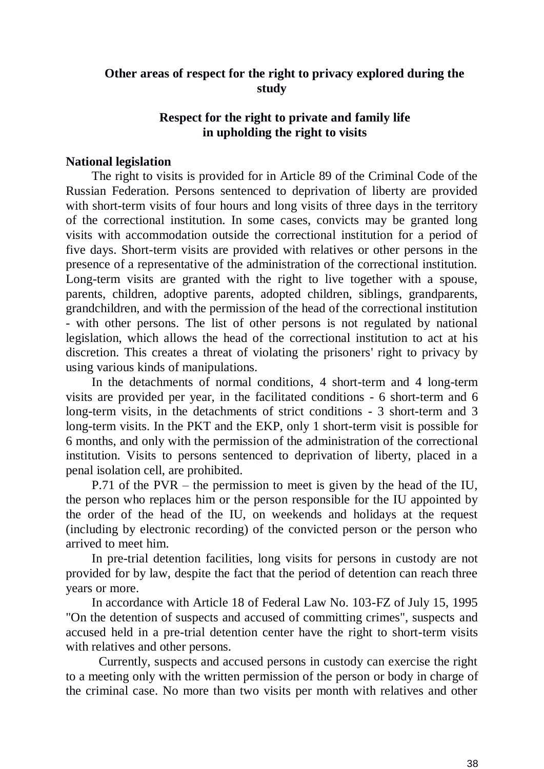# **Other areas of respect for the right to privacy explored during the study**

# **Respect for the right to private and family life in upholding the right to visits**

## **National legislation**

The right to visits is provided for in Article 89 of the Criminal Code of the Russian Federation. Persons sentenced to deprivation of liberty are provided with short-term visits of four hours and long visits of three days in the territory of the correctional institution. In some cases, convicts may be granted long visits with accommodation outside the correctional institution for a period of five days. Short-term visits are provided with relatives or other persons in the presence of a representative of the administration of the correctional institution. Long-term visits are granted with the right to live together with a spouse, parents, children, adoptive parents, adopted children, siblings, grandparents, grandchildren, and with the permission of the head of the correctional institution - with other persons. The list of other persons is not regulated by national legislation, which allows the head of the correctional institution to act at his discretion. This creates a threat of violating the prisoners' right to privacy by using various kinds of manipulations.

In the detachments of normal conditions, 4 short-term and 4 long-term visits are provided per year, in the facilitated conditions - 6 short-term and 6 long-term visits, in the detachments of strict conditions - 3 short-term and 3 long-term visits. In the PKT and the EKP, only 1 short-term visit is possible for 6 months, and only with the permission of the administration of the correctional institution. Visits to persons sentenced to deprivation of liberty, placed in a penal isolation cell, are prohibited.

P.71 of the PVR – the permission to meet is given by the head of the IU, the person who replaces him or the person responsible for the IU appointed by the order of the head of the IU, on weekends and holidays at the request (including by electronic recording) of the convicted person or the person who arrived to meet him.

In pre-trial detention facilities, long visits for persons in custody are not provided for by law, despite the fact that the period of detention can reach three years or more.

In accordance with Article 18 of Federal Law No. 103-FZ of July 15, 1995 "On the detention of suspects and accused of committing crimes", suspects and accused held in a pre-trial detention center have the right to short-term visits with relatives and other persons.

Currently, suspects and accused persons in custody can exercise the right to a meeting only with the written permission of the person or body in charge of the criminal case. No more than two visits per month with relatives and other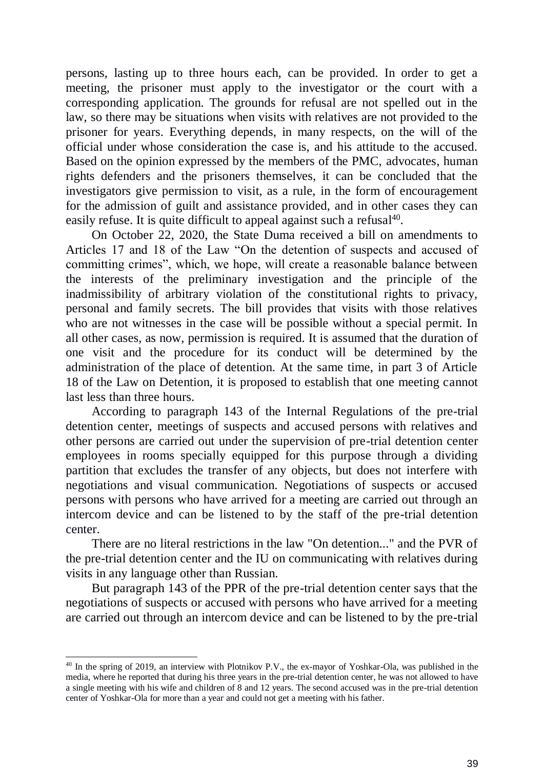persons, lasting up to three hours each, can be provided. In order to get a meeting, the prisoner must apply to the investigator or the court with a corresponding application. The grounds for refusal are not spelled out in the law, so there may be situations when visits with relatives are not provided to the prisoner for years. Everything depends, in many respects, on the will of the official under whose consideration the case is, and his attitude to the accused. Based on the opinion expressed by the members of the PMC, advocates, human rights defenders and the prisoners themselves, it can be concluded that the investigators give permission to visit, as a rule, in the form of encouragement for the admission of guilt and assistance provided, and in other cases they can easily refuse. It is quite difficult to appeal against such a refusal<sup>40</sup>.

On October 22, 2020, the State Duma received a bill on amendments to Articles 17 and 18 of the Law "On the detention of suspects and accused of committing crimes", which, we hope, will create a reasonable balance between the interests of the preliminary investigation and the principle of the inadmissibility of arbitrary violation of the constitutional rights to privacy, personal and family secrets. The bill provides that visits with those relatives who are not witnesses in the case will be possible without a special permit. In all other cases, as now, permission is required. It is assumed that the duration of one visit and the procedure for its conduct will be determined by the administration of the place of detention. At the same time, in part 3 of Article 18 of the Law on Detention, it is proposed to establish that one meeting cannot last less than three hours.

According to paragraph 143 of the Internal Regulations of the pre-trial detention center, meetings of suspects and accused persons with relatives and other persons are carried out under the supervision of pre-trial detention center employees in rooms specially equipped for this purpose through a dividing partition that excludes the transfer of any objects, but does not interfere with negotiations and visual communication. Negotiations of suspects or accused persons with persons who have arrived for a meeting are carried out through an intercom device and can be listened to by the staff of the pre-trial detention center.

There are no literal restrictions in the law "On detention..." and the PVR of the pre-trial detention center and the IU on communicating with relatives during visits in any language other than Russian.

But paragraph 143 of the PPR of the pre-trial detention center says that the negotiations of suspects or accused with persons who have arrived for a meeting are carried out through an intercom device and can be listened to by the pre-trial

-

<sup>&</sup>lt;sup>40</sup> In the spring of 2019, an interview with Plotnikov P.V., the ex-mayor of Yoshkar-Ola, was published in the media, where he reported that during his three years in the pre-trial detention center, he was not allowed to have a single meeting with his wife and children of 8 and 12 years. The second accused was in the pre-trial detention center of Yoshkar-Ola for more than a year and could not get a meeting with his father.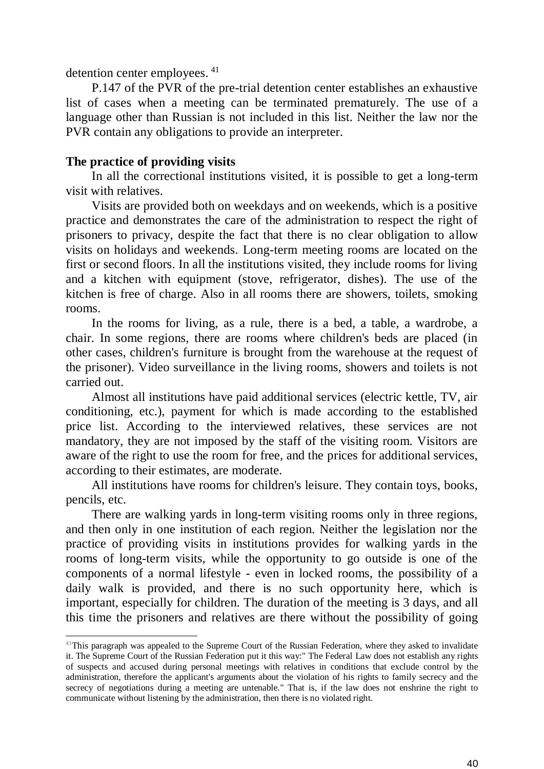detention center employees. <sup>41</sup>

P.147 of the PVR of the pre-trial detention center establishes an exhaustive list of cases when a meeting can be terminated prematurely. The use of a language other than Russian is not included in this list. Neither the law nor the PVR contain any obligations to provide an interpreter.

# **The practice of providing visits**

-

In all the correctional institutions visited, it is possible to get a long-term visit with relatives.

Visits are provided both on weekdays and on weekends, which is a positive practice and demonstrates the care of the administration to respect the right of prisoners to privacy, despite the fact that there is no clear obligation to allow visits on holidays and weekends. Long-term meeting rooms are located on the first or second floors. In all the institutions visited, they include rooms for living and a kitchen with equipment (stove, refrigerator, dishes). The use of the kitchen is free of charge. Also in all rooms there are showers, toilets, smoking rooms.

In the rooms for living, as a rule, there is a bed, a table, a wardrobe, a chair. In some regions, there are rooms where children's beds are placed (in other cases, children's furniture is brought from the warehouse at the request of the prisoner). Video surveillance in the living rooms, showers and toilets is not carried out.

Almost all institutions have paid additional services (electric kettle, TV, air conditioning, etc.), payment for which is made according to the established price list. According to the interviewed relatives, these services are not mandatory, they are not imposed by the staff of the visiting room. Visitors are aware of the right to use the room for free, and the prices for additional services, according to their estimates, are moderate.

All institutions have rooms for children's leisure. They contain toys, books, pencils, etc.

There are walking yards in long-term visiting rooms only in three regions, and then only in one institution of each region. Neither the legislation nor the practice of providing visits in institutions provides for walking yards in the rooms of long-term visits, while the opportunity to go outside is one of the components of a normal lifestyle - even in locked rooms, the possibility of a daily walk is provided, and there is no such opportunity here, which is important, especially for children. The duration of the meeting is 3 days, and all this time the prisoners and relatives are there without the possibility of going

<sup>41</sup>This paragraph was appealed to the Supreme Court of the Russian Federation, where they asked to invalidate it. The Supreme Court of the Russian Federation put it this way:" The Federal Law does not establish any rights of suspects and accused during personal meetings with relatives in conditions that exclude control by the administration, therefore the applicant's arguments about the violation of his rights to family secrecy and the secrecy of negotiations during a meeting are untenable." That is, if the law does not enshrine the right to communicate without listening by the administration, then there is no violated right.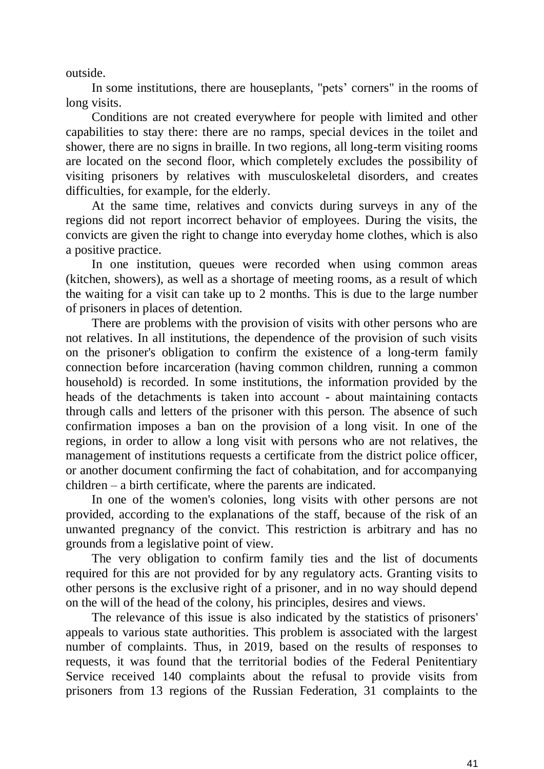outside.

In some institutions, there are houseplants, "pets' corners" in the rooms of long visits.

Conditions are not created everywhere for people with limited and other capabilities to stay there: there are no ramps, special devices in the toilet and shower, there are no signs in braille. In two regions, all long-term visiting rooms are located on the second floor, which completely excludes the possibility of visiting prisoners by relatives with musculoskeletal disorders, and creates difficulties, for example, for the elderly.

At the same time, relatives and convicts during surveys in any of the regions did not report incorrect behavior of employees. During the visits, the convicts are given the right to change into everyday home clothes, which is also a positive practice.

In one institution, queues were recorded when using common areas (kitchen, showers), as well as a shortage of meeting rooms, as a result of which the waiting for a visit can take up to 2 months. This is due to the large number of prisoners in places of detention.

There are problems with the provision of visits with other persons who are not relatives. In all institutions, the dependence of the provision of such visits on the prisoner's obligation to confirm the existence of a long-term family connection before incarceration (having common children, running a common household) is recorded. In some institutions, the information provided by the heads of the detachments is taken into account - about maintaining contacts through calls and letters of the prisoner with this person. The absence of such confirmation imposes a ban on the provision of a long visit. In one of the regions, in order to allow a long visit with persons who are not relatives, the management of institutions requests a certificate from the district police officer, or another document confirming the fact of cohabitation, and for accompanying children – a birth certificate, where the parents are indicated.

In one of the women's colonies, long visits with other persons are not provided, according to the explanations of the staff, because of the risk of an unwanted pregnancy of the convict. This restriction is arbitrary and has no grounds from a legislative point of view.

The very obligation to confirm family ties and the list of documents required for this are not provided for by any regulatory acts. Granting visits to other persons is the exclusive right of a prisoner, and in no way should depend on the will of the head of the colony, his principles, desires and views.

The relevance of this issue is also indicated by the statistics of prisoners' appeals to various state authorities. This problem is associated with the largest number of complaints. Thus, in 2019, based on the results of responses to requests, it was found that the territorial bodies of the Federal Penitentiary Service received 140 complaints about the refusal to provide visits from prisoners from 13 regions of the Russian Federation, 31 complaints to the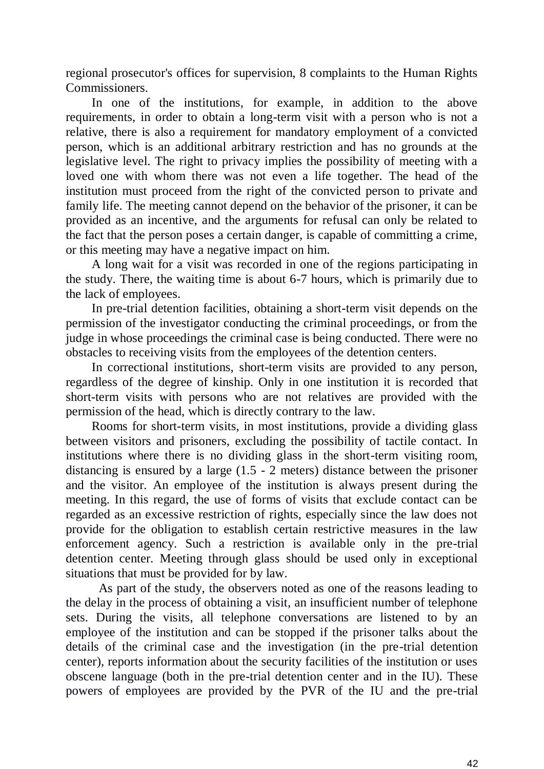regional prosecutor's offices for supervision, 8 complaints to the Human Rights Commissioners.

In one of the institutions, for example, in addition to the above requirements, in order to obtain a long-term visit with a person who is not a relative, there is also a requirement for mandatory employment of a convicted person, which is an additional arbitrary restriction and has no grounds at the legislative level. The right to privacy implies the possibility of meeting with a loved one with whom there was not even a life together. The head of the institution must proceed from the right of the convicted person to private and family life. The meeting cannot depend on the behavior of the prisoner, it can be provided as an incentive, and the arguments for refusal can only be related to the fact that the person poses a certain danger, is capable of committing a crime, or this meeting may have a negative impact on him.

A long wait for a visit was recorded in one of the regions participating in the study. There, the waiting time is about 6-7 hours, which is primarily due to the lack of employees.

In pre-trial detention facilities, obtaining a short-term visit depends on the permission of the investigator conducting the criminal proceedings, or from the judge in whose proceedings the criminal case is being conducted. There were no obstacles to receiving visits from the employees of the detention centers.

In correctional institutions, short-term visits are provided to any person, regardless of the degree of kinship. Only in one institution it is recorded that short-term visits with persons who are not relatives are provided with the permission of the head, which is directly contrary to the law.

Rooms for short-term visits, in most institutions, provide a dividing glass between visitors and prisoners, excluding the possibility of tactile contact. In institutions where there is no dividing glass in the short-term visiting room, distancing is ensured by a large (1.5 - 2 meters) distance between the prisoner and the visitor. An employee of the institution is always present during the meeting. In this regard, the use of forms of visits that exclude contact can be regarded as an excessive restriction of rights, especially since the law does not provide for the obligation to establish certain restrictive measures in the law enforcement agency. Such a restriction is available only in the pre-trial detention center. Meeting through glass should be used only in exceptional situations that must be provided for by law.

As part of the study, the observers noted as one of the reasons leading to the delay in the process of obtaining a visit, an insufficient number of telephone sets. During the visits, all telephone conversations are listened to by an employee of the institution and can be stopped if the prisoner talks about the details of the criminal case and the investigation (in the pre-trial detention center), reports information about the security facilities of the institution or uses obscene language (both in the pre-trial detention center and in the IU). These powers of employees are provided by the PVR of the IU and the pre-trial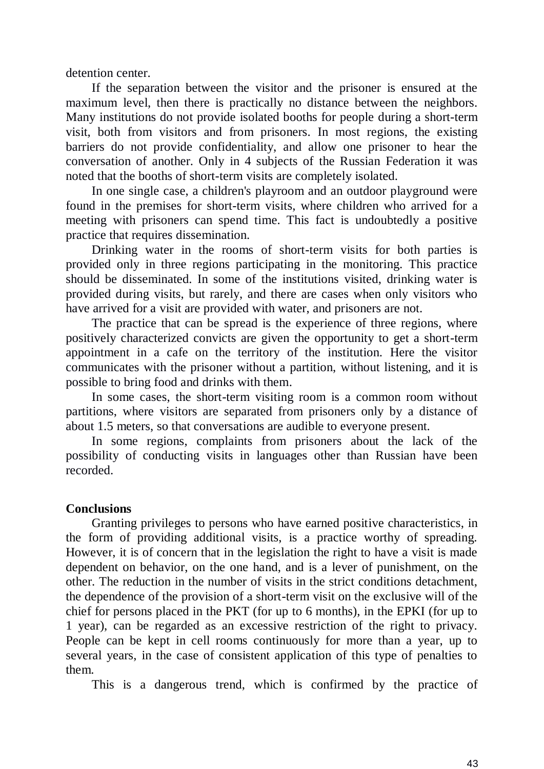detention center.

If the separation between the visitor and the prisoner is ensured at the maximum level, then there is practically no distance between the neighbors. Many institutions do not provide isolated booths for people during a short-term visit, both from visitors and from prisoners. In most regions, the existing barriers do not provide confidentiality, and allow one prisoner to hear the conversation of another. Only in 4 subjects of the Russian Federation it was noted that the booths of short-term visits are completely isolated.

In one single case, a children's playroom and an outdoor playground were found in the premises for short-term visits, where children who arrived for a meeting with prisoners can spend time. This fact is undoubtedly a positive practice that requires dissemination.

Drinking water in the rooms of short-term visits for both parties is provided only in three regions participating in the monitoring. This practice should be disseminated. In some of the institutions visited, drinking water is provided during visits, but rarely, and there are cases when only visitors who have arrived for a visit are provided with water, and prisoners are not.

The practice that can be spread is the experience of three regions, where positively characterized convicts are given the opportunity to get a short-term appointment in a cafe on the territory of the institution. Here the visitor communicates with the prisoner without a partition, without listening, and it is possible to bring food and drinks with them.

In some cases, the short-term visiting room is a common room without partitions, where visitors are separated from prisoners only by a distance of about 1.5 meters, so that conversations are audible to everyone present.

In some regions, complaints from prisoners about the lack of the possibility of conducting visits in languages other than Russian have been recorded.

## **Conclusions**

Granting privileges to persons who have earned positive characteristics, in the form of providing additional visits, is a practice worthy of spreading. However, it is of concern that in the legislation the right to have a visit is made dependent on behavior, on the one hand, and is a lever of punishment, on the other. The reduction in the number of visits in the strict conditions detachment, the dependence of the provision of a short-term visit on the exclusive will of the chief for persons placed in the PKT (for up to 6 months), in the EPKI (for up to 1 year), can be regarded as an excessive restriction of the right to privacy. People can be kept in cell rooms continuously for more than a year, up to several years, in the case of consistent application of this type of penalties to them.

This is a dangerous trend, which is confirmed by the practice of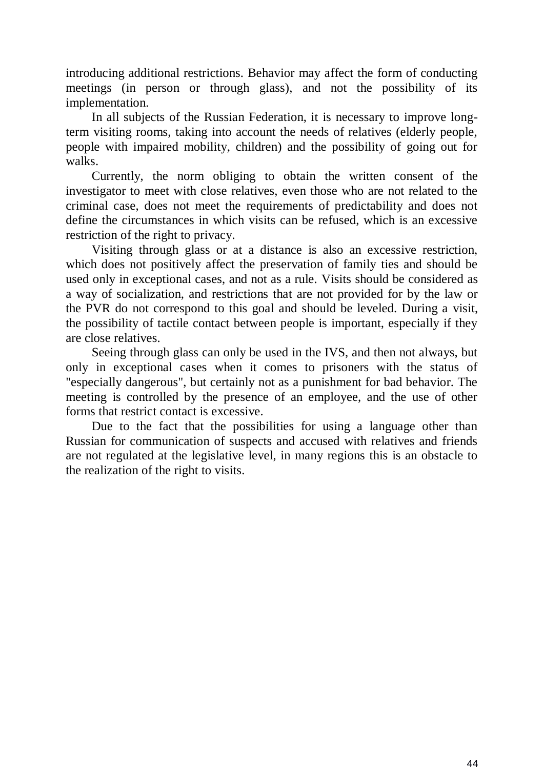introducing additional restrictions. Behavior may affect the form of conducting meetings (in person or through glass), and not the possibility of its implementation.

In all subjects of the Russian Federation, it is necessary to improve longterm visiting rooms, taking into account the needs of relatives (elderly people, people with impaired mobility, children) and the possibility of going out for walks.

Currently, the norm obliging to obtain the written consent of the investigator to meet with close relatives, even those who are not related to the criminal case, does not meet the requirements of predictability and does not define the circumstances in which visits can be refused, which is an excessive restriction of the right to privacy.

Visiting through glass or at a distance is also an excessive restriction, which does not positively affect the preservation of family ties and should be used only in exceptional cases, and not as a rule. Visits should be considered as a way of socialization, and restrictions that are not provided for by the law or the PVR do not correspond to this goal and should be leveled. During a visit, the possibility of tactile contact between people is important, especially if they are close relatives.

Seeing through glass can only be used in the IVS, and then not always, but only in exceptional cases when it comes to prisoners with the status of "especially dangerous", but certainly not as a punishment for bad behavior. The meeting is controlled by the presence of an employee, and the use of other forms that restrict contact is excessive.

Due to the fact that the possibilities for using a language other than Russian for communication of suspects and accused with relatives and friends are not regulated at the legislative level, in many regions this is an obstacle to the realization of the right to visits.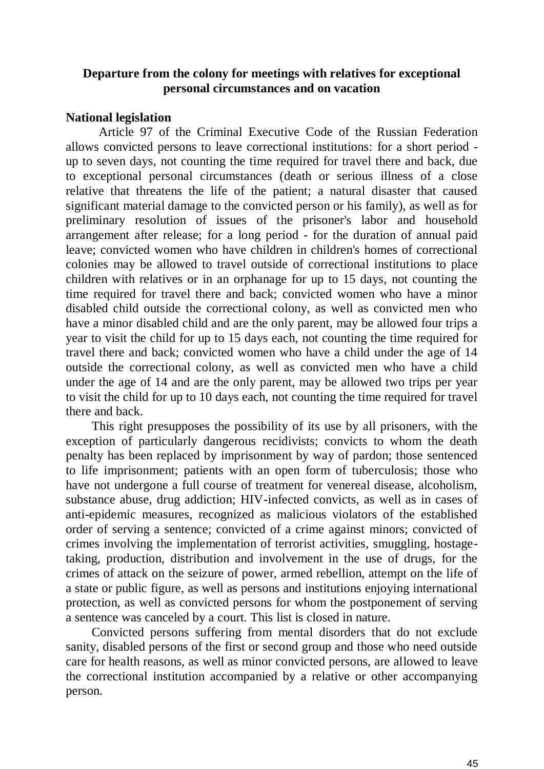# **Departure from the colony for meetings with relatives for exceptional personal circumstances and on vacation**

## **National legislation**

Article 97 of the Criminal Executive Code of the Russian Federation allows convicted persons to leave correctional institutions: for a short period up to seven days, not counting the time required for travel there and back, due to exceptional personal circumstances (death or serious illness of a close relative that threatens the life of the patient; a natural disaster that caused significant material damage to the convicted person or his family), as well as for preliminary resolution of issues of the prisoner's labor and household arrangement after release; for a long period - for the duration of annual paid leave; convicted women who have children in children's homes of correctional colonies may be allowed to travel outside of correctional institutions to place children with relatives or in an orphanage for up to 15 days, not counting the time required for travel there and back; convicted women who have a minor disabled child outside the correctional colony, as well as convicted men who have a minor disabled child and are the only parent, may be allowed four trips a year to visit the child for up to 15 days each, not counting the time required for travel there and back; convicted women who have a child under the age of 14 outside the correctional colony, as well as convicted men who have a child under the age of 14 and are the only parent, may be allowed two trips per year to visit the child for up to 10 days each, not counting the time required for travel there and back.

This right presupposes the possibility of its use by all prisoners, with the exception of particularly dangerous recidivists; convicts to whom the death penalty has been replaced by imprisonment by way of pardon; those sentenced to life imprisonment; patients with an open form of tuberculosis; those who have not undergone a full course of treatment for venereal disease, alcoholism, substance abuse, drug addiction; HIV-infected convicts, as well as in cases of anti-epidemic measures, recognized as malicious violators of the established order of serving a sentence; convicted of a crime against minors; convicted of crimes involving the implementation of terrorist activities, smuggling, hostagetaking, production, distribution and involvement in the use of drugs, for the crimes of attack on the seizure of power, armed rebellion, attempt on the life of a state or public figure, as well as persons and institutions enjoying international protection, as well as convicted persons for whom the postponement of serving a sentence was canceled by a court. This list is closed in nature.

Convicted persons suffering from mental disorders that do not exclude sanity, disabled persons of the first or second group and those who need outside care for health reasons, as well as minor convicted persons, are allowed to leave the correctional institution accompanied by a relative or other accompanying person.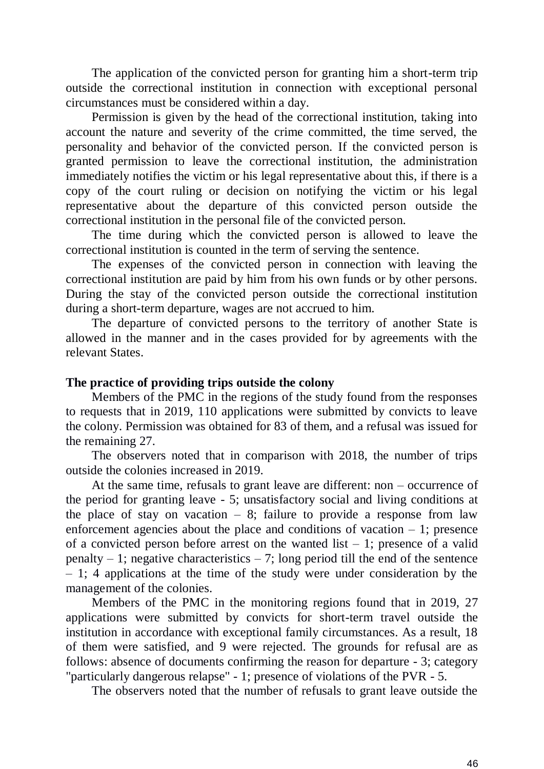The application of the convicted person for granting him a short-term trip outside the correctional institution in connection with exceptional personal circumstances must be considered within a day.

Permission is given by the head of the correctional institution, taking into account the nature and severity of the crime committed, the time served, the personality and behavior of the convicted person. If the convicted person is granted permission to leave the correctional institution, the administration immediately notifies the victim or his legal representative about this, if there is a copy of the court ruling or decision on notifying the victim or his legal representative about the departure of this convicted person outside the correctional institution in the personal file of the convicted person.

The time during which the convicted person is allowed to leave the correctional institution is counted in the term of serving the sentence.

The expenses of the convicted person in connection with leaving the correctional institution are paid by him from his own funds or by other persons. During the stay of the convicted person outside the correctional institution during a short-term departure, wages are not accrued to him.

The departure of convicted persons to the territory of another State is allowed in the manner and in the cases provided for by agreements with the relevant States.

#### **The practice of providing trips outside the colony**

Members of the PMC in the regions of the study found from the responses to requests that in 2019, 110 applications were submitted by convicts to leave the colony. Permission was obtained for 83 of them, and a refusal was issued for the remaining 27.

The observers noted that in comparison with 2018, the number of trips outside the colonies increased in 2019.

At the same time, refusals to grant leave are different: non – occurrence of the period for granting leave - 5; unsatisfactory social and living conditions at the place of stay on vacation  $-8$ ; failure to provide a response from law enforcement agencies about the place and conditions of vacation  $-1$ ; presence of a convicted person before arrest on the wanted list  $-1$ ; presence of a valid penalty  $-1$ ; negative characteristics  $-7$ ; long period till the end of the sentence – 1; 4 applications at the time of the study were under consideration by the management of the colonies.

Members of the PMC in the monitoring regions found that in 2019, 27 applications were submitted by convicts for short-term travel outside the institution in accordance with exceptional family circumstances. As a result, 18 of them were satisfied, and 9 were rejected. The grounds for refusal are as follows: absence of documents confirming the reason for departure - 3; category "particularly dangerous relapse" - 1; presence of violations of the PVR - 5.

The observers noted that the number of refusals to grant leave outside the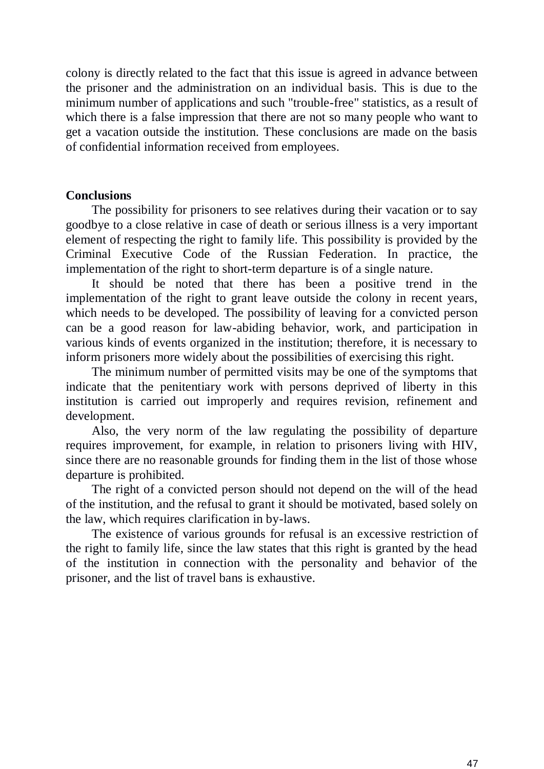colony is directly related to the fact that this issue is agreed in advance between the prisoner and the administration on an individual basis. This is due to the minimum number of applications and such "trouble-free" statistics, as a result of which there is a false impression that there are not so many people who want to get a vacation outside the institution. These conclusions are made on the basis of confidential information received from employees.

### **Conclusions**

The possibility for prisoners to see relatives during their vacation or to say goodbye to a close relative in case of death or serious illness is a very important element of respecting the right to family life. This possibility is provided by the Criminal Executive Code of the Russian Federation. In practice, the implementation of the right to short-term departure is of a single nature.

It should be noted that there has been a positive trend in the implementation of the right to grant leave outside the colony in recent years, which needs to be developed. The possibility of leaving for a convicted person can be a good reason for law-abiding behavior, work, and participation in various kinds of events organized in the institution; therefore, it is necessary to inform prisoners more widely about the possibilities of exercising this right.

The minimum number of permitted visits may be one of the symptoms that indicate that the penitentiary work with persons deprived of liberty in this institution is carried out improperly and requires revision, refinement and development.

Also, the very norm of the law regulating the possibility of departure requires improvement, for example, in relation to prisoners living with HIV, since there are no reasonable grounds for finding them in the list of those whose departure is prohibited.

The right of a convicted person should not depend on the will of the head of the institution, and the refusal to grant it should be motivated, based solely on the law, which requires clarification in by-laws.

The existence of various grounds for refusal is an excessive restriction of the right to family life, since the law states that this right is granted by the head of the institution in connection with the personality and behavior of the prisoner, and the list of travel bans is exhaustive.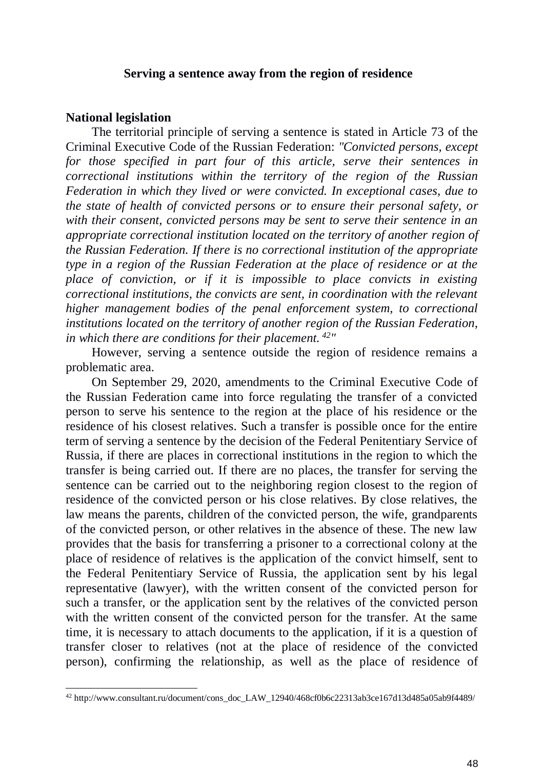#### **Serving a sentence away from the region of residence**

#### **National legislation**

-

The territorial principle of serving a sentence is stated in Article 73 of the Criminal Executive Code of the Russian Federation: *"Convicted persons, except for those specified in part four of this article, serve their sentences in correctional institutions within the territory of the region of the Russian Federation in which they lived or were convicted. In exceptional cases, due to the state of health of convicted persons or to ensure their personal safety, or with their consent, convicted persons may be sent to serve their sentence in an appropriate correctional institution located on the territory of another region of the Russian Federation. If there is no correctional institution of the appropriate type in a region of the Russian Federation at the place of residence or at the place of conviction, or if it is impossible to place convicts in existing correctional institutions, the convicts are sent, in coordination with the relevant higher management bodies of the penal enforcement system, to correctional institutions located on the territory of another region of the Russian Federation, in which there are conditions for their placement. <sup>42</sup> "*

However, serving a sentence outside the region of residence remains a problematic area.

On September 29, 2020, amendments to the Criminal Executive Code of the Russian Federation came into force regulating the transfer of a convicted person to serve his sentence to the region at the place of his residence or the residence of his closest relatives. Such a transfer is possible once for the entire term of serving a sentence by the decision of the Federal Penitentiary Service of Russia, if there are places in correctional institutions in the region to which the transfer is being carried out. If there are no places, the transfer for serving the sentence can be carried out to the neighboring region closest to the region of residence of the convicted person or his close relatives. By close relatives, the law means the parents, children of the convicted person, the wife, grandparents of the convicted person, or other relatives in the absence of these. The new law provides that the basis for transferring a prisoner to a correctional colony at the place of residence of relatives is the application of the convict himself, sent to the Federal Penitentiary Service of Russia, the application sent by his legal representative (lawyer), with the written consent of the convicted person for such a transfer, or the application sent by the relatives of the convicted person with the written consent of the convicted person for the transfer. At the same time, it is necessary to attach documents to the application, if it is a question of transfer closer to relatives (not at the place of residence of the convicted person), confirming the relationship, as well as the place of residence of

<sup>&</sup>lt;sup>42</sup> http://www.consultant.ru/document/cons\_doc\_LAW\_12940/468cf0b6c22313ab3ce167d13d485a05ab9f4489/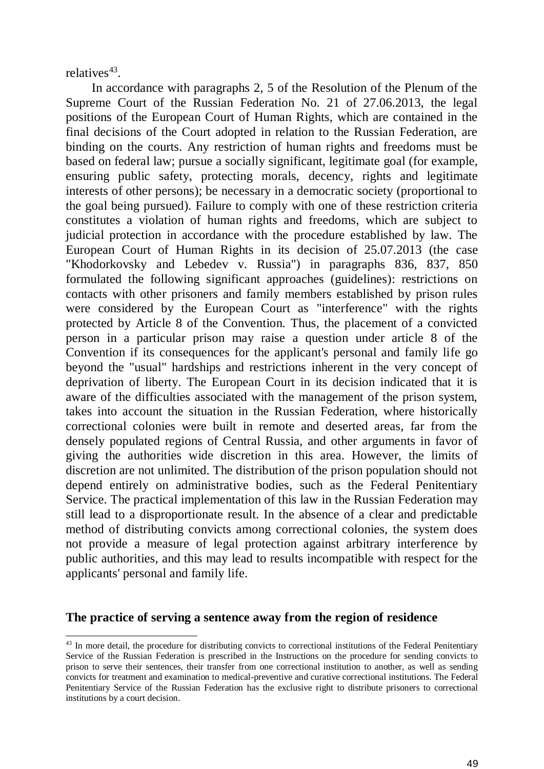relatives<sup>43</sup>.

In accordance with paragraphs 2, 5 of the Resolution of the Plenum of the Supreme Court of the Russian Federation No. 21 of 27.06.2013, the legal positions of the European Court of Human Rights, which are contained in the final decisions of the Court adopted in relation to the Russian Federation, are binding on the courts. Any restriction of human rights and freedoms must be based on federal law; pursue a socially significant, legitimate goal (for example, ensuring public safety, protecting morals, decency, rights and legitimate interests of other persons); be necessary in a democratic society (proportional to the goal being pursued). Failure to comply with one of these restriction criteria constitutes a violation of human rights and freedoms, which are subject to judicial protection in accordance with the procedure established by law. The European Court of Human Rights in its decision of 25.07.2013 (the case "Khodorkovsky and Lebedev v. Russia") in paragraphs 836, 837, 850 formulated the following significant approaches (guidelines): restrictions on contacts with other prisoners and family members established by prison rules were considered by the European Court as "interference" with the rights protected by Article 8 of the Convention. Thus, the placement of a convicted person in a particular prison may raise a question under article 8 of the Convention if its consequences for the applicant's personal and family life go beyond the "usual" hardships and restrictions inherent in the very concept of deprivation of liberty. The European Court in its decision indicated that it is aware of the difficulties associated with the management of the prison system, takes into account the situation in the Russian Federation, where historically correctional colonies were built in remote and deserted areas, far from the densely populated regions of Central Russia, and other arguments in favor of giving the authorities wide discretion in this area. However, the limits of discretion are not unlimited. The distribution of the prison population should not depend entirely on administrative bodies, such as the Federal Penitentiary Service. The practical implementation of this law in the Russian Federation may still lead to a disproportionate result. In the absence of a clear and predictable method of distributing convicts among correctional colonies, the system does not provide a measure of legal protection against arbitrary interference by public authorities, and this may lead to results incompatible with respect for the applicants' personal and family life.

## **The practice of serving a sentence away from the region of residence**

<sup>-</sup><sup>43</sup> In more detail, the procedure for distributing convicts to correctional institutions of the Federal Penitentiary Service of the Russian Federation is prescribed in the Instructions on the procedure for sending convicts to prison to serve their sentences, their transfer from one correctional institution to another, as well as sending convicts for treatment and examination to medical-preventive and curative correctional institutions. The Federal Penitentiary Service of the Russian Federation has the exclusive right to distribute prisoners to correctional institutions by a court decision.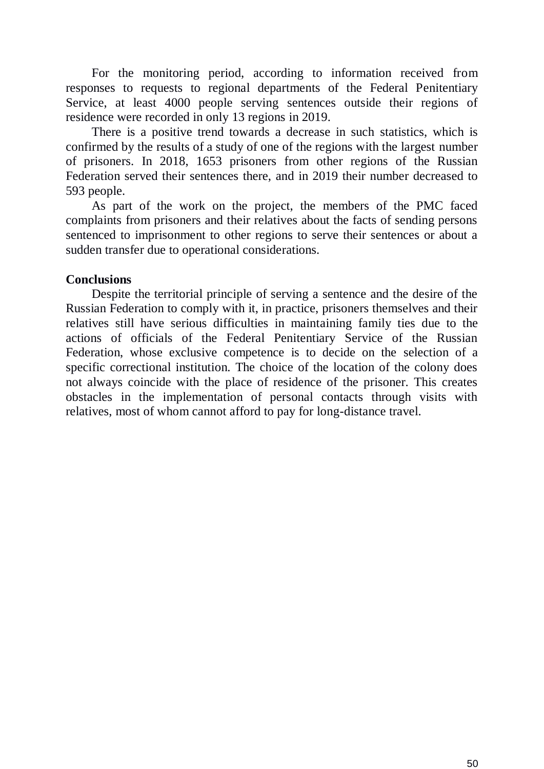For the monitoring period, according to information received from responses to requests to regional departments of the Federal Penitentiary Service, at least 4000 people serving sentences outside their regions of residence were recorded in only 13 regions in 2019.

There is a positive trend towards a decrease in such statistics, which is confirmed by the results of a study of one of the regions with the largest number of prisoners. In 2018, 1653 prisoners from other regions of the Russian Federation served their sentences there, and in 2019 their number decreased to 593 people.

As part of the work on the project, the members of the PMC faced complaints from prisoners and their relatives about the facts of sending persons sentenced to imprisonment to other regions to serve their sentences or about a sudden transfer due to operational considerations.

# **Conclusions**

Despite the territorial principle of serving a sentence and the desire of the Russian Federation to comply with it, in practice, prisoners themselves and their relatives still have serious difficulties in maintaining family ties due to the actions of officials of the Federal Penitentiary Service of the Russian Federation, whose exclusive competence is to decide on the selection of a specific correctional institution. The choice of the location of the colony does not always coincide with the place of residence of the prisoner. This creates obstacles in the implementation of personal contacts through visits with relatives, most of whom cannot afford to pay for long-distance travel.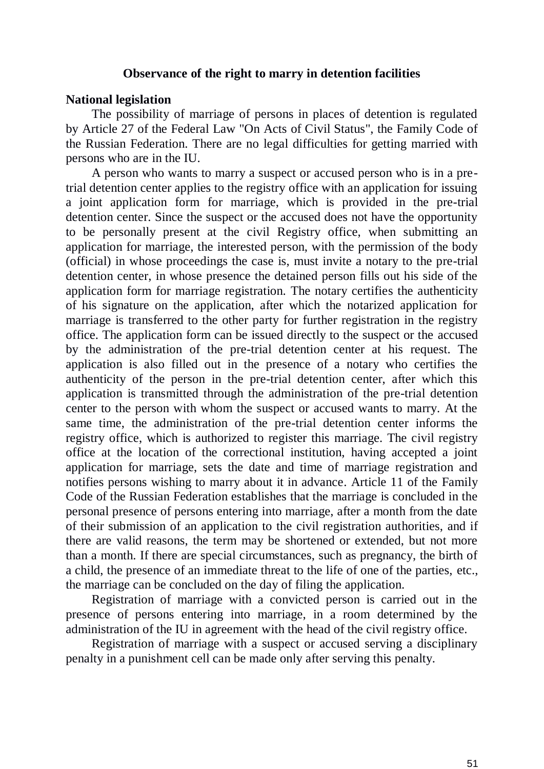#### **Observance of the right to marry in detention facilities**

#### **National legislation**

The possibility of marriage of persons in places of detention is regulated by Article 27 of the Federal Law "On Acts of Civil Status", the Family Code of the Russian Federation. There are no legal difficulties for getting married with persons who are in the IU.

A person who wants to marry a suspect or accused person who is in a pretrial detention center applies to the registry office with an application for issuing a joint application form for marriage, which is provided in the pre-trial detention center. Since the suspect or the accused does not have the opportunity to be personally present at the civil Registry office, when submitting an application for marriage, the interested person, with the permission of the body (official) in whose proceedings the case is, must invite a notary to the pre-trial detention center, in whose presence the detained person fills out his side of the application form for marriage registration. The notary certifies the authenticity of his signature on the application, after which the notarized application for marriage is transferred to the other party for further registration in the registry office. The application form can be issued directly to the suspect or the accused by the administration of the pre-trial detention center at his request. The application is also filled out in the presence of a notary who certifies the authenticity of the person in the pre-trial detention center, after which this application is transmitted through the administration of the pre-trial detention center to the person with whom the suspect or accused wants to marry. At the same time, the administration of the pre-trial detention center informs the registry office, which is authorized to register this marriage. The civil registry office at the location of the correctional institution, having accepted a joint application for marriage, sets the date and time of marriage registration and notifies persons wishing to marry about it in advance. Article 11 of the Family Code of the Russian Federation establishes that the marriage is concluded in the personal presence of persons entering into marriage, after a month from the date of their submission of an application to the civil registration authorities, and if there are valid reasons, the term may be shortened or extended, but not more than a month. If there are special circumstances, such as pregnancy, the birth of a child, the presence of an immediate threat to the life of one of the parties, etc., the marriage can be concluded on the day of filing the application.

Registration of marriage with a convicted person is carried out in the presence of persons entering into marriage, in a room determined by the administration of the IU in agreement with the head of the civil registry office.

Registration of marriage with a suspect or accused serving a disciplinary penalty in a punishment cell can be made only after serving this penalty.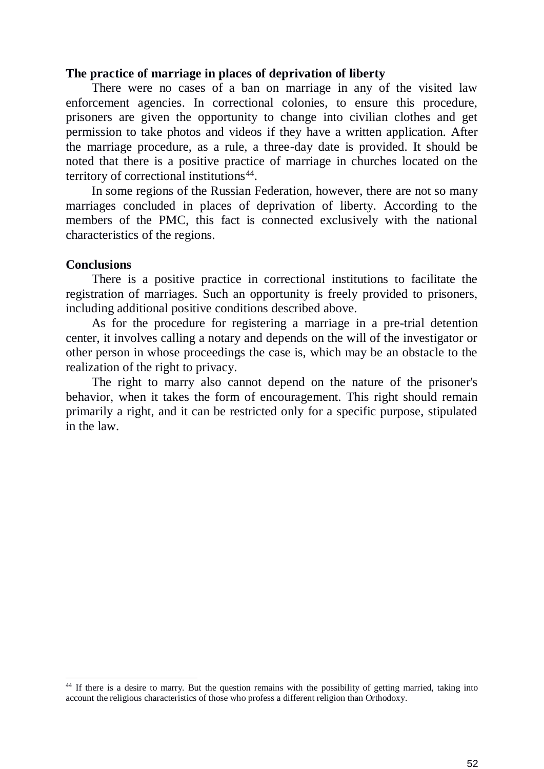### **The practice of marriage in places of deprivation of liberty**

There were no cases of a ban on marriage in any of the visited law enforcement agencies. In correctional colonies, to ensure this procedure, prisoners are given the opportunity to change into civilian clothes and get permission to take photos and videos if they have a written application. After the marriage procedure, as a rule, a three-day date is provided. It should be noted that there is a positive practice of marriage in churches located on the territory of correctional institutions<sup>44</sup>.

In some regions of the Russian Federation, however, there are not so many marriages concluded in places of deprivation of liberty. According to the members of the PMC, this fact is connected exclusively with the national characteristics of the regions.

#### **Conclusions**

-

There is a positive practice in correctional institutions to facilitate the registration of marriages. Such an opportunity is freely provided to prisoners, including additional positive conditions described above.

As for the procedure for registering a marriage in a pre-trial detention center, it involves calling a notary and depends on the will of the investigator or other person in whose proceedings the case is, which may be an obstacle to the realization of the right to privacy.

The right to marry also cannot depend on the nature of the prisoner's behavior, when it takes the form of encouragement. This right should remain primarily a right, and it can be restricted only for a specific purpose, stipulated in the law.

<sup>&</sup>lt;sup>44</sup> If there is a desire to marry. But the question remains with the possibility of getting married, taking into account the religious characteristics of those who profess a different religion than Orthodoxy.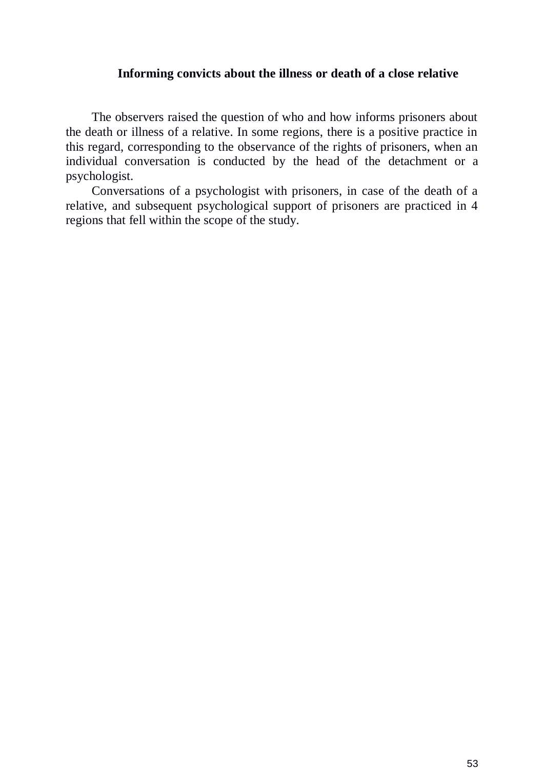### **Informing convicts about the illness or death of a close relative**

The observers raised the question of who and how informs prisoners about the death or illness of a relative. In some regions, there is a positive practice in this regard, corresponding to the observance of the rights of prisoners, when an individual conversation is conducted by the head of the detachment or a psychologist.

Conversations of a psychologist with prisoners, in case of the death of a relative, and subsequent psychological support of prisoners are practiced in 4 regions that fell within the scope of the study.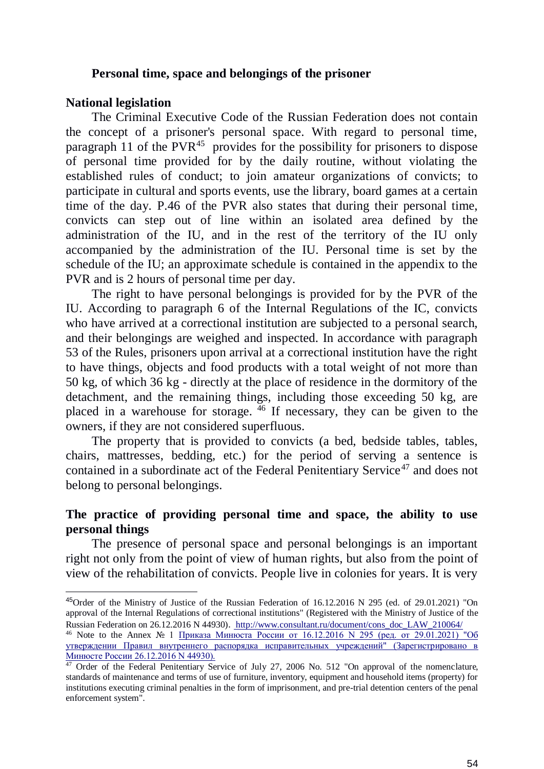#### **Personal time, space and belongings of the prisoner**

#### **National legislation**

-

The Criminal Executive Code of the Russian Federation does not contain the concept of a prisoner's personal space. With regard to personal time, paragraph 11 of the PVR<sup>45</sup> provides for the possibility for prisoners to dispose of personal time provided for by the daily routine, without violating the established rules of conduct; to join amateur organizations of convicts; to participate in cultural and sports events, use the library, board games at a certain time of the day. P.46 of the PVR also states that during their personal time, convicts can step out of line within an isolated area defined by the administration of the IU, and in the rest of the territory of the IU only accompanied by the administration of the IU. Personal time is set by the schedule of the IU; an approximate schedule is contained in the appendix to the PVR and is 2 hours of personal time per day.

The right to have personal belongings is provided for by the PVR of the IU. According to paragraph 6 of the Internal Regulations of the IC, convicts who have arrived at a correctional institution are subjected to a personal search, and their belongings are weighed and inspected. In accordance with paragraph 53 of the Rules, prisoners upon arrival at a correctional institution have the right to have things, objects and food products with a total weight of not more than 50 kg, of which 36 kg - directly at the place of residence in the dormitory of the detachment, and the remaining things, including those exceeding 50 kg, are placed in a warehouse for storage. <sup>46</sup> If necessary, they can be given to the owners, if they are not considered superfluous.

The property that is provided to convicts (a bed, bedside tables, tables, chairs, mattresses, bedding, etc.) for the period of serving a sentence is contained in a subordinate act of the Federal Penitentiary Service<sup>47</sup> and does not belong to personal belongings.

# **The practice of providing personal time and space, the ability to use personal things**

The presence of personal space and personal belongings is an important right not only from the point of view of human rights, but also from the point of view of the rehabilitation of convicts. People live in colonies for years. It is very

<sup>45</sup>Order of the Ministry of Justice of the Russian Federation of 16.12.2016 N 295 (ed. of 29.01.2021) "On approval of the Internal Regulations of correctional institutions" (Registered with the Ministry of Justice of the Russian Federation on 26.12.2016 N 44930). http://www.consultant.ru/document/cons\_doc\_LAW\_210064/

<sup>46</sup> Note to the Annex № 1 [Приказа Минюста России от 16.12.2016 N 295 \(ред. от 29.01.2021\) "Об](http://www.consultant.ru/document/cons_doc_LAW_210064/)  [утверждении Правил внутреннего распорядка исправительных учреждений" \(Зарегистрировано в](http://www.consultant.ru/document/cons_doc_LAW_210064/)  [Минюсте России 26.12.2016 N 44930\).](http://www.consultant.ru/document/cons_doc_LAW_210064/)

 $47$  Order of the Federal Penitentiary Service of July 27, 2006 No. 512 "On approval of the nomenclature, standards of maintenance and terms of use of furniture, inventory, equipment and household items (property) for institutions executing criminal penalties in the form of imprisonment, and pre-trial detention centers of the penal enforcement system".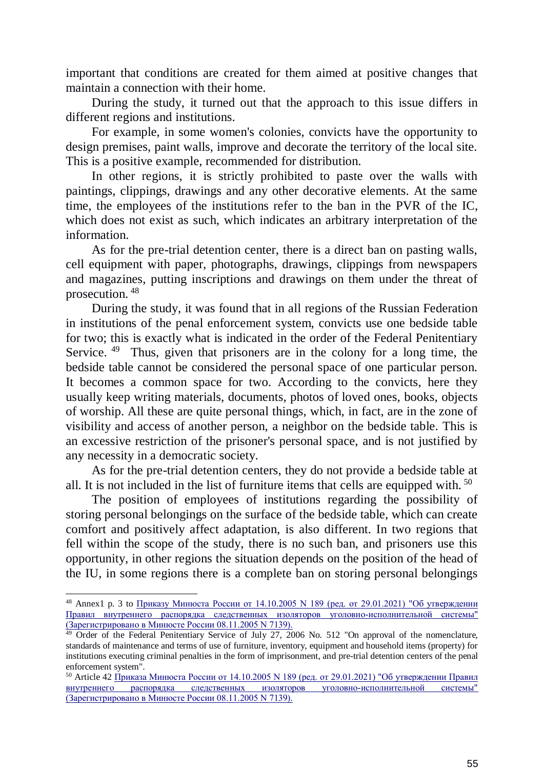important that conditions are created for them aimed at positive changes that maintain a connection with their home.

During the study, it turned out that the approach to this issue differs in different regions and institutions.

For example, in some women's colonies, convicts have the opportunity to design premises, paint walls, improve and decorate the territory of the local site. This is a positive example, recommended for distribution.

In other regions, it is strictly prohibited to paste over the walls with paintings, clippings, drawings and any other decorative elements. At the same time, the employees of the institutions refer to the ban in the PVR of the IC, which does not exist as such, which indicates an arbitrary interpretation of the information.

As for the pre-trial detention center, there is a direct ban on pasting walls, cell equipment with paper, photographs, drawings, clippings from newspapers and magazines, putting inscriptions and drawings on them under the threat of prosecution. <sup>48</sup>

During the study, it was found that in all regions of the Russian Federation in institutions of the penal enforcement system, convicts use one bedside table for two; this is exactly what is indicated in the order of the Federal Penitentiary Service. <sup>49</sup> Thus, given that prisoners are in the colony for a long time, the bedside table cannot be considered the personal space of one particular person. It becomes a common space for two. According to the convicts, here they usually keep writing materials, documents, photos of loved ones, books, objects of worship. All these are quite personal things, which, in fact, are in the zone of visibility and access of another person, a neighbor on the bedside table. This is an excessive restriction of the prisoner's personal space, and is not justified by any necessity in a democratic society.

As for the pre-trial detention centers, they do not provide a bedside table at all. It is not included in the list of furniture items that cells are equipped with.  $50$ 

The position of employees of institutions regarding the possibility of storing personal belongings on the surface of the bedside table, which can create comfort and positively affect adaptation, is also different. In two regions that fell within the scope of the study, there is no such ban, and prisoners use this opportunity, in other regions the situation depends on the position of the head of the IU, in some regions there is a complete ban on storing personal belongings

-

<sup>48</sup> Annex1 p. 3 to [Приказу Минюста России от 14.10.2005 N 189 \(ред. от 29.01.2021\) "Об утверждении](http://www.consultant.ru/document/cons_doc_LAW_56436/)  [Правил внутреннего распорядка следственных изоляторов уголовно-исполнительной системы"](http://www.consultant.ru/document/cons_doc_LAW_56436/)  [\(Зарегистрировано в Минюсте России 08.11.2005 N 7139\).](http://www.consultant.ru/document/cons_doc_LAW_56436/)

 $\frac{49}{49}$  Order of the Federal Penitentiary Service of July 27, 2006 No. 512 "On approval of the nomenclature, standards of maintenance and terms of use of furniture, inventory, equipment and household items (property) for institutions executing criminal penalties in the form of imprisonment, and pre-trial detention centers of the penal enforcement system".

 $50$  Article 42 Приказа Минюста России от  $14.10.2005$  N 189 (ред. от 29.01.2021) "Об утверждении Правил [внутреннего распорядка следственных изоляторов уголовно-исполнительной системы"](http://www.consultant.ru/document/cons_doc_LAW_56436/)  [\(Зарегистрировано в Минюсте России 08.11.2005 N 7139\).](http://www.consultant.ru/document/cons_doc_LAW_56436/)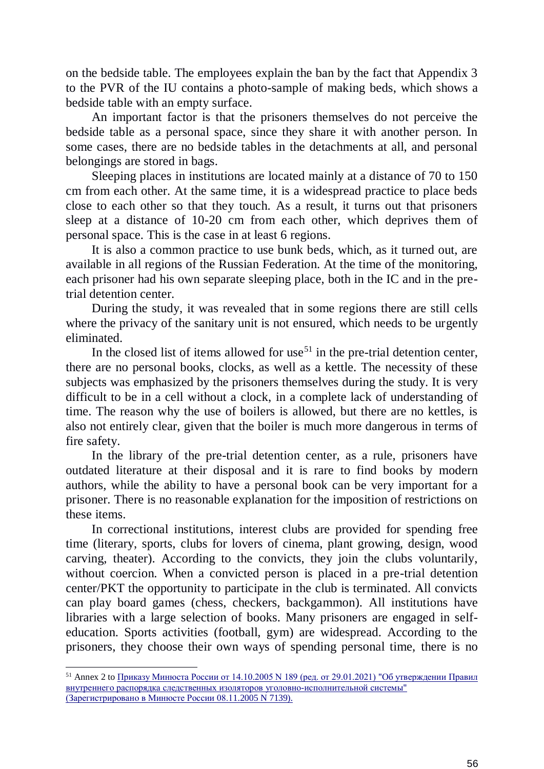on the bedside table. The employees explain the ban by the fact that Appendix 3 to the PVR of the IU contains a photo-sample of making beds, which shows a bedside table with an empty surface.

An important factor is that the prisoners themselves do not perceive the bedside table as a personal space, since they share it with another person. In some cases, there are no bedside tables in the detachments at all, and personal belongings are stored in bags.

Sleeping places in institutions are located mainly at a distance of 70 to 150 cm from each other. At the same time, it is a widespread practice to place beds close to each other so that they touch. As a result, it turns out that prisoners sleep at a distance of 10-20 cm from each other, which deprives them of personal space. This is the case in at least 6 regions.

It is also a common practice to use bunk beds, which, as it turned out, are available in all regions of the Russian Federation. At the time of the monitoring, each prisoner had his own separate sleeping place, both in the IC and in the pretrial detention center.

During the study, it was revealed that in some regions there are still cells where the privacy of the sanitary unit is not ensured, which needs to be urgently eliminated.

In the closed list of items allowed for use<sup>51</sup> in the pre-trial detention center, there are no personal books, clocks, as well as a kettle. The necessity of these subjects was emphasized by the prisoners themselves during the study. It is very difficult to be in a cell without a clock, in a complete lack of understanding of time. The reason why the use of boilers is allowed, but there are no kettles, is also not entirely clear, given that the boiler is much more dangerous in terms of fire safety.

In the library of the pre-trial detention center, as a rule, prisoners have outdated literature at their disposal and it is rare to find books by modern authors, while the ability to have a personal book can be very important for a prisoner. There is no reasonable explanation for the imposition of restrictions on these items.

In correctional institutions, interest clubs are provided for spending free time (literary, sports, clubs for lovers of cinema, plant growing, design, wood carving, theater). According to the convicts, they join the clubs voluntarily, without coercion. When a convicted person is placed in a pre-trial detention center/PKT the opportunity to participate in the club is terminated. All convicts can play board games (chess, checkers, backgammon). All institutions have libraries with a large selection of books. Many prisoners are engaged in selfeducation. Sports activities (football, gym) are widespread. According to the prisoners, they choose their own ways of spending personal time, there is no

-

 $51$  Annex 2 to Приказу Минюста России от  $14.10.2005$  N 189 (ред. от 29.01.2021) "Об утверждении Правил [внутреннего распорядка следственных изоляторов уголовно-исполнительной системы"](http://www.consultant.ru/document/cons_doc_LAW_56436/)  [\(Зарегистрировано в Минюсте России 08.11.2005 N 7139\).](http://www.consultant.ru/document/cons_doc_LAW_56436/)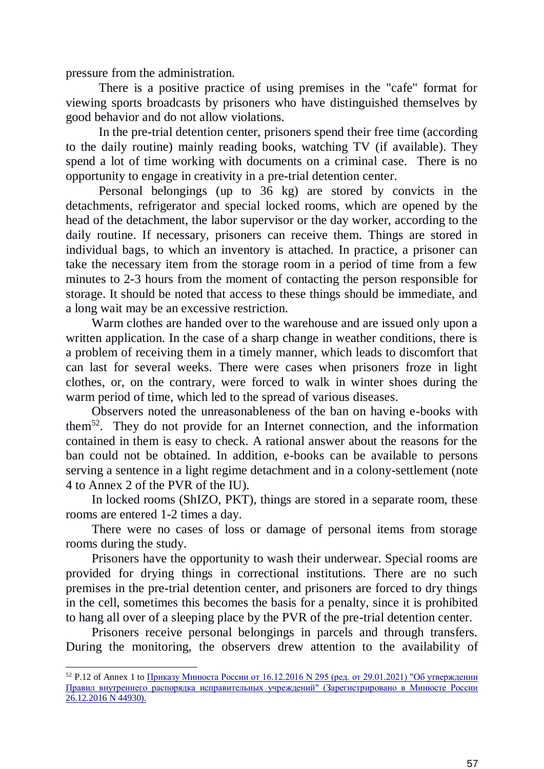pressure from the administration.

-

There is a positive practice of using premises in the "cafe" format for viewing sports broadcasts by prisoners who have distinguished themselves by good behavior and do not allow violations.

In the pre-trial detention center, prisoners spend their free time (according to the daily routine) mainly reading books, watching TV (if available). They spend a lot of time working with documents on a criminal case. There is no opportunity to engage in creativity in a pre-trial detention center.

Personal belongings (up to 36 kg) are stored by convicts in the detachments, refrigerator and special locked rooms, which are opened by the head of the detachment, the labor supervisor or the day worker, according to the daily routine. If necessary, prisoners can receive them. Things are stored in individual bags, to which an inventory is attached. In practice, a prisoner can take the necessary item from the storage room in a period of time from a few minutes to 2-3 hours from the moment of contacting the person responsible for storage. It should be noted that access to these things should be immediate, and a long wait may be an excessive restriction.

Warm clothes are handed over to the warehouse and are issued only upon a written application. In the case of a sharp change in weather conditions, there is a problem of receiving them in a timely manner, which leads to discomfort that can last for several weeks. There were cases when prisoners froze in light clothes, or, on the contrary, were forced to walk in winter shoes during the warm period of time, which led to the spread of various diseases.

Observers noted the unreasonableness of the ban on having e-books with them<sup>52</sup>. They do not provide for an Internet connection, and the information contained in them is easy to check. A rational answer about the reasons for the ban could not be obtained. In addition, e-books can be available to persons serving a sentence in a light regime detachment and in a colony-settlement (note 4 to Annex 2 of the PVR of the IU).

In locked rooms (ShIZO, PKT), things are stored in a separate room, these rooms are entered 1-2 times a day.

There were no cases of loss or damage of personal items from storage rooms during the study.

Prisoners have the opportunity to wash their underwear. Special rooms are provided for drying things in correctional institutions. There are no such premises in the pre-trial detention center, and prisoners are forced to dry things in the cell, sometimes this becomes the basis for a penalty, since it is prohibited to hang all over of a sleeping place by the PVR of the pre-trial detention center.

Prisoners receive personal belongings in parcels and through transfers. During the monitoring, the observers drew attention to the availability of

 $52$  P.12 of Annex 1 to Приказу Минюста России от 16.12.2016 N 295 (ред. от 29.01.2021) "Об утверждении [Правил внутреннего распорядка исправительных учреждений" \(Зарегистрировано в Минюсте России](http://www.consultant.ru/document/cons_doc_LAW_210064/)  [26.12.2016 N 44930\).](http://www.consultant.ru/document/cons_doc_LAW_210064/)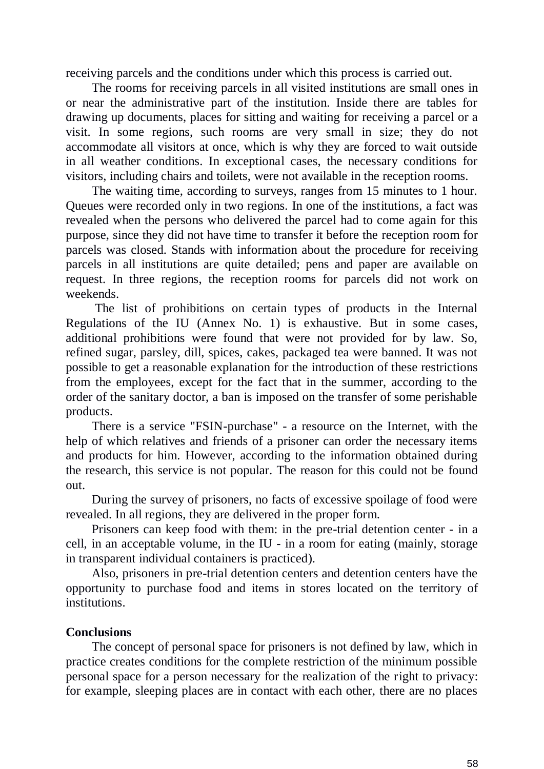receiving parcels and the conditions under which this process is carried out.

The rooms for receiving parcels in all visited institutions are small ones in or near the administrative part of the institution. Inside there are tables for drawing up documents, places for sitting and waiting for receiving a parcel or a visit. In some regions, such rooms are very small in size; they do not accommodate all visitors at once, which is why they are forced to wait outside in all weather conditions. In exceptional cases, the necessary conditions for visitors, including chairs and toilets, were not available in the reception rooms.

The waiting time, according to surveys, ranges from 15 minutes to 1 hour. Queues were recorded only in two regions. In one of the institutions, a fact was revealed when the persons who delivered the parcel had to come again for this purpose, since they did not have time to transfer it before the reception room for parcels was closed. Stands with information about the procedure for receiving parcels in all institutions are quite detailed; pens and paper are available on request. In three regions, the reception rooms for parcels did not work on weekends.

The list of prohibitions on certain types of products in the Internal Regulations of the IU (Annex No. 1) is exhaustive. But in some cases, additional prohibitions were found that were not provided for by law. So, refined sugar, parsley, dill, spices, cakes, packaged tea were banned. It was not possible to get a reasonable explanation for the introduction of these restrictions from the employees, except for the fact that in the summer, according to the order of the sanitary doctor, a ban is imposed on the transfer of some perishable products.

There is a service "FSIN-purchase" - a resource on the Internet, with the help of which relatives and friends of a prisoner can order the necessary items and products for him. However, according to the information obtained during the research, this service is not popular. The reason for this could not be found out.

During the survey of prisoners, no facts of excessive spoilage of food were revealed. In all regions, they are delivered in the proper form.

Prisoners can keep food with them: in the pre-trial detention center - in a cell, in an acceptable volume, in the IU - in a room for eating (mainly, storage in transparent individual containers is practiced).

Also, prisoners in pre-trial detention centers and detention centers have the opportunity to purchase food and items in stores located on the territory of institutions.

## **Conclusions**

The concept of personal space for prisoners is not defined by law, which in practice creates conditions for the complete restriction of the minimum possible personal space for a person necessary for the realization of the right to privacy: for example, sleeping places are in contact with each other, there are no places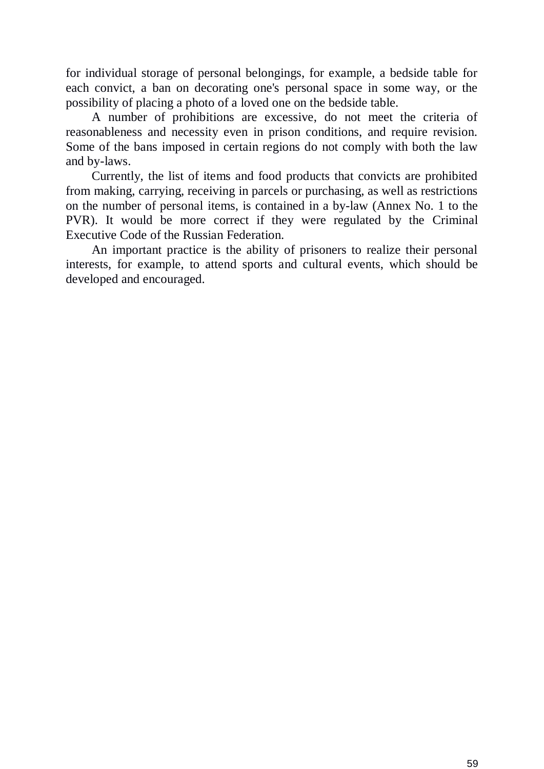for individual storage of personal belongings, for example, a bedside table for each convict, a ban on decorating one's personal space in some way, or the possibility of placing a photo of a loved one on the bedside table.

A number of prohibitions are excessive, do not meet the criteria of reasonableness and necessity even in prison conditions, and require revision. Some of the bans imposed in certain regions do not comply with both the law and by-laws.

Currently, the list of items and food products that convicts are prohibited from making, carrying, receiving in parcels or purchasing, as well as restrictions on the number of personal items, is contained in a by-law (Annex No. 1 to the PVR). It would be more correct if they were regulated by the Criminal Executive Code of the Russian Federation.

An important practice is the ability of prisoners to realize their personal interests, for example, to attend sports and cultural events, which should be developed and encouraged.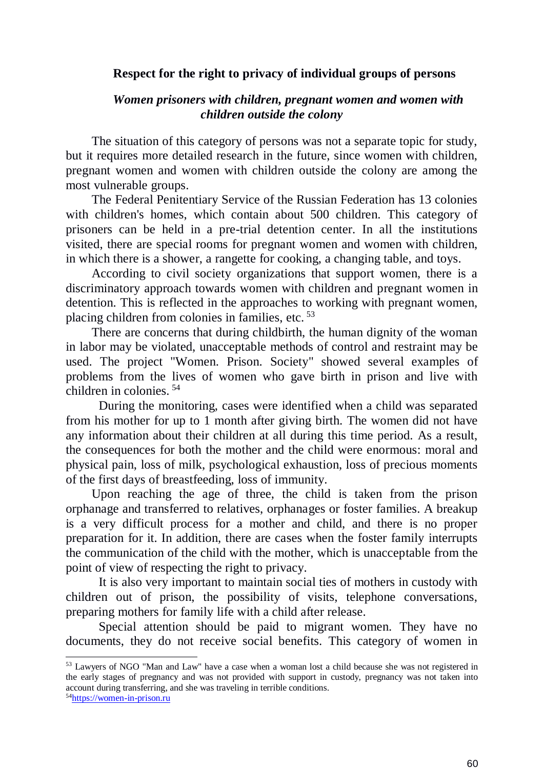# **Respect for the right to privacy of individual groups of persons**

## *Women prisoners with children, pregnant women and women with children outside the colony*

The situation of this category of persons was not a separate topic for study, but it requires more detailed research in the future, since women with children, pregnant women and women with children outside the colony are among the most vulnerable groups.

The Federal Penitentiary Service of the Russian Federation has 13 colonies with children's homes, which contain about 500 children. This category of prisoners can be held in a pre-trial detention center. In all the institutions visited, there are special rooms for pregnant women and women with children, in which there is a shower, a rangette for cooking, a changing table, and toys.

According to civil society organizations that support women, there is a discriminatory approach towards women with children and pregnant women in detention. This is reflected in the approaches to working with pregnant women, placing children from colonies in families, etc. <sup>53</sup>

There are concerns that during childbirth, the human dignity of the woman in labor may be violated, unacceptable methods of control and restraint may be used. The project "Women. Prison. Society" showed several examples of problems from the lives of women who gave birth in prison and live with children in colonies. <sup>54</sup>

During the monitoring, cases were identified when a child was separated from his mother for up to 1 month after giving birth. The women did not have any information about their children at all during this time period. As a result, the consequences for both the mother and the child were enormous: moral and physical pain, loss of milk, psychological exhaustion, loss of precious moments of the first days of breastfeeding, loss of immunity.

Upon reaching the age of three, the child is taken from the prison orphanage and transferred to relatives, orphanages or foster families. A breakup is a very difficult process for a mother and child, and there is no proper preparation for it. In addition, there are cases when the foster family interrupts the communication of the child with the mother, which is unacceptable from the point of view of respecting the right to privacy.

It is also very important to maintain social ties of mothers in custody with children out of prison, the possibility of visits, telephone conversations, preparing mothers for family life with a child after release.

Special attention should be paid to migrant women. They have no documents, they do not receive social benefits. This category of women in

-

<sup>53</sup> Lawyers of NGO "Man and Law" have a case when a woman lost a child because she was not registered in the early stages of pregnancy and was not provided with support in custody, pregnancy was not taken into account during transferring, and she was traveling in terrible conditions.

<sup>54</sup>[https://women-in-prison.ru](https://women-in-prison.ru/)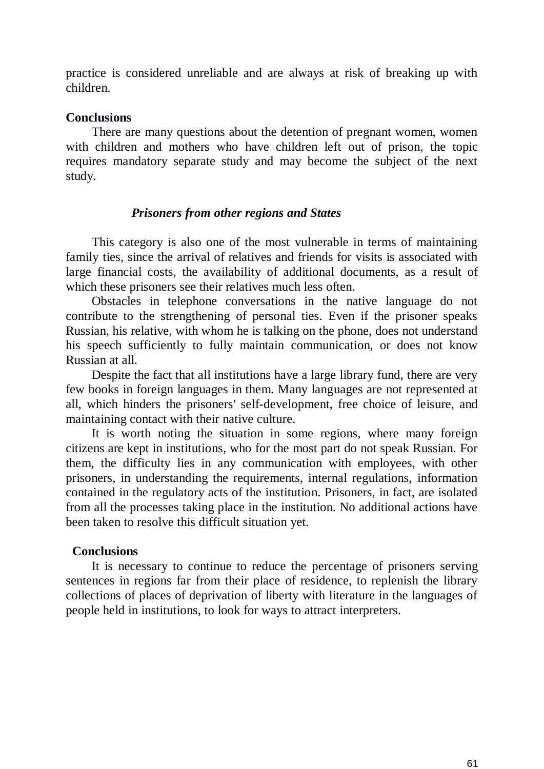practice is considered unreliable and are always at risk of breaking up with children.

### **Conclusions**

There are many questions about the detention of pregnant women, women with children and mothers who have children left out of prison, the topic requires mandatory separate study and may become the subject of the next study.

#### *Prisoners from other regions and States*

This category is also one of the most vulnerable in terms of maintaining family ties, since the arrival of relatives and friends for visits is associated with large financial costs, the availability of additional documents, as a result of which these prisoners see their relatives much less often.

Obstacles in telephone conversations in the native language do not contribute to the strengthening of personal ties. Even if the prisoner speaks Russian, his relative, with whom he is talking on the phone, does not understand his speech sufficiently to fully maintain communication, or does not know Russian at all.

Despite the fact that all institutions have a large library fund, there are very few books in foreign languages in them. Many languages are not represented at all, which hinders the prisoners' self-development, free choice of leisure, and maintaining contact with their native culture.

It is worth noting the situation in some regions, where many foreign citizens are kept in institutions, who for the most part do not speak Russian. For them, the difficulty lies in any communication with employees, with other prisoners, in understanding the requirements, internal regulations, information contained in the regulatory acts of the institution. Prisoners, in fact, are isolated from all the processes taking place in the institution. No additional actions have been taken to resolve this difficult situation yet.

#### **Conclusions**

It is necessary to continue to reduce the percentage of prisoners serving sentences in regions far from their place of residence, to replenish the library collections of places of deprivation of liberty with literature in the languages of people held in institutions, to look for ways to attract interpreters.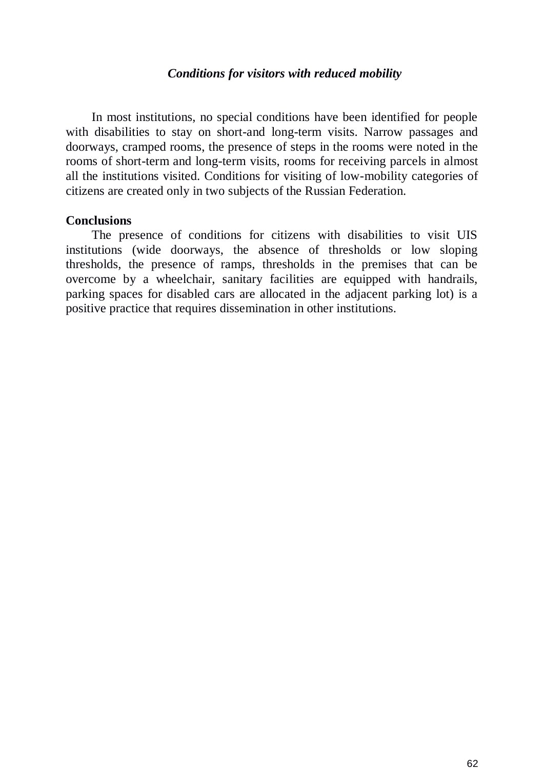### *Conditions for visitors with reduced mobility*

In most institutions, no special conditions have been identified for people with disabilities to stay on short-and long-term visits. Narrow passages and doorways, cramped rooms, the presence of steps in the rooms were noted in the rooms of short-term and long-term visits, rooms for receiving parcels in almost all the institutions visited. Conditions for visiting of low-mobility categories of citizens are created only in two subjects of the Russian Federation.

#### **Conclusions**

The presence of conditions for citizens with disabilities to visit UIS institutions (wide doorways, the absence of thresholds or low sloping thresholds, the presence of ramps, thresholds in the premises that can be overcome by a wheelchair, sanitary facilities are equipped with handrails, parking spaces for disabled cars are allocated in the adjacent parking lot) is a positive practice that requires dissemination in other institutions.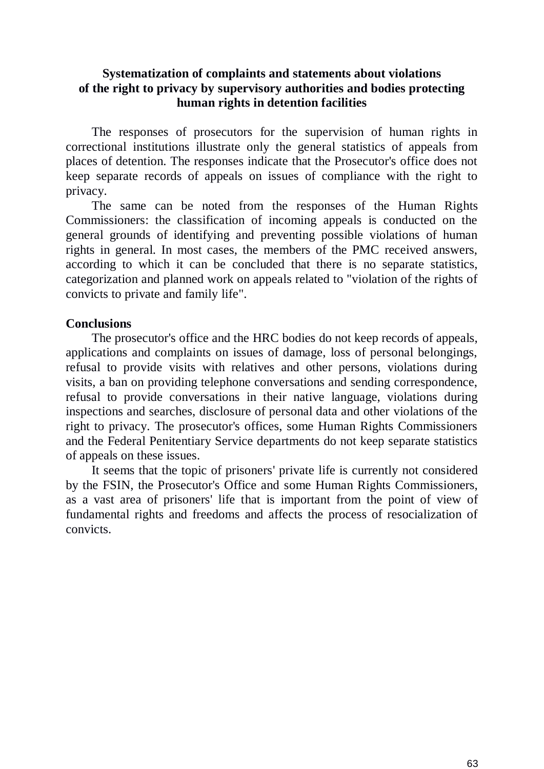# **Systematization of complaints and statements about violations of the right to privacy by supervisory authorities and bodies protecting human rights in detention facilities**

The responses of prosecutors for the supervision of human rights in correctional institutions illustrate only the general statistics of appeals from places of detention. The responses indicate that the Prosecutor's office does not keep separate records of appeals on issues of compliance with the right to privacy.

The same can be noted from the responses of the Human Rights Commissioners: the classification of incoming appeals is conducted on the general grounds of identifying and preventing possible violations of human rights in general. In most cases, the members of the PMC received answers, according to which it can be concluded that there is no separate statistics, categorization and planned work on appeals related to "violation of the rights of convicts to private and family life".

# **Conclusions**

The prosecutor's office and the HRC bodies do not keep records of appeals, applications and complaints on issues of damage, loss of personal belongings, refusal to provide visits with relatives and other persons, violations during visits, a ban on providing telephone conversations and sending correspondence, refusal to provide conversations in their native language, violations during inspections and searches, disclosure of personal data and other violations of the right to privacy. The prosecutor's offices, some Human Rights Commissioners and the Federal Penitentiary Service departments do not keep separate statistics of appeals on these issues.

It seems that the topic of prisoners' private life is currently not considered by the FSIN, the Prosecutor's Office and some Human Rights Commissioners, as a vast area of prisoners' life that is important from the point of view of fundamental rights and freedoms and affects the process of resocialization of convicts.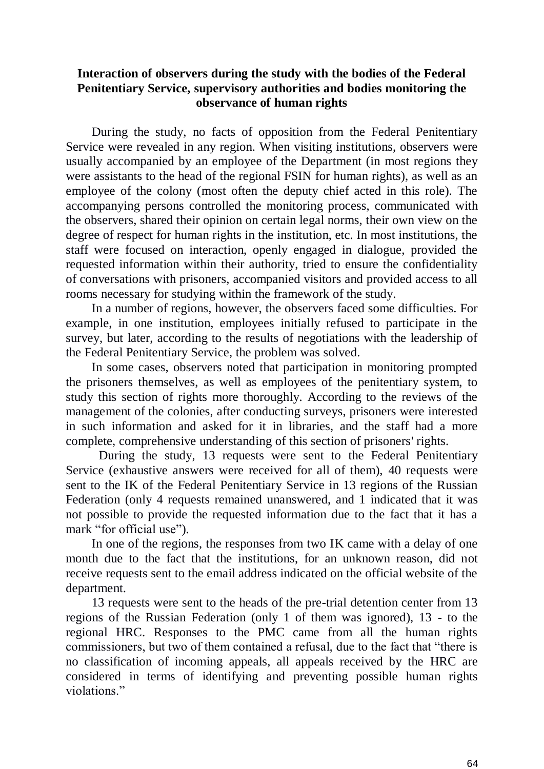# **Interaction of observers during the study with the bodies of the Federal Penitentiary Service, supervisory authorities and bodies monitoring the observance of human rights**

During the study, no facts of opposition from the Federal Penitentiary Service were revealed in any region. When visiting institutions, observers were usually accompanied by an employee of the Department (in most regions they were assistants to the head of the regional FSIN for human rights), as well as an employee of the colony (most often the deputy chief acted in this role). The accompanying persons controlled the monitoring process, communicated with the observers, shared their opinion on certain legal norms, their own view on the degree of respect for human rights in the institution, etc. In most institutions, the staff were focused on interaction, openly engaged in dialogue, provided the requested information within their authority, tried to ensure the confidentiality of conversations with prisoners, accompanied visitors and provided access to all rooms necessary for studying within the framework of the study.

In a number of regions, however, the observers faced some difficulties. For example, in one institution, employees initially refused to participate in the survey, but later, according to the results of negotiations with the leadership of the Federal Penitentiary Service, the problem was solved.

In some cases, observers noted that participation in monitoring prompted the prisoners themselves, as well as employees of the penitentiary system, to study this section of rights more thoroughly. According to the reviews of the management of the colonies, after conducting surveys, prisoners were interested in such information and asked for it in libraries, and the staff had a more complete, comprehensive understanding of this section of prisoners' rights.

During the study, 13 requests were sent to the Federal Penitentiary Service (exhaustive answers were received for all of them), 40 requests were sent to the IK of the Federal Penitentiary Service in 13 regions of the Russian Federation (only 4 requests remained unanswered, and 1 indicated that it was not possible to provide the requested information due to the fact that it has a mark "for official use").

In one of the regions, the responses from two IK came with a delay of one month due to the fact that the institutions, for an unknown reason, did not receive requests sent to the email address indicated on the official website of the department.

13 requests were sent to the heads of the pre-trial detention center from 13 regions of the Russian Federation (only 1 of them was ignored), 13 - to the regional HRC. Responses to the PMC came from all the human rights commissioners, but two of them contained a refusal, due to the fact that "there is no classification of incoming appeals, all appeals received by the HRC are considered in terms of identifying and preventing possible human rights violations."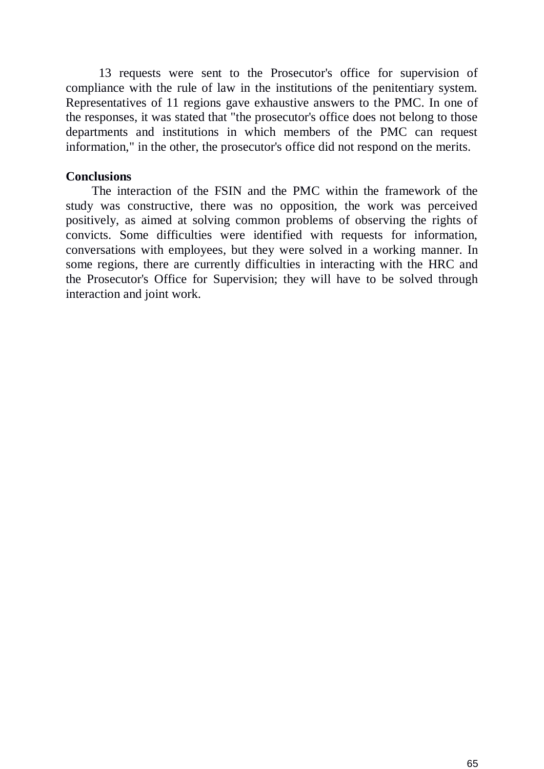13 requests were sent to the Prosecutor's office for supervision of compliance with the rule of law in the institutions of the penitentiary system. Representatives of 11 regions gave exhaustive answers to the PMC. In one of the responses, it was stated that "the prosecutor's office does not belong to those departments and institutions in which members of the PMC can request information," in the other, the prosecutor's office did not respond on the merits.

### **Conclusions**

The interaction of the FSIN and the PMC within the framework of the study was constructive, there was no opposition, the work was perceived positively, as aimed at solving common problems of observing the rights of convicts. Some difficulties were identified with requests for information, conversations with employees, but they were solved in a working manner. In some regions, there are currently difficulties in interacting with the HRC and the Prosecutor's Office for Supervision; they will have to be solved through interaction and joint work.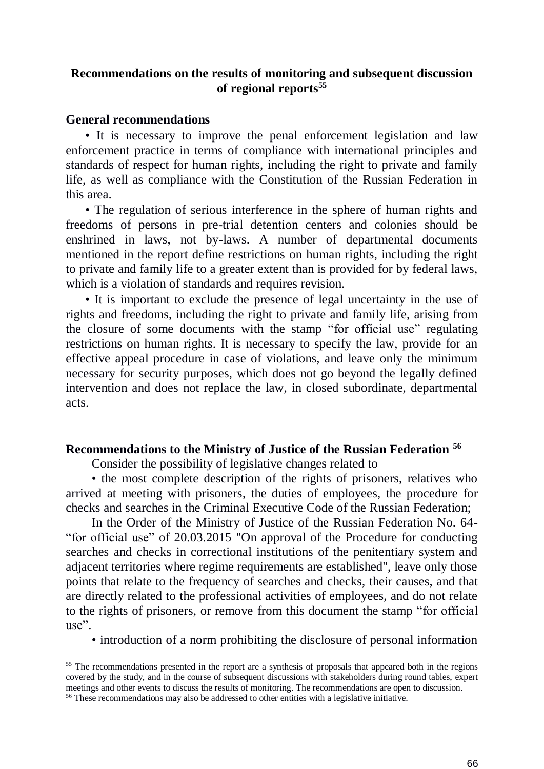# **Recommendations on the results of monitoring and subsequent discussion of regional reports<sup>55</sup>**

### **General recommendations**

-

• It is necessary to improve the penal enforcement legislation and law enforcement practice in terms of compliance with international principles and standards of respect for human rights, including the right to private and family life, as well as compliance with the Constitution of the Russian Federation in this area.

• The regulation of serious interference in the sphere of human rights and freedoms of persons in pre-trial detention centers and colonies should be enshrined in laws, not by-laws. A number of departmental documents mentioned in the report define restrictions on human rights, including the right to private and family life to a greater extent than is provided for by federal laws, which is a violation of standards and requires revision.

• It is important to exclude the presence of legal uncertainty in the use of rights and freedoms, including the right to private and family life, arising from the closure of some documents with the stamp "for official use" regulating restrictions on human rights. It is necessary to specify the law, provide for an effective appeal procedure in case of violations, and leave only the minimum necessary for security purposes, which does not go beyond the legally defined intervention and does not replace the law, in closed subordinate, departmental acts.

### **Recommendations to the Ministry of Justice of the Russian Federation <sup>56</sup>**

Consider the possibility of legislative changes related to

• the most complete description of the rights of prisoners, relatives who arrived at meeting with prisoners, the duties of employees, the procedure for checks and searches in the Criminal Executive Code of the Russian Federation;

In the Order of the Ministry of Justice of the Russian Federation No. 64- "for official use" of 20.03.2015 "On approval of the Procedure for conducting searches and checks in correctional institutions of the penitentiary system and adjacent territories where regime requirements are established", leave only those points that relate to the frequency of searches and checks, their causes, and that are directly related to the professional activities of employees, and do not relate to the rights of prisoners, or remove from this document the stamp "for official use".

• introduction of a norm prohibiting the disclosure of personal information

<sup>&</sup>lt;sup>55</sup> The recommendations presented in the report are a synthesis of proposals that appeared both in the regions covered by the study, and in the course of subsequent discussions with stakeholders during round tables, expert meetings and other events to discuss the results of monitoring. The recommendations are open to discussion.

<sup>&</sup>lt;sup>56</sup> These recommendations may also be addressed to other entities with a legislative initiative.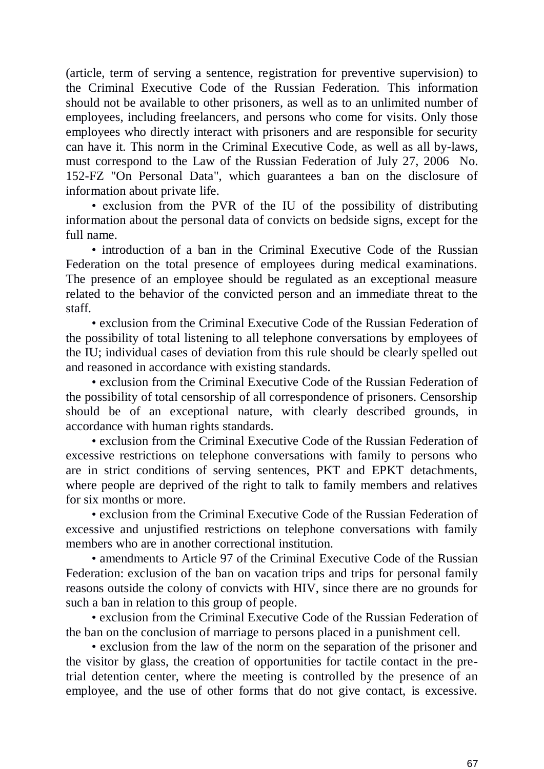(article, term of serving a sentence, registration for preventive supervision) to the Criminal Executive Code of the Russian Federation. This information should not be available to other prisoners, as well as to an unlimited number of employees, including freelancers, and persons who come for visits. Only those employees who directly interact with prisoners and are responsible for security can have it. This norm in the Criminal Executive Code, as well as all by-laws, must correspond to the Law of the Russian Federation of July 27, 2006 No. 152-FZ "On Personal Data", which guarantees a ban on the disclosure of information about private life.

• exclusion from the PVR of the IU of the possibility of distributing information about the personal data of convicts on bedside signs, except for the full name.

• introduction of a ban in the Criminal Executive Code of the Russian Federation on the total presence of employees during medical examinations. The presence of an employee should be regulated as an exceptional measure related to the behavior of the convicted person and an immediate threat to the staff.

• exclusion from the Criminal Executive Code of the Russian Federation of the possibility of total listening to all telephone conversations by employees of the IU; individual cases of deviation from this rule should be clearly spelled out and reasoned in accordance with existing standards.

• exclusion from the Criminal Executive Code of the Russian Federation of the possibility of total censorship of all correspondence of prisoners. Censorship should be of an exceptional nature, with clearly described grounds, in accordance with human rights standards.

• exclusion from the Criminal Executive Code of the Russian Federation of excessive restrictions on telephone conversations with family to persons who are in strict conditions of serving sentences, PKT and EPKT detachments, where people are deprived of the right to talk to family members and relatives for six months or more.

• exclusion from the Criminal Executive Code of the Russian Federation of excessive and unjustified restrictions on telephone conversations with family members who are in another correctional institution.

• amendments to Article 97 of the Criminal Executive Code of the Russian Federation: exclusion of the ban on vacation trips and trips for personal family reasons outside the colony of convicts with HIV, since there are no grounds for such a ban in relation to this group of people.

• exclusion from the Criminal Executive Code of the Russian Federation of the ban on the conclusion of marriage to persons placed in a punishment cell.

• exclusion from the law of the norm on the separation of the prisoner and the visitor by glass, the creation of opportunities for tactile contact in the pretrial detention center, where the meeting is controlled by the presence of an employee, and the use of other forms that do not give contact, is excessive.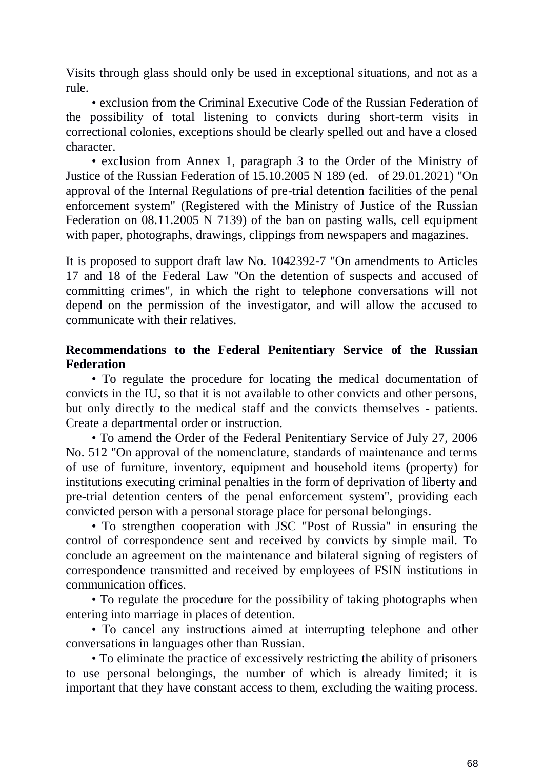Visits through glass should only be used in exceptional situations, and not as a rule.

• exclusion from the Criminal Executive Code of the Russian Federation of the possibility of total listening to convicts during short-term visits in correctional colonies, exceptions should be clearly spelled out and have a closed character.

• exclusion from Annex 1, paragraph 3 to the Order of the Ministry of Justice of the Russian Federation of 15.10.2005 N 189 (ed. of 29.01.2021) "On approval of the Internal Regulations of pre-trial detention facilities of the penal enforcement system" (Registered with the Ministry of Justice of the Russian Federation on 08.11.2005 N 7139) of the ban on pasting walls, cell equipment with paper, photographs, drawings, clippings from newspapers and magazines.

It is proposed to support draft law No. 1042392-7 "On amendments to Articles 17 and 18 of the Federal Law "On the detention of suspects and accused of committing crimes", in which the right to telephone conversations will not depend on the permission of the investigator, and will allow the accused to communicate with their relatives.

# **Recommendations to the Federal Penitentiary Service of the Russian Federation**

• To regulate the procedure for locating the medical documentation of convicts in the IU, so that it is not available to other convicts and other persons, but only directly to the medical staff and the convicts themselves - patients. Create a departmental order or instruction.

• To amend the Order of the Federal Penitentiary Service of July 27, 2006 No. 512 "On approval of the nomenclature, standards of maintenance and terms of use of furniture, inventory, equipment and household items (property) for institutions executing criminal penalties in the form of deprivation of liberty and pre-trial detention centers of the penal enforcement system", providing each convicted person with a personal storage place for personal belongings.

• To strengthen cooperation with JSC "Post of Russia" in ensuring the control of correspondence sent and received by convicts by simple mail. To conclude an agreement on the maintenance and bilateral signing of registers of correspondence transmitted and received by employees of FSIN institutions in communication offices.

• To regulate the procedure for the possibility of taking photographs when entering into marriage in places of detention.

• To cancel any instructions aimed at interrupting telephone and other conversations in languages other than Russian.

• To eliminate the practice of excessively restricting the ability of prisoners to use personal belongings, the number of which is already limited; it is important that they have constant access to them, excluding the waiting process.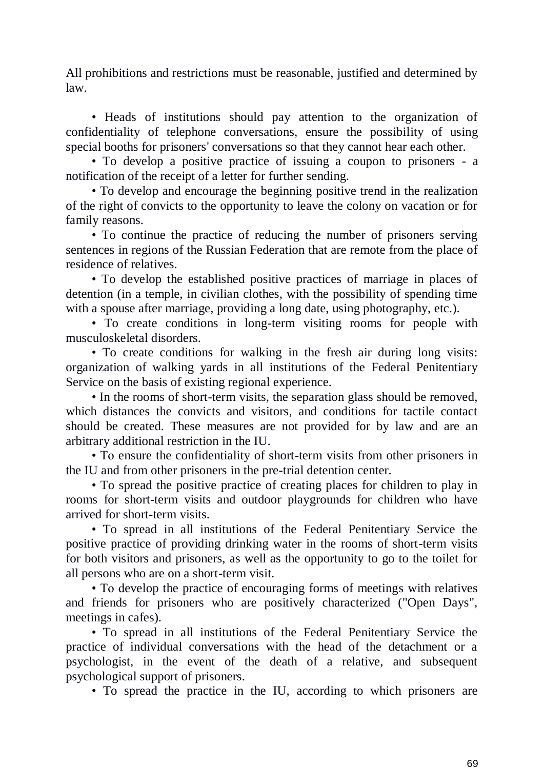All prohibitions and restrictions must be reasonable, justified and determined by law.

• Heads of institutions should pay attention to the organization of confidentiality of telephone conversations, ensure the possibility of using special booths for prisoners' conversations so that they cannot hear each other.

• To develop a positive practice of issuing a coupon to prisoners - a notification of the receipt of a letter for further sending.

• To develop and encourage the beginning positive trend in the realization of the right of convicts to the opportunity to leave the colony on vacation or for family reasons.

• To continue the practice of reducing the number of prisoners serving sentences in regions of the Russian Federation that are remote from the place of residence of relatives.

• To develop the established positive practices of marriage in places of detention (in a temple, in civilian clothes, with the possibility of spending time with a spouse after marriage, providing a long date, using photography, etc.).

• To create conditions in long-term visiting rooms for people with musculoskeletal disorders.

• To create conditions for walking in the fresh air during long visits: organization of walking yards in all institutions of the Federal Penitentiary Service on the basis of existing regional experience.

• In the rooms of short-term visits, the separation glass should be removed, which distances the convicts and visitors, and conditions for tactile contact should be created. These measures are not provided for by law and are an arbitrary additional restriction in the IU.

• To ensure the confidentiality of short-term visits from other prisoners in the IU and from other prisoners in the pre-trial detention center.

• To spread the positive practice of creating places for children to play in rooms for short-term visits and outdoor playgrounds for children who have arrived for short-term visits.

• To spread in all institutions of the Federal Penitentiary Service the positive practice of providing drinking water in the rooms of short-term visits for both visitors and prisoners, as well as the opportunity to go to the toilet for all persons who are on a short-term visit.

• To develop the practice of encouraging forms of meetings with relatives and friends for prisoners who are positively characterized ("Open Days", meetings in cafes).

• To spread in all institutions of the Federal Penitentiary Service the practice of individual conversations with the head of the detachment or a psychologist, in the event of the death of a relative, and subsequent psychological support of prisoners.

• To spread the practice in the IU, according to which prisoners are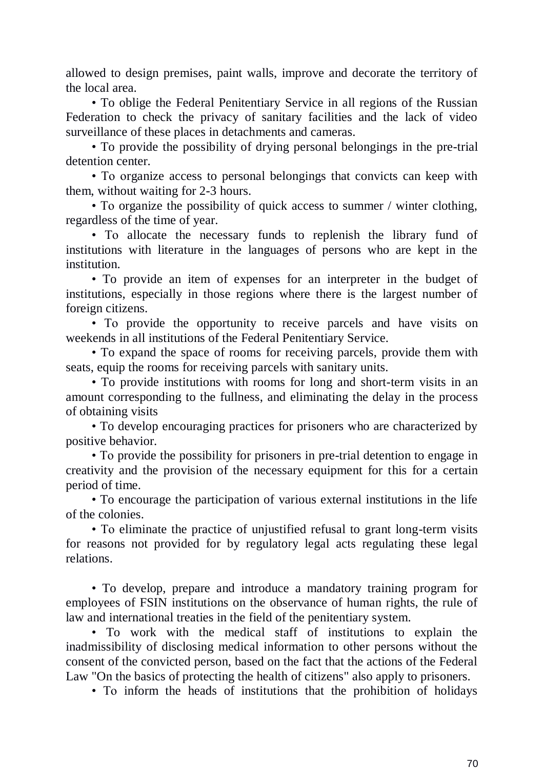allowed to design premises, paint walls, improve and decorate the territory of the local area.

• To oblige the Federal Penitentiary Service in all regions of the Russian Federation to check the privacy of sanitary facilities and the lack of video surveillance of these places in detachments and cameras.

• To provide the possibility of drying personal belongings in the pre-trial detention center.

• To organize access to personal belongings that convicts can keep with them, without waiting for 2-3 hours.

• To organize the possibility of quick access to summer / winter clothing, regardless of the time of year.

• To allocate the necessary funds to replenish the library fund of institutions with literature in the languages of persons who are kept in the institution.

• To provide an item of expenses for an interpreter in the budget of institutions, especially in those regions where there is the largest number of foreign citizens.

• To provide the opportunity to receive parcels and have visits on weekends in all institutions of the Federal Penitentiary Service.

• To expand the space of rooms for receiving parcels, provide them with seats, equip the rooms for receiving parcels with sanitary units.

• To provide institutions with rooms for long and short-term visits in an amount corresponding to the fullness, and eliminating the delay in the process of obtaining visits

• To develop encouraging practices for prisoners who are characterized by positive behavior.

• To provide the possibility for prisoners in pre-trial detention to engage in creativity and the provision of the necessary equipment for this for a certain period of time.

• To encourage the participation of various external institutions in the life of the colonies.

• To eliminate the practice of unjustified refusal to grant long-term visits for reasons not provided for by regulatory legal acts regulating these legal relations.

• To develop, prepare and introduce a mandatory training program for employees of FSIN institutions on the observance of human rights, the rule of law and international treaties in the field of the penitentiary system.

• To work with the medical staff of institutions to explain the inadmissibility of disclosing medical information to other persons without the consent of the convicted person, based on the fact that the actions of the Federal Law "On the basics of protecting the health of citizens" also apply to prisoners.

• To inform the heads of institutions that the prohibition of holidays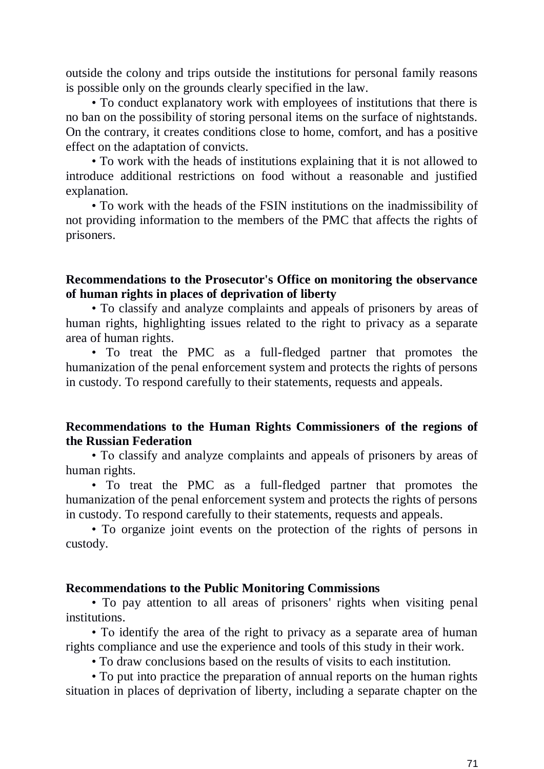outside the colony and trips outside the institutions for personal family reasons is possible only on the grounds clearly specified in the law.

• To conduct explanatory work with employees of institutions that there is no ban on the possibility of storing personal items on the surface of nightstands. On the contrary, it creates conditions close to home, comfort, and has a positive effect on the adaptation of convicts.

• To work with the heads of institutions explaining that it is not allowed to introduce additional restrictions on food without a reasonable and justified explanation.

• To work with the heads of the FSIN institutions on the inadmissibility of not providing information to the members of the PMC that affects the rights of prisoners.

## **Recommendations to the Prosecutor's Office on monitoring the observance of human rights in places of deprivation of liberty**

• To classify and analyze complaints and appeals of prisoners by areas of human rights, highlighting issues related to the right to privacy as a separate area of human rights.

• To treat the PMC as a full-fledged partner that promotes the humanization of the penal enforcement system and protects the rights of persons in custody. To respond carefully to their statements, requests and appeals.

## **Recommendations to the Human Rights Commissioners of the regions of the Russian Federation**

• To classify and analyze complaints and appeals of prisoners by areas of human rights.

• To treat the PMC as a full-fledged partner that promotes the humanization of the penal enforcement system and protects the rights of persons in custody. To respond carefully to their statements, requests and appeals.

• To organize joint events on the protection of the rights of persons in custody.

### **Recommendations to the Public Monitoring Commissions**

• To pay attention to all areas of prisoners' rights when visiting penal institutions.

• To identify the area of the right to privacy as a separate area of human rights compliance and use the experience and tools of this study in their work.

• To draw conclusions based on the results of visits to each institution.

• To put into practice the preparation of annual reports on the human rights situation in places of deprivation of liberty, including a separate chapter on the